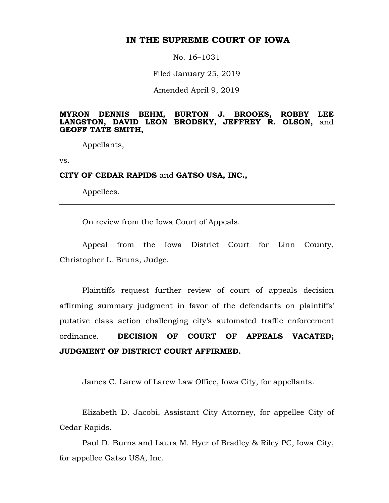# **IN THE SUPREME COURT OF IOWA**

No. 16–1031

Filed January 25, 2019

Amended April 9, 2019

#### **MYRON DENNIS BEHM, BURTON J. BROOKS, ROBBY LEE LANGSTON, DAVID LEON BRODSKY, JEFFREY R. OLSON,** and **GEOFF TATE SMITH,**

Appellants,

vs.

## **CITY OF CEDAR RAPIDS** and **GATSO USA, INC.,**

Appellees.

On review from the Iowa Court of Appeals.

Appeal from the Iowa District Court for Linn County, Christopher L. Bruns, Judge.

Plaintiffs request further review of court of appeals decision affirming summary judgment in favor of the defendants on plaintiffs' putative class action challenging city's automated traffic enforcement ordinance. **DECISION OF COURT OF APPEALS VACATED; JUDGMENT OF DISTRICT COURT AFFIRMED.**

James C. Larew of Larew Law Office, Iowa City, for appellants.

Elizabeth D. Jacobi, Assistant City Attorney, for appellee City of Cedar Rapids.

Paul D. Burns and Laura M. Hyer of Bradley & Riley PC, Iowa City, for appellee Gatso USA, Inc.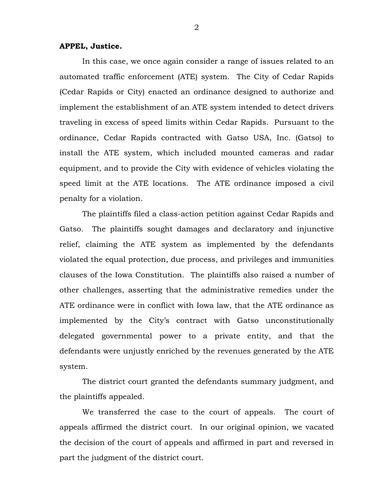#### **APPEL, Justice.**

In this case, we once again consider a range of issues related to an automated traffic enforcement (ATE) system. The City of Cedar Rapids (Cedar Rapids or City) enacted an ordinance designed to authorize and implement the establishment of an ATE system intended to detect drivers traveling in excess of speed limits within Cedar Rapids. Pursuant to the ordinance, Cedar Rapids contracted with Gatso USA, Inc. (Gatso) to install the ATE system, which included mounted cameras and radar equipment, and to provide the City with evidence of vehicles violating the speed limit at the ATE locations. The ATE ordinance imposed a civil penalty for a violation.

The plaintiffs filed a class-action petition against Cedar Rapids and Gatso. The plaintiffs sought damages and declaratory and injunctive relief, claiming the ATE system as implemented by the defendants violated the equal protection, due process, and privileges and immunities clauses of the Iowa Constitution. The plaintiffs also raised a number of other challenges, asserting that the administrative remedies under the ATE ordinance were in conflict with Iowa law, that the ATE ordinance as implemented by the City's contract with Gatso unconstitutionally delegated governmental power to a private entity, and that the defendants were unjustly enriched by the revenues generated by the ATE system.

The district court granted the defendants summary judgment, and the plaintiffs appealed.

We transferred the case to the court of appeals. The court of appeals affirmed the district court. In our original opinion, we vacated the decision of the court of appeals and affirmed in part and reversed in part the judgment of the district court.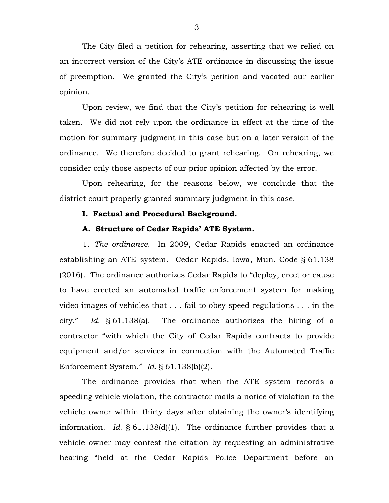The City filed a petition for rehearing, asserting that we relied on an incorrect version of the City's ATE ordinance in discussing the issue of preemption. We granted the City's petition and vacated our earlier opinion.

Upon review, we find that the City's petition for rehearing is well taken. We did not rely upon the ordinance in effect at the time of the motion for summary judgment in this case but on a later version of the ordinance. We therefore decided to grant rehearing. On rehearing, we consider only those aspects of our prior opinion affected by the error.

Upon rehearing, for the reasons below, we conclude that the district court properly granted summary judgment in this case.

## **I. Factual and Procedural Background.**

#### **A. Structure of Cedar Rapids' ATE System.**

1. *The ordinance.* In 2009, Cedar Rapids enacted an ordinance establishing an ATE system. Cedar Rapids, Iowa, Mun. Code § 61.138 (2016). The ordinance authorizes Cedar Rapids to "deploy, erect or cause to have erected an automated traffic enforcement system for making video images of vehicles that . . . fail to obey speed regulations . . . in the city." *Id.* § 61.138(a). The ordinance authorizes the hiring of a contractor "with which the City of Cedar Rapids contracts to provide equipment and/or services in connection with the Automated Traffic Enforcement System." *Id.* § 61.138(b)(2).

The ordinance provides that when the ATE system records a speeding vehicle violation, the contractor mails a notice of violation to the vehicle owner within thirty days after obtaining the owner's identifying information. *Id.* § 61.138(d)(1). The ordinance further provides that a vehicle owner may contest the citation by requesting an administrative hearing "held at the Cedar Rapids Police Department before an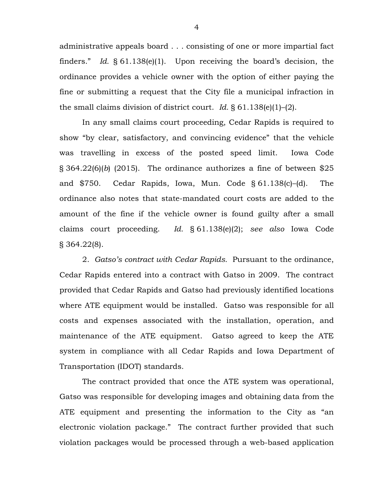administrative appeals board . . . consisting of one or more impartial fact finders." *Id.* § 61.138(e)(1). Upon receiving the board's decision, the ordinance provides a vehicle owner with the option of either paying the fine or submitting a request that the City file a municipal infraction in the small claims division of district court. *Id.* § 61.138(e)(1)–(2).

In any small claims court proceeding, Cedar Rapids is required to show "by clear, satisfactory, and convincing evidence" that the vehicle was travelling in excess of the posted speed limit. Iowa Code § 364.22(6)(*b*) (2015). The ordinance authorizes a fine of between \$25 and \$750. Cedar Rapids, Iowa, Mun. Code § 61.138(c)–(d). The ordinance also notes that state-mandated court costs are added to the amount of the fine if the vehicle owner is found guilty after a small claims court proceeding. *Id.* § 61.138(e)(2); *see also* Iowa Code § 364.22(8).

2. *Gatso's contract with Cedar Rapids.* Pursuant to the ordinance, Cedar Rapids entered into a contract with Gatso in 2009. The contract provided that Cedar Rapids and Gatso had previously identified locations where ATE equipment would be installed. Gatso was responsible for all costs and expenses associated with the installation, operation, and maintenance of the ATE equipment. Gatso agreed to keep the ATE system in compliance with all Cedar Rapids and Iowa Department of Transportation (IDOT) standards.

The contract provided that once the ATE system was operational, Gatso was responsible for developing images and obtaining data from the ATE equipment and presenting the information to the City as "an electronic violation package."The contract further provided that such violation packages would be processed through a web-based application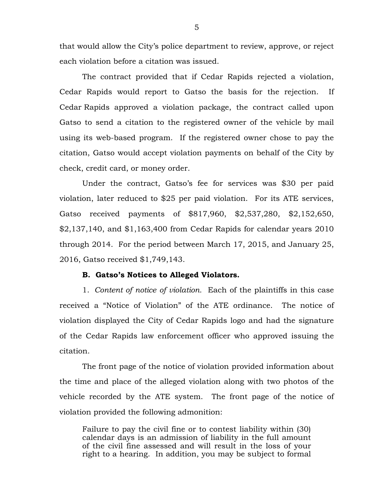that would allow the City's police department to review, approve, or reject each violation before a citation was issued.

The contract provided that if Cedar Rapids rejected a violation, Cedar Rapids would report to Gatso the basis for the rejection. If Cedar Rapids approved a violation package, the contract called upon Gatso to send a citation to the registered owner of the vehicle by mail using its web-based program. If the registered owner chose to pay the citation, Gatso would accept violation payments on behalf of the City by check, credit card, or money order.

Under the contract, Gatso's fee for services was \$30 per paid violation, later reduced to \$25 per paid violation. For its ATE services, Gatso received payments of \$817,960, \$2,537,280, \$2,152,650, \$2,137,140, and \$1,163,400 from Cedar Rapids for calendar years 2010 through 2014. For the period between March 17, 2015, and January 25, 2016, Gatso received \$1,749,143.

#### **B. Gatso's Notices to Alleged Violators.**

1. *Content of notice of violation.* Each of the plaintiffs in this case received a "Notice of Violation" of the ATE ordinance. The notice of violation displayed the City of Cedar Rapids logo and had the signature of the Cedar Rapids law enforcement officer who approved issuing the citation.

The front page of the notice of violation provided information about the time and place of the alleged violation along with two photos of the vehicle recorded by the ATE system. The front page of the notice of violation provided the following admonition:

Failure to pay the civil fine or to contest liability within (30) calendar days is an admission of liability in the full amount of the civil fine assessed and will result in the loss of your right to a hearing. In addition, you may be subject to formal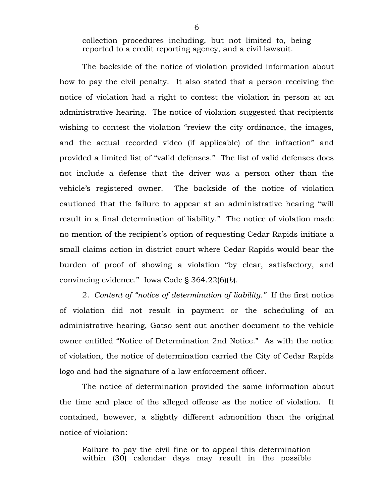collection procedures including, but not limited to, being reported to a credit reporting agency, and a civil lawsuit.

The backside of the notice of violation provided information about how to pay the civil penalty. It also stated that a person receiving the notice of violation had a right to contest the violation in person at an administrative hearing. The notice of violation suggested that recipients wishing to contest the violation "review the city ordinance, the images, and the actual recorded video (if applicable) of the infraction" and provided a limited list of "valid defenses." The list of valid defenses does not include a defense that the driver was a person other than the vehicle's registered owner. The backside of the notice of violation cautioned that the failure to appear at an administrative hearing "will result in a final determination of liability." The notice of violation made no mention of the recipient's option of requesting Cedar Rapids initiate a small claims action in district court where Cedar Rapids would bear the burden of proof of showing a violation "by clear, satisfactory, and convincing evidence." Iowa Code § 364.22(6)(*b*).

2. *Content of "notice of determination of liability."* If the first notice of violation did not result in payment or the scheduling of an administrative hearing, Gatso sent out another document to the vehicle owner entitled "Notice of Determination 2nd Notice." As with the notice of violation, the notice of determination carried the City of Cedar Rapids logo and had the signature of a law enforcement officer.

The notice of determination provided the same information about the time and place of the alleged offense as the notice of violation. It contained, however, a slightly different admonition than the original notice of violation:

Failure to pay the civil fine or to appeal this determination within (30) calendar days may result in the possible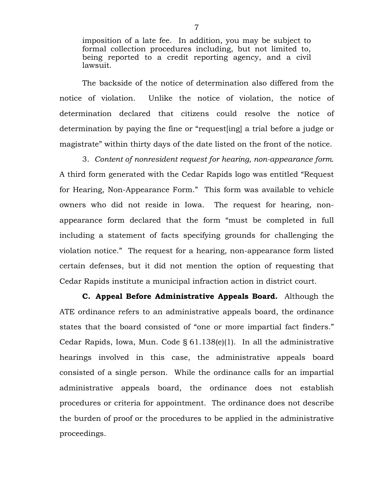imposition of a late fee. In addition, you may be subject to formal collection procedures including, but not limited to, being reported to a credit reporting agency, and a civil lawsuit.

The backside of the notice of determination also differed from the notice of violation. Unlike the notice of violation, the notice of determination declared that citizens could resolve the notice of determination by paying the fine or "request[ing] a trial before a judge or magistrate" within thirty days of the date listed on the front of the notice.

3. *Content of nonresident request for hearing, non-appearance form.*  A third form generated with the Cedar Rapids logo was entitled "Request for Hearing, Non-Appearance Form." This form was available to vehicle owners who did not reside in Iowa. The request for hearing, nonappearance form declared that the form "must be completed in full including a statement of facts specifying grounds for challenging the violation notice." The request for a hearing, non-appearance form listed certain defenses, but it did not mention the option of requesting that Cedar Rapids institute a municipal infraction action in district court.

**C. Appeal Before Administrative Appeals Board.** Although the ATE ordinance refers to an administrative appeals board, the ordinance states that the board consisted of "one or more impartial fact finders." Cedar Rapids, Iowa, Mun. Code § 61.138(e)(1). In all the administrative hearings involved in this case, the administrative appeals board consisted of a single person. While the ordinance calls for an impartial administrative appeals board, the ordinance does not establish procedures or criteria for appointment. The ordinance does not describe the burden of proof or the procedures to be applied in the administrative proceedings.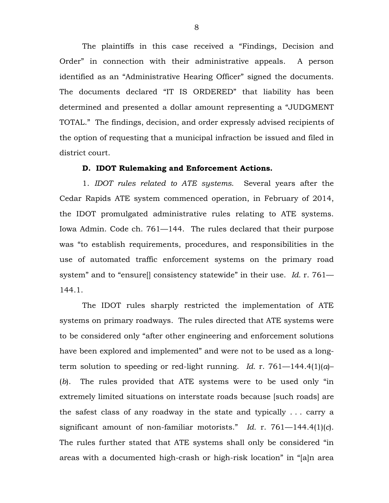The plaintiffs in this case received a "Findings, Decision and Order" in connection with their administrative appeals. A person identified as an "Administrative Hearing Officer" signed the documents. The documents declared "IT IS ORDERED" that liability has been determined and presented a dollar amount representing a "JUDGMENT TOTAL." The findings, decision, and order expressly advised recipients of the option of requesting that a municipal infraction be issued and filed in district court.

#### **D. IDOT Rulemaking and Enforcement Actions.**

1. *IDOT rules related to ATE systems*.Several years after the Cedar Rapids ATE system commenced operation, in February of 2014, the IDOT promulgated administrative rules relating to ATE systems. Iowa Admin. Code ch. 761—144. The rules declared that their purpose was "to establish requirements, procedures, and responsibilities in the use of automated traffic enforcement systems on the primary road system" and to "ensure[] consistency statewide" in their use. *Id.* r. 761— 144.1.

The IDOT rules sharply restricted the implementation of ATE systems on primary roadways. The rules directed that ATE systems were to be considered only "after other engineering and enforcement solutions have been explored and implemented" and were not to be used as a longterm solution to speeding or red-light running. *Id.* r. 761—144.4(1)(*a*)– (*b*). The rules provided that ATE systems were to be used only "in extremely limited situations on interstate roads because [such roads] are the safest class of any roadway in the state and typically . . . carry a significant amount of non-familiar motorists." *Id.* r. 761—144.4(1)(*c*). The rules further stated that ATE systems shall only be considered "in areas with a documented high-crash or high-risk location" in "[a]n area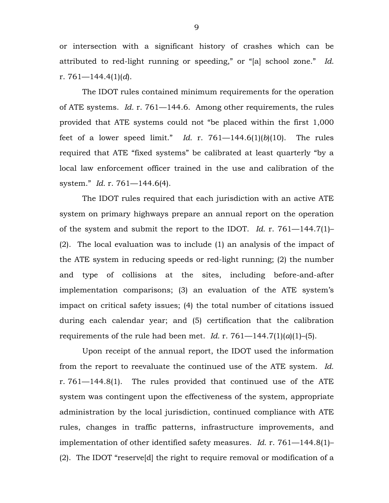or intersection with a significant history of crashes which can be attributed to red-light running or speeding," or "[a] school zone." *Id.* r. 761—144.4(1)(*d*).

The IDOT rules contained minimum requirements for the operation of ATE systems. *Id.* r. 761—144.6. Among other requirements, the rules provided that ATE systems could not "be placed within the first 1,000 feet of a lower speed limit." *Id.* r. 761—144.6(1)(*b*)(10). The rules required that ATE "fixed systems" be calibrated at least quarterly "by a local law enforcement officer trained in the use and calibration of the system." *Id.* r. 761—144.6(4).

The IDOT rules required that each jurisdiction with an active ATE system on primary highways prepare an annual report on the operation of the system and submit the report to the IDOT. *Id.* r. 761—144.7(1)– (2). The local evaluation was to include (1) an analysis of the impact of the ATE system in reducing speeds or red-light running; (2) the number and type of collisions at the sites, including before-and-after implementation comparisons; (3) an evaluation of the ATE system's impact on critical safety issues; (4) the total number of citations issued during each calendar year; and (5) certification that the calibration requirements of the rule had been met. *Id.* r.  $761-144.7(1)(a)(1)-(5)$ .

Upon receipt of the annual report, the IDOT used the information from the report to reevaluate the continued use of the ATE system. *Id.* r. 761—144.8(1). The rules provided that continued use of the ATE system was contingent upon the effectiveness of the system, appropriate administration by the local jurisdiction, continued compliance with ATE rules, changes in traffic patterns, infrastructure improvements, and implementation of other identified safety measures. *Id.* r. 761—144.8(1)– (2). The IDOT "reserve[d] the right to require removal or modification of a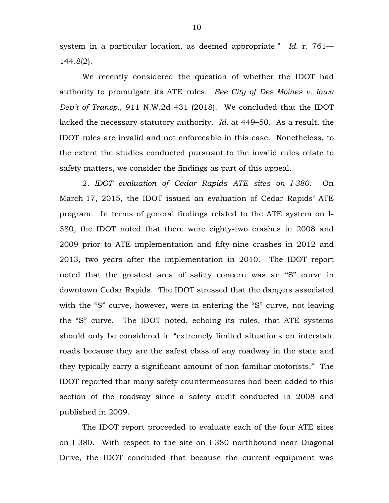system in a particular location, as deemed appropriate." *Id.* r. 761— 144.8(2).

We recently considered the question of whether the IDOT had authority to promulgate its ATE rules. *See City of Des Moines v. Iowa Dep't of Transp.*, 911 N.W.2d 431 (2018). We concluded that the IDOT lacked the necessary statutory authority. *Id.* at 449–50. As a result, the IDOT rules are invalid and not enforceable in this case. Nonetheless, to the extent the studies conducted pursuant to the invalid rules relate to safety matters, we consider the findings as part of this appeal.

2. *IDOT evaluation of Cedar Rapids ATE sites on I-380.* On March 17, 2015, the IDOT issued an evaluation of Cedar Rapids' ATE program. In terms of general findings related to the ATE system on I-380, the IDOT noted that there were eighty-two crashes in 2008 and 2009 prior to ATE implementation and fifty-nine crashes in 2012 and 2013, two years after the implementation in 2010. The IDOT report noted that the greatest area of safety concern was an "S" curve in downtown Cedar Rapids. The IDOT stressed that the dangers associated with the "S" curve, however, were in entering the "S" curve, not leaving the "S" curve. The IDOT noted, echoing its rules, that ATE systems should only be considered in "extremely limited situations on interstate roads because they are the safest class of any roadway in the state and they typically carry a significant amount of non-familiar motorists." The IDOT reported that many safety countermeasures had been added to this section of the roadway since a safety audit conducted in 2008 and published in 2009.

The IDOT report proceeded to evaluate each of the four ATE sites on I-380. With respect to the site on I-380 northbound near Diagonal Drive, the IDOT concluded that because the current equipment was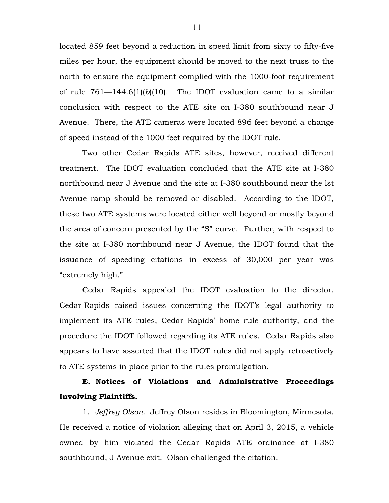located 859 feet beyond a reduction in speed limit from sixty to fifty-five miles per hour, the equipment should be moved to the next truss to the north to ensure the equipment complied with the 1000-foot requirement of rule  $761 - 144.6(1)(b)(10)$ . The IDOT evaluation came to a similar conclusion with respect to the ATE site on I-380 southbound near J Avenue. There, the ATE cameras were located 896 feet beyond a change of speed instead of the 1000 feet required by the IDOT rule.

Two other Cedar Rapids ATE sites, however, received different treatment. The IDOT evaluation concluded that the ATE site at I-380 northbound near J Avenue and the site at I-380 southbound near the lst Avenue ramp should be removed or disabled. According to the IDOT, these two ATE systems were located either well beyond or mostly beyond the area of concern presented by the "S" curve. Further, with respect to the site at I-380 northbound near J Avenue, the IDOT found that the issuance of speeding citations in excess of 30,000 per year was "extremely high."

Cedar Rapids appealed the IDOT evaluation to the director. Cedar Rapids raised issues concerning the IDOT's legal authority to implement its ATE rules, Cedar Rapids' home rule authority, and the procedure the IDOT followed regarding its ATE rules. Cedar Rapids also appears to have asserted that the IDOT rules did not apply retroactively to ATE systems in place prior to the rules promulgation.

# **E. Notices of Violations and Administrative Proceedings Involving Plaintiffs.**

1. *Jeffrey Olson.* Jeffrey Olson resides in Bloomington, Minnesota. He received a notice of violation alleging that on April 3, 2015, a vehicle owned by him violated the Cedar Rapids ATE ordinance at I-380 southbound, J Avenue exit. Olson challenged the citation.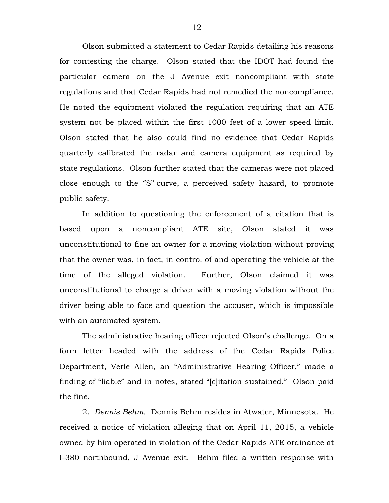Olson submitted a statement to Cedar Rapids detailing his reasons for contesting the charge. Olson stated that the IDOT had found the particular camera on the J Avenue exit noncompliant with state regulations and that Cedar Rapids had not remedied the noncompliance. He noted the equipment violated the regulation requiring that an ATE system not be placed within the first 1000 feet of a lower speed limit. Olson stated that he also could find no evidence that Cedar Rapids quarterly calibrated the radar and camera equipment as required by state regulations. Olson further stated that the cameras were not placed close enough to the "S" curve, a perceived safety hazard, to promote public safety.

In addition to questioning the enforcement of a citation that is based upon a noncompliant ATE site, Olson stated it was unconstitutional to fine an owner for a moving violation without proving that the owner was, in fact, in control of and operating the vehicle at the time of the alleged violation. Further, Olson claimed it was unconstitutional to charge a driver with a moving violation without the driver being able to face and question the accuser, which is impossible with an automated system.

The administrative hearing officer rejected Olson's challenge. On a form letter headed with the address of the Cedar Rapids Police Department, Verle Allen, an "Administrative Hearing Officer," made a finding of "liable" and in notes, stated "[c]itation sustained." Olson paid the fine.

2. *Dennis Behm.* Dennis Behm resides in Atwater, Minnesota. He received a notice of violation alleging that on April 11, 2015, a vehicle owned by him operated in violation of the Cedar Rapids ATE ordinance at I-380 northbound, J Avenue exit. Behm filed a written response with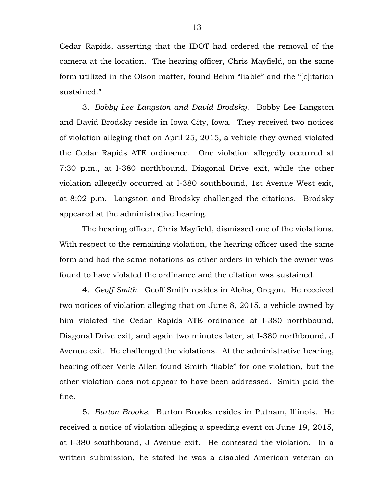Cedar Rapids, asserting that the IDOT had ordered the removal of the camera at the location. The hearing officer, Chris Mayfield, on the same form utilized in the Olson matter, found Behm "liable" and the "[c]itation sustained."

3. *Bobby Lee Langston and David Brodsky.*Bobby Lee Langston and David Brodsky reside in Iowa City, Iowa. They received two notices of violation alleging that on April 25, 2015, a vehicle they owned violated the Cedar Rapids ATE ordinance. One violation allegedly occurred at 7:30 p.m., at I-380 northbound, Diagonal Drive exit, while the other violation allegedly occurred at I-380 southbound, 1st Avenue West exit, at 8:02 p.m. Langston and Brodsky challenged the citations. Brodsky appeared at the administrative hearing.

The hearing officer, Chris Mayfield, dismissed one of the violations. With respect to the remaining violation, the hearing officer used the same form and had the same notations as other orders in which the owner was found to have violated the ordinance and the citation was sustained.

4. *Geoff Smith*. Geoff Smith resides in Aloha, Oregon. He received two notices of violation alleging that on June 8, 2015, a vehicle owned by him violated the Cedar Rapids ATE ordinance at I-380 northbound, Diagonal Drive exit, and again two minutes later, at I-380 northbound, J Avenue exit. He challenged the violations. At the administrative hearing, hearing officer Verle Allen found Smith "liable" for one violation, but the other violation does not appear to have been addressed. Smith paid the fine.

5. *Burton Brooks.* Burton Brooks resides in Putnam, Illinois. He received a notice of violation alleging a speeding event on June 19, 2015, at I-380 southbound, J Avenue exit. He contested the violation. In a written submission, he stated he was a disabled American veteran on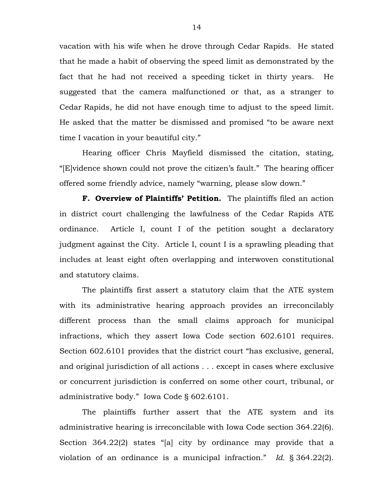vacation with his wife when he drove through Cedar Rapids. He stated that he made a habit of observing the speed limit as demonstrated by the fact that he had not received a speeding ticket in thirty years. He suggested that the camera malfunctioned or that, as a stranger to Cedar Rapids, he did not have enough time to adjust to the speed limit. He asked that the matter be dismissed and promised "to be aware next time I vacation in your beautiful city."

Hearing officer Chris Mayfield dismissed the citation, stating, "[E]vidence shown could not prove the citizen's fault." The hearing officer offered some friendly advice, namely "warning, please slow down."

**F. Overview of Plaintiffs' Petition.** The plaintiffs filed an action in district court challenging the lawfulness of the Cedar Rapids ATE ordinance. Article I, count I of the petition sought a declaratory judgment against the City. Article I, count I is a sprawling pleading that includes at least eight often overlapping and interwoven constitutional and statutory claims.

The plaintiffs first assert a statutory claim that the ATE system with its administrative hearing approach provides an irreconcilably different process than the small claims approach for municipal infractions, which they assert Iowa Code section 602.6101 requires. Section 602.6101 provides that the district court "has exclusive, general, and original jurisdiction of all actions . . . except in cases where exclusive or concurrent jurisdiction is conferred on some other court, tribunal, or administrative body." Iowa Code § 602.6101.

The plaintiffs further assert that the ATE system and its administrative hearing is irreconcilable with Iowa Code section 364.22(6). Section 364.22(2) states "[a] city by ordinance may provide that a violation of an ordinance is a municipal infraction." *Id.* § 364.22(2).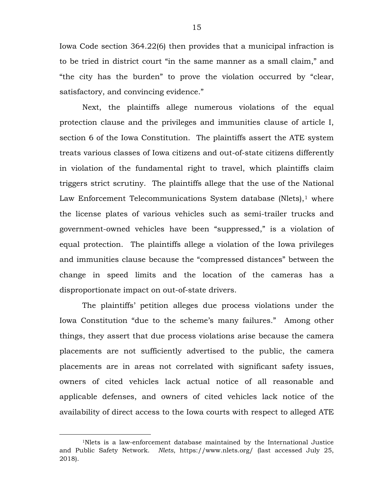Iowa Code section 364.22(6) then provides that a municipal infraction is to be tried in district court "in the same manner as a small claim," and "the city has the burden" to prove the violation occurred by "clear, satisfactory, and convincing evidence."

Next, the plaintiffs allege numerous violations of the equal protection clause and the privileges and immunities clause of article I, section 6 of the Iowa Constitution. The plaintiffs assert the ATE system treats various classes of Iowa citizens and out-of-state citizens differently in violation of the fundamental right to travel, which plaintiffs claim triggers strict scrutiny. The plaintiffs allege that the use of the National Law Enforcement Telecommunications System database (Nlets), $<sup>1</sup>$  $<sup>1</sup>$  $<sup>1</sup>$  where</sup> the license plates of various vehicles such as semi-trailer trucks and government-owned vehicles have been "suppressed," is a violation of equal protection. The plaintiffs allege a violation of the Iowa privileges and immunities clause because the "compressed distances" between the change in speed limits and the location of the cameras has a disproportionate impact on out-of-state drivers.

The plaintiffs' petition alleges due process violations under the Iowa Constitution "due to the scheme's many failures." Among other things, they assert that due process violations arise because the camera placements are not sufficiently advertised to the public, the camera placements are in areas not correlated with significant safety issues, owners of cited vehicles lack actual notice of all reasonable and applicable defenses, and owners of cited vehicles lack notice of the availability of direct access to the Iowa courts with respect to alleged ATE

<span id="page-14-0"></span> <sup>1</sup>Nlets is a law-enforcement database maintained by the International Justice and Public Safety Network. *Nlets*, https://www.nlets.org/ (last accessed July 25, 2018).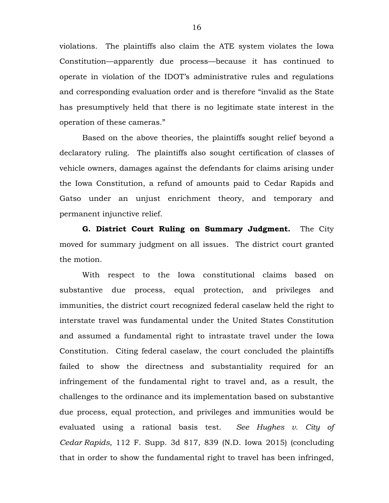violations. The plaintiffs also claim the ATE system violates the Iowa Constitution—apparently due process—because it has continued to operate in violation of the IDOT's administrative rules and regulations and corresponding evaluation order and is therefore "invalid as the State has presumptively held that there is no legitimate state interest in the operation of these cameras."

Based on the above theories, the plaintiffs sought relief beyond a declaratory ruling. The plaintiffs also sought certification of classes of vehicle owners, damages against the defendants for claims arising under the Iowa Constitution, a refund of amounts paid to Cedar Rapids and Gatso under an unjust enrichment theory, and temporary and permanent injunctive relief.

**G. District Court Ruling on Summary Judgment.** The City moved for summary judgment on all issues. The district court granted the motion.

With respect to the Iowa constitutional claims based on substantive due process, equal protection, and privileges and immunities, the district court recognized federal caselaw held the right to interstate travel was fundamental under the United States Constitution and assumed a fundamental right to intrastate travel under the Iowa Constitution. Citing federal caselaw, the court concluded the plaintiffs failed to show the directness and substantiality required for an infringement of the fundamental right to travel and, as a result, the challenges to the ordinance and its implementation based on substantive due process, equal protection, and privileges and immunities would be evaluated using a rational basis test. *See Hughes v. City of Cedar Rapids*, 112 F. Supp. 3d 817, 839 (N.D. Iowa 2015) (concluding that in order to show the fundamental right to travel has been infringed,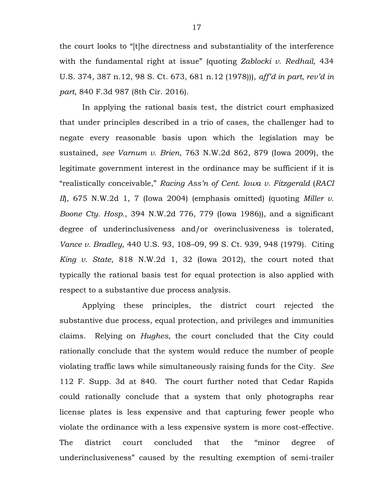the court looks to "[t]he directness and substantiality of the interference with the fundamental right at issue" (quoting *Zablocki v. Redhail*, 434 U.S. 374, 387 n.12, 98 S. Ct. 673, 681 n.12 (1978))), *aff'd in part, rev'd in part*, 840 F.3d 987 (8th Cir. 2016).

In applying the rational basis test, the district court emphasized that under principles described in a trio of cases, the challenger had to negate every reasonable basis upon which the legislation may be sustained, *see Varnum v. Brien*, 763 N.W.2d 862, 879 (Iowa 2009), the legitimate government interest in the ordinance may be sufficient if it is "realistically conceivable," *Racing Ass'n of Cent. Iowa v. Fitzgerald* (*RACI II*), 675 N.W.2d 1, 7 (Iowa 2004) (emphasis omitted) (quoting *Miller v. Boone Cty. Hosp.*, 394 N.W.2d 776, 779 (Iowa 1986)), and a significant degree of underinclusiveness and/or overinclusiveness is tolerated, *Vance v. Bradley*, 440 U.S. 93, 108–09, 99 S. Ct. 939, 948 (1979). Citing *King v. State*, 818 N.W.2d 1, 32 (Iowa 2012), the court noted that typically the rational basis test for equal protection is also applied with respect to a substantive due process analysis.

Applying these principles, the district court rejected the substantive due process, equal protection, and privileges and immunities claims. Relying on *Hughes*, the court concluded that the City could rationally conclude that the system would reduce the number of people violating traffic laws while simultaneously raising funds for the City. *See*  112 F. Supp. 3d at 840. The court further noted that Cedar Rapids could rationally conclude that a system that only photographs rear license plates is less expensive and that capturing fewer people who violate the ordinance with a less expensive system is more cost-effective. The district court concluded that the "minor degree of underinclusiveness" caused by the resulting exemption of semi-trailer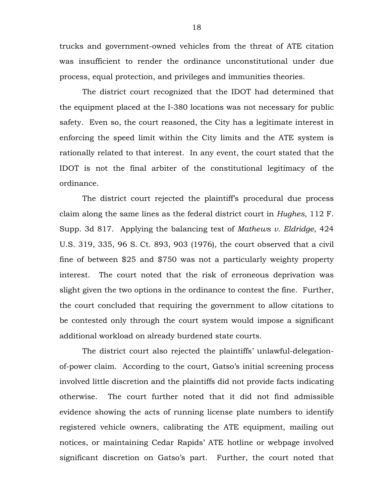trucks and government-owned vehicles from the threat of ATE citation was insufficient to render the ordinance unconstitutional under due process, equal protection, and privileges and immunities theories.

The district court recognized that the IDOT had determined that the equipment placed at the I-380 locations was not necessary for public safety. Even so, the court reasoned, the City has a legitimate interest in enforcing the speed limit within the City limits and the ATE system is rationally related to that interest. In any event, the court stated that the IDOT is not the final arbiter of the constitutional legitimacy of the ordinance.

The district court rejected the plaintiff's procedural due process claim along the same lines as the federal district court in *Hughes*, 112 F. Supp. 3d 817. Applying the balancing test of *Mathews v. Eldridge*, 424 U.S. 319, 335, 96 S. Ct. 893, 903 (1976), the court observed that a civil fine of between \$25 and \$750 was not a particularly weighty property interest. The court noted that the risk of erroneous deprivation was slight given the two options in the ordinance to contest the fine. Further, the court concluded that requiring the government to allow citations to be contested only through the court system would impose a significant additional workload on already burdened state courts.

The district court also rejected the plaintiffs' unlawful-delegationof-power claim. According to the court, Gatso's initial screening process involved little discretion and the plaintiffs did not provide facts indicating otherwise. The court further noted that it did not find admissible evidence showing the acts of running license plate numbers to identify registered vehicle owners, calibrating the ATE equipment, mailing out notices, or maintaining Cedar Rapids' ATE hotline or webpage involved significant discretion on Gatso's part. Further, the court noted that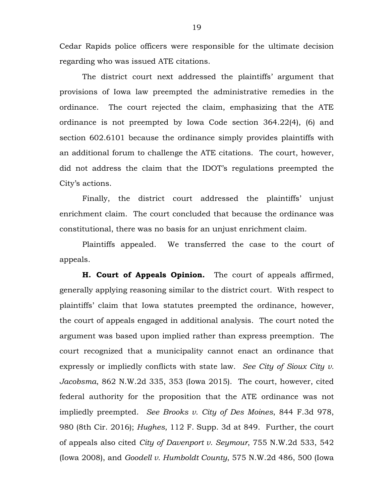Cedar Rapids police officers were responsible for the ultimate decision regarding who was issued ATE citations.

The district court next addressed the plaintiffs' argument that provisions of Iowa law preempted the administrative remedies in the ordinance. The court rejected the claim, emphasizing that the ATE ordinance is not preempted by Iowa Code section 364.22(4), (6) and section 602.6101 because the ordinance simply provides plaintiffs with an additional forum to challenge the ATE citations. The court, however, did not address the claim that the IDOT's regulations preempted the City's actions.

Finally, the district court addressed the plaintiffs' unjust enrichment claim. The court concluded that because the ordinance was constitutional, there was no basis for an unjust enrichment claim.

Plaintiffs appealed. We transferred the case to the court of appeals.

**H. Court of Appeals Opinion.** The court of appeals affirmed, generally applying reasoning similar to the district court. With respect to plaintiffs' claim that Iowa statutes preempted the ordinance, however, the court of appeals engaged in additional analysis. The court noted the argument was based upon implied rather than express preemption. The court recognized that a municipality cannot enact an ordinance that expressly or impliedly conflicts with state law. *See City of Sioux City v. Jacobsma*, 862 N.W.2d 335, 353 (Iowa 2015). The court, however, cited federal authority for the proposition that the ATE ordinance was not impliedly preempted. *See Brooks v. City of Des Moines*, 844 F.3d 978, 980 (8th Cir. 2016); *Hughes*, 112 F. Supp. 3d at 849. Further, the court of appeals also cited *City of Davenport v. Seymour*, 755 N.W.2d 533, 542 (Iowa 2008), and *Goodell v. Humboldt County*, 575 N.W.2d 486, 500 (Iowa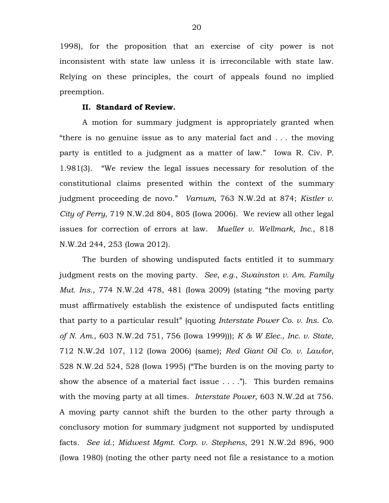1998), for the proposition that an exercise of city power is not inconsistent with state law unless it is irreconcilable with state law. Relying on these principles, the court of appeals found no implied preemption.

#### **II. Standard of Review.**

A motion for summary judgment is appropriately granted when "there is no genuine issue as to any material fact and . . . the moving party is entitled to a judgment as a matter of law." Iowa R. Civ. P. 1.981(3). "We review the legal issues necessary for resolution of the constitutional claims presented within the context of the summary judgment proceeding de novo." *Varnum*, 763 N.W.2d at 874; *Kistler v. City of Perry*, 719 N.W.2d 804, 805 (Iowa 2006). We review all other legal issues for correction of errors at law. *Mueller v. Wellmark, Inc.*, 818 N.W.2d 244, 253 (Iowa 2012).

The burden of showing undisputed facts entitled it to summary judgment rests on the moving party. *See, e.g.*, *Swainston v. Am. Family Mut. Ins.*, 774 N.W.2d 478, 481 (Iowa 2009) (stating "the moving party must affirmatively establish the existence of undisputed facts entitling that party to a particular result" (quoting *Interstate Power Co. v. Ins. Co. of N. Am.*, 603 N.W.2d 751, 756 (Iowa 1999))); *K & W Elec., Inc. v. State*, 712 N.W.2d 107, 112 (Iowa 2006) (same); *Red Giant Oil Co. v. Lawlor*, 528 N.W.2d 524, 528 (Iowa 1995) ("The burden is on the moving party to show the absence of a material fact issue  $\dots$ ."). This burden remains with the moving party at all times. *Interstate Power*, 603 N.W.2d at 756. A moving party cannot shift the burden to the other party through a conclusory motion for summary judgment not supported by undisputed facts. *See id.*; *Midwest Mgmt. Corp. v. Stephens*, 291 N.W.2d 896, 900 (Iowa 1980) (noting the other party need not file a resistance to a motion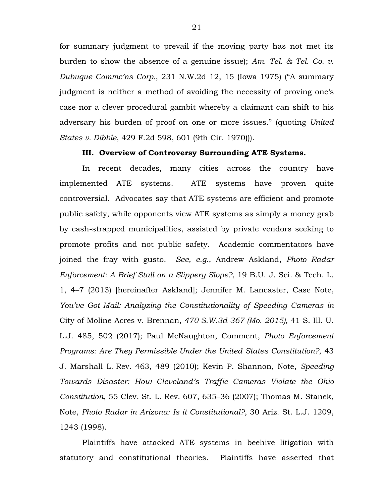for summary judgment to prevail if the moving party has not met its burden to show the absence of a genuine issue); *Am. Tel. & Tel. Co. v. Dubuque Commc'ns Corp.*, 231 N.W.2d 12, 15 (Iowa 1975) ("A summary judgment is neither a method of avoiding the necessity of proving one's case nor a clever procedural gambit whereby a claimant can shift to his adversary his burden of proof on one or more issues." (quoting *United States v. Dibble*, 429 F.2d 598, 601 (9th Cir. 1970))).

#### **III. Overview of Controversy Surrounding ATE Systems.**

In recent decades, many cities across the country have implemented ATE systems. ATE systems have proven quite controversial. Advocates say that ATE systems are efficient and promote public safety, while opponents view ATE systems as simply a money grab by cash-strapped municipalities, assisted by private vendors seeking to promote profits and not public safety. Academic commentators have joined the fray with gusto. *See, e.g.*, Andrew Askland, *Photo Radar Enforcement: A Brief Stall on a Slippery Slope?*, 19 B.U. J. Sci. & Tech. L. 1, 4–7 (2013) [hereinafter Askland]; Jennifer M. Lancaster, Case Note, *You've Got Mail: Analyzing the Constitutionality of Speeding Cameras in*  City of Moline Acres v. Brennan*, 470 S.W.3d 367 (Mo. 2015),* 41 S. Ill. U. L.J. 485, 502 (2017); Paul McNaughton, Comment, *Photo Enforcement Programs: Are They Permissible Under the United States Constitution?*, 43 J. Marshall L. Rev. 463, 489 (2010); Kevin P. Shannon, Note, *Speeding Towards Disaster: How Cleveland's Traffic Cameras Violate the Ohio Constitution*, 55 Clev. St. L. Rev. 607, 635–36 (2007); Thomas M. Stanek, Note, *Photo Radar in Arizona: Is it Constitutional?*, 30 Ariz. St. L.J. 1209, 1243 (1998).

Plaintiffs have attacked ATE systems in beehive litigation with statutory and constitutional theories. Plaintiffs have asserted that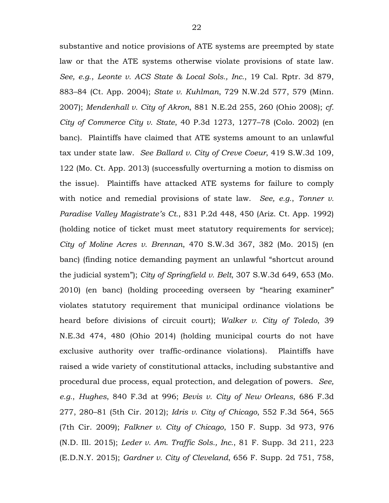substantive and notice provisions of ATE systems are preempted by state law or that the ATE systems otherwise violate provisions of state law. *See, e.g*., *Leonte v. ACS State & Local Sols., Inc.*, 19 Cal. Rptr. 3d 879, 883–84 (Ct. App. 2004); *State v. Kuhlman*, 729 N.W.2d 577, 579 (Minn. 2007); *Mendenhall v. City of Akron*, 881 N.E.2d 255, 260 (Ohio 2008); *cf. City of Commerce City v. State*, 40 P.3d 1273, 1277–78 (Colo. 2002) (en banc). Plaintiffs have claimed that ATE systems amount to an unlawful tax under state law. *See Ballard v. City of Creve Coeur*, 419 S.W.3d 109, 122 (Mo. Ct. App. 2013) (successfully overturning a motion to dismiss on the issue). Plaintiffs have attacked ATE systems for failure to comply with notice and remedial provisions of state law. *See, e.g.*, *Tonner v. Paradise Valley Magistrate's Ct.*, 831 P.2d 448, 450 (Ariz. Ct. App. 1992) (holding notice of ticket must meet statutory requirements for service); *City of Moline Acres v. Brennan*, 470 S.W.3d 367, 382 (Mo. 2015) (en banc) (finding notice demanding payment an unlawful "shortcut around the judicial system"); *City of Springfield v. Belt*, 307 S.W.3d 649, 653 (Mo. 2010) (en banc) (holding proceeding overseen by "hearing examiner" violates statutory requirement that municipal ordinance violations be heard before divisions of circuit court); *Walker v. City of Toledo*, 39 N.E.3d 474, 480 (Ohio 2014) (holding municipal courts do not have exclusive authority over traffic-ordinance violations). Plaintiffs have raised a wide variety of constitutional attacks, including substantive and procedural due process, equal protection, and delegation of powers. *See, e.g.*, *Hughes*, 840 F.3d at 996; *Bevis v. City of New Orleans*, 686 F.3d 277, 280–81 (5th Cir. 2012); *Idris v. City of Chicago*, 552 F.3d 564, 565 (7th Cir. 2009); *Falkner v. City of Chicago*, 150 F. Supp. 3d 973, 976 (N.D. Ill. 2015); *Leder v. Am. Traffic Sols., Inc.*, 81 F. Supp. 3d 211, 223 (E.D.N.Y. 2015); *Gardner v. City of Cleveland*, 656 F. Supp. 2d 751, 758,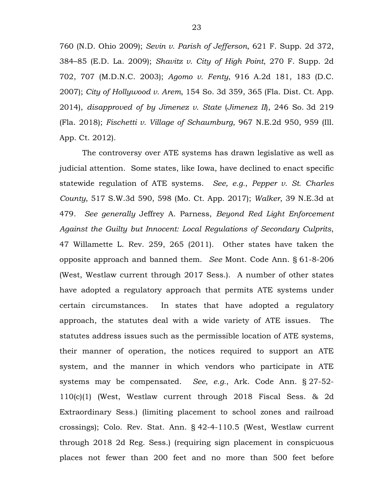760 (N.D. Ohio 2009); *Sevin v. Parish of Jefferson*, 621 F. Supp. 2d 372, 384–85 (E.D. La. 2009); *Shavitz v. City of High Point*, 270 F. Supp. 2d 702, 707 (M.D.N.C. 2003); *Agomo v. Fenty*, 916 A.2d 181, 183 (D.C. 2007); *City of Hollywood v. Arem*, 154 So. 3d 359, 365 (Fla. Dist. Ct. App. 2014), *disapproved of by Jimenez v. State* (*Jimenez II*), 246 So. 3d 219 (Fla. 2018); *Fischetti v. Village of Schaumburg*, 967 N.E.2d 950, 959 (Ill. App. Ct. 2012).

The controversy over ATE systems has drawn legislative as well as judicial attention. Some states, like Iowa, have declined to enact specific statewide regulation of ATE systems. *See, e.g.*, *Pepper v. St. Charles County*, 517 S.W.3d 590, 598 (Mo. Ct. App. 2017); *Walker*, 39 N.E.3d at 479. *See generally* Jeffrey A. Parness, *Beyond Red Light Enforcement Against the Guilty but Innocent: Local Regulations of Secondary Culprits*, 47 Willamette L. Rev. 259, 265 (2011). Other states have taken the opposite approach and banned them. *See* Mont. Code Ann. § 61-8-206 (West, Westlaw current through 2017 Sess.). A number of other states have adopted a regulatory approach that permits ATE systems under certain circumstances. In states that have adopted a regulatory approach, the statutes deal with a wide variety of ATE issues. The statutes address issues such as the permissible location of ATE systems, their manner of operation, the notices required to support an ATE system, and the manner in which vendors who participate in ATE systems may be compensated. *See, e.g.*, Ark. Code Ann. § 27-52- 110(c)(1) (West, Westlaw current through 2018 Fiscal Sess. & 2d Extraordinary Sess.) (limiting placement to school zones and railroad crossings); Colo. Rev. Stat. Ann. § 42-4-110.5 (West, Westlaw current through 2018 2d Reg. Sess.) (requiring sign placement in conspicuous places not fewer than 200 feet and no more than 500 feet before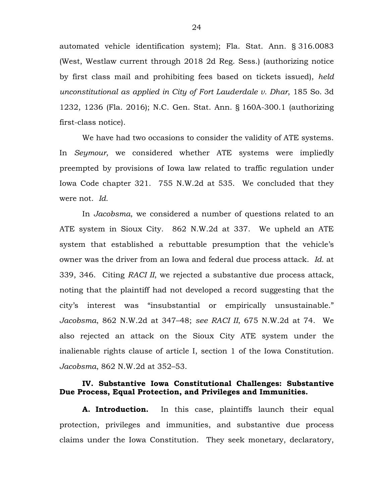automated vehicle identification system); Fla. Stat. Ann. § 316.0083 (West, Westlaw current through 2018 2d Reg. Sess.) (authorizing notice by first class mail and prohibiting fees based on tickets issued), *held unconstitutional as applied in City of Fort Lauderdale v. Dhar*, 185 So. 3d 1232, 1236 (Fla. 2016); N.C. Gen. Stat. Ann. § 160A-300.1 (authorizing first-class notice).

We have had two occasions to consider the validity of ATE systems. In *Seymour*, we considered whether ATE systems were impliedly preempted by provisions of Iowa law related to traffic regulation under Iowa Code chapter 321. 755 N.W.2d at 535. We concluded that they were not. *Id.*

In *Jacobsma*, we considered a number of questions related to an ATE system in Sioux City. 862 N.W.2d at 337. We upheld an ATE system that established a rebuttable presumption that the vehicle's owner was the driver from an Iowa and federal due process attack. *Id.* at 339, 346. Citing *RACI II*, we rejected a substantive due process attack, noting that the plaintiff had not developed a record suggesting that the city's interest was "insubstantial or empirically unsustainable." *Jacobsma*, 862 N.W.2d at 347–48; *see RACI II*, 675 N.W.2d at 74. We also rejected an attack on the Sioux City ATE system under the inalienable rights clause of article I, section 1 of the Iowa Constitution. *Jacobsma*, 862 N.W.2d at 352–53.

### **IV. Substantive Iowa Constitutional Challenges: Substantive Due Process, Equal Protection, and Privileges and Immunities.**

**A. Introduction.** In this case, plaintiffs launch their equal protection, privileges and immunities, and substantive due process claims under the Iowa Constitution. They seek monetary, declaratory,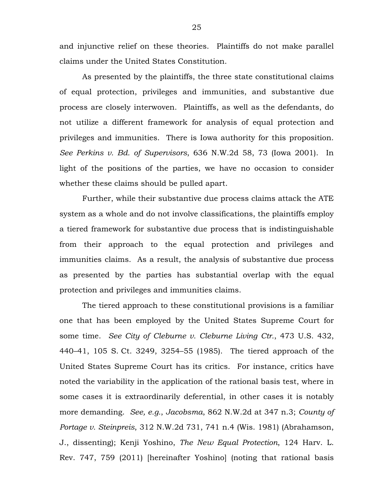and injunctive relief on these theories. Plaintiffs do not make parallel claims under the United States Constitution.

As presented by the plaintiffs, the three state constitutional claims of equal protection, privileges and immunities, and substantive due process are closely interwoven. Plaintiffs, as well as the defendants, do not utilize a different framework for analysis of equal protection and privileges and immunities. There is Iowa authority for this proposition. *See Perkins v. Bd. of Supervisors*, 636 N.W.2d 58, 73 (Iowa 2001). In light of the positions of the parties, we have no occasion to consider whether these claims should be pulled apart.

Further, while their substantive due process claims attack the ATE system as a whole and do not involve classifications, the plaintiffs employ a tiered framework for substantive due process that is indistinguishable from their approach to the equal protection and privileges and immunities claims. As a result, the analysis of substantive due process as presented by the parties has substantial overlap with the equal protection and privileges and immunities claims.

The tiered approach to these constitutional provisions is a familiar one that has been employed by the United States Supreme Court for some time. *See City of Cleburne v. Cleburne Living Ctr.*, 473 U.S. 432, 440–41, 105 S. Ct. 3249, 3254–55 (1985). The tiered approach of the United States Supreme Court has its critics. For instance, critics have noted the variability in the application of the rational basis test, where in some cases it is extraordinarily deferential, in other cases it is notably more demanding. *See, e.g.*, *Jacobsma*, 862 N.W.2d at 347 n.3; *County of Portage v. Steinpreis*, 312 N.W.2d 731, 741 n.4 (Wis. 1981) (Abrahamson, J., dissenting); Kenji Yoshino, *The New Equal Protection*, 124 Harv. L. Rev. 747, 759 (2011) [hereinafter Yoshino] (noting that rational basis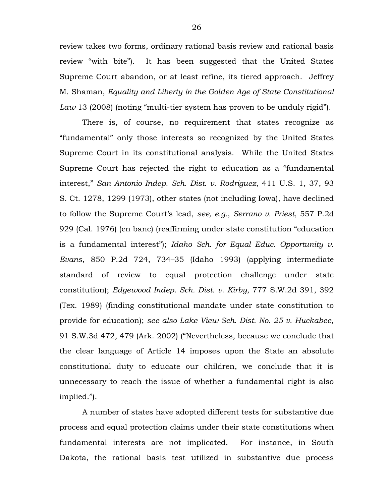review takes two forms, ordinary rational basis review and rational basis review "with bite"). It has been suggested that the United States Supreme Court abandon, or at least refine, its tiered approach. Jeffrey M. Shaman, *Equality and Liberty in the Golden Age of State Constitutional Law* 13 (2008) (noting "multi-tier system has proven to be unduly rigid").

There is, of course, no requirement that states recognize as "fundamental" only those interests so recognized by the United States Supreme Court in its constitutional analysis. While the United States Supreme Court has rejected the right to education as a "fundamental interest," *San Antonio Indep. Sch. Dist. v. Rodriguez*, 411 U.S. 1, 37, 93 S. Ct. 1278, 1299 (1973), other states (not including Iowa), have declined to follow the Supreme Court's lead, *see, e.g.*, *Serrano v. Priest*, 557 P.2d 929 (Cal. 1976) (en banc) (reaffirming under state constitution "education is a fundamental interest"); *Idaho Sch. for Equal Educ. Opportunity v. Evans*, 850 P.2d 724, 734–35 (Idaho 1993) (applying intermediate standard of review to equal protection challenge under state constitution); *Edgewood Indep. Sch. Dist. v. Kirby*, 777 S.W.2d 391, 392 (Tex. 1989) (finding constitutional mandate under state constitution to provide for education); *see also Lake View Sch. Dist. No. 25 v. Huckabee*, 91 S.W.3d 472, 479 (Ark. 2002) ("Nevertheless, because we conclude that the clear language of Article 14 imposes upon the State an absolute constitutional duty to educate our children, we conclude that it is unnecessary to reach the issue of whether a fundamental right is also implied.").

A number of states have adopted different tests for substantive due process and equal protection claims under their state constitutions when fundamental interests are not implicated. For instance, in South Dakota, the rational basis test utilized in substantive due process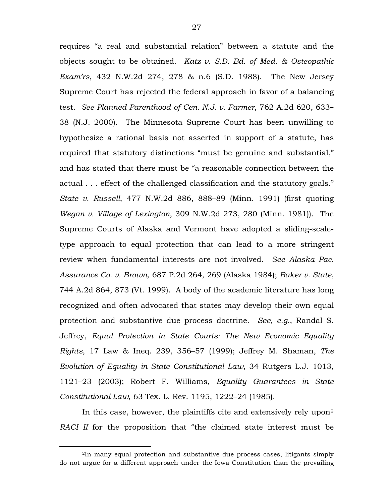requires "a real and substantial relation" between a statute and the objects sought to be obtained. *Katz v. S.D. Bd. of Med. & Osteopathic Exam'rs*, 432 N.W.2d 274, 278 & n.6 (S.D. 1988). The New Jersey Supreme Court has rejected the federal approach in favor of a balancing test. *See Planned Parenthood of Cen. N.J. v. Farmer*, 762 A.2d 620, 633– 38 (N.J. 2000). The Minnesota Supreme Court has been unwilling to hypothesize a rational basis not asserted in support of a statute, has required that statutory distinctions "must be genuine and substantial," and has stated that there must be "a reasonable connection between the actual . . . effect of the challenged classification and the statutory goals." *State v. Russell*, 477 N.W.2d 886, 888–89 (Minn. 1991) (first quoting *Wegan v. Village of Lexington*, 309 N.W.2d 273, 280 (Minn. 1981)). The Supreme Courts of Alaska and Vermont have adopted a sliding-scaletype approach to equal protection that can lead to a more stringent review when fundamental interests are not involved. *See Alaska Pac. Assurance Co. v. Brown,* 687 P.2d 264, 269 (Alaska 1984); *Baker v. State*, 744 A.2d 864, 873 (Vt. 1999). A body of the academic literature has long recognized and often advocated that states may develop their own equal protection and substantive due process doctrine. *See, e.g.*, Randal S. Jeffrey, *Equal Protection in State Courts: The New Economic Equality Rights*, 17 Law & Ineq. 239, 356–57 (1999); Jeffrey M. Shaman, *The Evolution of Equality in State Constitutional Law*, 34 Rutgers L.J. 1013, 1121–23 (2003); Robert F. Williams, *Equality Guarantees in State Constitutional Law*, 63 Tex. L. Rev. 1195, 1222–24 (1985).

In this case, however, the plaintiffs cite and extensively rely upon[2](#page-26-0) *RACI II* for the proposition that "the claimed state interest must be

<span id="page-26-0"></span> <sup>2</sup>In many equal protection and substantive due process cases, litigants simply do not argue for a different approach under the Iowa Constitution than the prevailing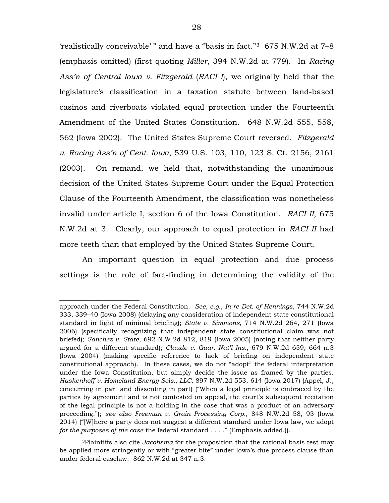'realistically conceivable' " and have a "basis in fact.["3](#page-27-0) 675 N.W.2d at 7–8 (emphasis omitted) (first quoting *Miller*, 394 N.W.2d at 779). In *Racing Ass'n of Central Iowa v. Fitzgerald* (*RACI I*), we originally held that the legislature's classification in a taxation statute between land-based casinos and riverboats violated equal protection under the Fourteenth Amendment of the United States Constitution. 648 N.W.2d 555, 558, 562 (Iowa 2002). The United States Supreme Court reversed. *Fitzgerald v. Racing Ass'n of Cent. Iowa*, 539 U.S. 103, 110, 123 S. Ct. 2156, 2161 (2003). On remand, we held that, notwithstanding the unanimous decision of the United States Supreme Court under the Equal Protection Clause of the Fourteenth Amendment, the classification was nonetheless invalid under article I, section 6 of the Iowa Constitution. *RACI II*, 675 N.W.2d at 3. Clearly, our approach to equal protection in *RACI II* had more teeth than that employed by the United States Supreme Court.

An important question in equal protection and due process settings is the role of fact-finding in determining the validity of the

 $\overline{\phantom{a}}$  , where  $\overline{\phantom{a}}$  , where  $\overline{\phantom{a}}$  , where  $\overline{\phantom{a}}$ 

approach under the Federal Constitution. *See, e.g.*, *In re Det. of Hennings*, 744 N.W.2d 333, 339–40 (Iowa 2008) (delaying any consideration of independent state constitutional standard in light of minimal briefing); *State v. Simmons*, 714 N.W.2d 264, 271 (Iowa 2006) (specifically recognizing that independent state constitutional claim was not briefed); *Sanchez v. State*, 692 N.W.2d 812, 819 (Iowa 2005) (noting that neither party argued for a different standard); *Claude v. Guar. Nat'l Ins.*, 679 N.W.2d 659, 664 n.3 (Iowa 2004) (making specific reference to lack of briefing on independent state constitutional approach). In these cases, we do not "adopt" the federal interpretation under the Iowa Constitution, but simply decide the issue as framed by the parties. *Haskenhoff v. Homeland Energy Sols., LLC*, 897 N.W.2d 553, 614 (Iowa 2017) (Appel, J., concurring in part and dissenting in part) ("When a legal principle is embraced by the parties by agreement and is not contested on appeal, the court's subsequent recitation of the legal principle is not a holding in the case that was a product of an adversary proceeding."); *see also Freeman v. Grain Processing Corp.*, 848 N.W.2d 58, 93 (Iowa 2014) ("[W]here a party does not suggest a different standard under Iowa law, we adopt *for the purposes of the case* the federal standard . . . ." (Emphasis added.)).

<span id="page-27-0"></span><sup>3</sup>Plaintiffs also cite *Jacobsma* for the proposition that the rational basis test may be applied more stringently or with "greater bite" under Iowa's due process clause than under federal caselaw. 862 N.W.2d at 347 n.3.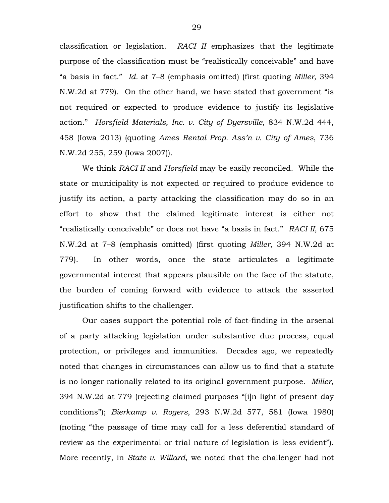classification or legislation. *RACI II* emphasizes that the legitimate purpose of the classification must be "realistically conceivable" and have "a basis in fact." *Id.* at 7–8 (emphasis omitted) (first quoting *Miller*, 394 N.W.2d at 779). On the other hand, we have stated that government "is not required or expected to produce evidence to justify its legislative action." *Horsfield Materials, Inc. v. City of Dyersville*, 834 N.W.2d 444, 458 (Iowa 2013) (quoting *Ames Rental Prop. Ass'n v. City of Ames*, 736 N.W.2d 255, 259 (Iowa 2007)).

We think *RACI II* and *Horsfield* may be easily reconciled. While the state or municipality is not expected or required to produce evidence to justify its action, a party attacking the classification may do so in an effort to show that the claimed legitimate interest is either not "realistically conceivable" or does not have "a basis in fact." *RACI II*, 675 N.W.2d at 7–8 (emphasis omitted) (first quoting *Miller*, 394 N.W.2d at 779). In other words, once the state articulates a legitimate governmental interest that appears plausible on the face of the statute, the burden of coming forward with evidence to attack the asserted justification shifts to the challenger.

Our cases support the potential role of fact-finding in the arsenal of a party attacking legislation under substantive due process, equal protection, or privileges and immunities. Decades ago, we repeatedly noted that changes in circumstances can allow us to find that a statute is no longer rationally related to its original government purpose. *Miller*, 394 N.W.2d at 779 (rejecting claimed purposes "[i]n light of present day conditions"); *Bierkamp v. Rogers*, 293 N.W.2d 577, 581 (Iowa 1980) (noting "the passage of time may call for a less deferential standard of review as the experimental or trial nature of legislation is less evident"). More recently, in *State v. Willard*, we noted that the challenger had not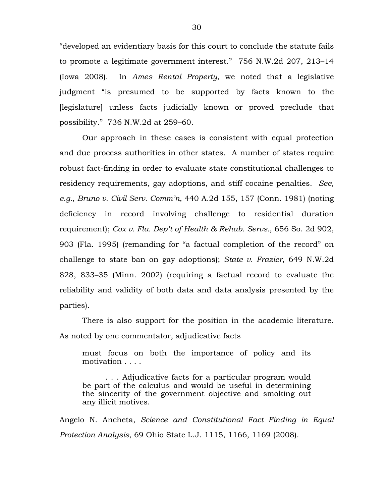"developed an evidentiary basis for this court to conclude the statute fails to promote a legitimate government interest." 756 N.W.2d 207, 213–14 (Iowa 2008). In *Ames Rental Property*, we noted that a legislative judgment "is presumed to be supported by facts known to the [legislature] unless facts judicially known or proved preclude that possibility." 736 N.W.2d at 259–60.

Our approach in these cases is consistent with equal protection and due process authorities in other states. A number of states require robust fact-finding in order to evaluate state constitutional challenges to residency requirements, gay adoptions, and stiff cocaine penalties. *See, e.g.*, *Bruno v. Civil Serv. Comm'n*, 440 A.2d 155, 157 (Conn. 1981) (noting deficiency in record involving challenge to residential duration requirement); *Cox v. Fla. Dep't of Health & Rehab. Servs.*, 656 So. 2d 902, 903 (Fla. 1995) (remanding for "a factual completion of the record" on challenge to state ban on gay adoptions); *State v. Frazier*, 649 N.W.2d 828, 833–35 (Minn. 2002) (requiring a factual record to evaluate the reliability and validity of both data and data analysis presented by the parties).

There is also support for the position in the academic literature. As noted by one commentator, adjudicative facts

must focus on both the importance of policy and its motivation . . . .

. . . Adjudicative facts for a particular program would be part of the calculus and would be useful in determining the sincerity of the government objective and smoking out any illicit motives.

Angelo N. Ancheta, *Science and Constitutional Fact Finding in Equal Protection Analysis*, 69 Ohio State L.J. 1115, 1166, 1169 (2008).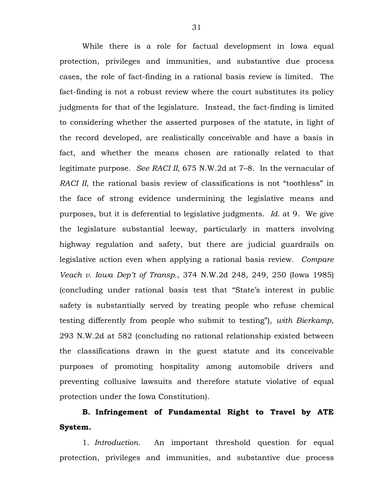While there is a role for factual development in Iowa equal protection, privileges and immunities, and substantive due process cases, the role of fact-finding in a rational basis review is limited. The fact-finding is not a robust review where the court substitutes its policy judgments for that of the legislature. Instead, the fact-finding is limited to considering whether the asserted purposes of the statute, in light of the record developed, are realistically conceivable and have a basis in fact, and whether the means chosen are rationally related to that legitimate purpose. *See RACI II*, 675 N.W.2d at 7–8. In the vernacular of *RACI II*, the rational basis review of classifications is not "toothless" in the face of strong evidence undermining the legislative means and purposes, but it is deferential to legislative judgments. *Id.* at 9. We give the legislature substantial leeway, particularly in matters involving highway regulation and safety, but there are judicial guardrails on legislative action even when applying a rational basis review. *Compare Veach v. Iowa Dep't of Transp.*, 374 N.W.2d 248, 249, 250 (Iowa 1985) (concluding under rational basis test that "State's interest in public safety is substantially served by treating people who refuse chemical testing differently from people who submit to testing"), *with Bierkamp*, 293 N.W.2d at 582 (concluding no rational relationship existed between the classifications drawn in the guest statute and its conceivable purposes of promoting hospitality among automobile drivers and preventing collusive lawsuits and therefore statute violative of equal protection under the Iowa Constitution).

# **B. Infringement of Fundamental Right to Travel by ATE System.**

1. *Introduction.* An important threshold question for equal protection, privileges and immunities, and substantive due process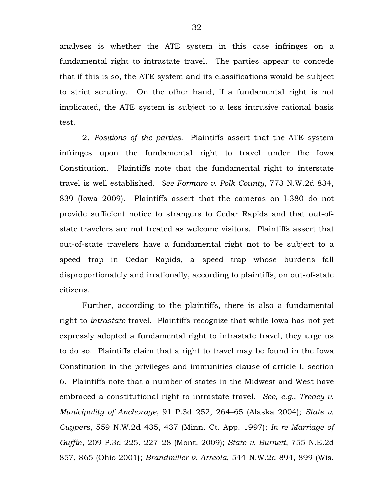analyses is whether the ATE system in this case infringes on a fundamental right to intrastate travel. The parties appear to concede that if this is so, the ATE system and its classifications would be subject to strict scrutiny. On the other hand, if a fundamental right is not implicated, the ATE system is subject to a less intrusive rational basis test.

2. *Positions of the parties.* Plaintiffs assert that the ATE system infringes upon the fundamental right to travel under the Iowa Constitution. Plaintiffs note that the fundamental right to interstate travel is well established. *See Formaro v. Polk County*, 773 N.W.2d 834, 839 (Iowa 2009). Plaintiffs assert that the cameras on I-380 do not provide sufficient notice to strangers to Cedar Rapids and that out-ofstate travelers are not treated as welcome visitors. Plaintiffs assert that out-of-state travelers have a fundamental right not to be subject to a speed trap in Cedar Rapids, a speed trap whose burdens fall disproportionately and irrationally, according to plaintiffs, on out-of-state citizens.

Further, according to the plaintiffs, there is also a fundamental right to *intrastate* travel. Plaintiffs recognize that while Iowa has not yet expressly adopted a fundamental right to intrastate travel, they urge us to do so. Plaintiffs claim that a right to travel may be found in the Iowa Constitution in the privileges and immunities clause of article I, section 6. Plaintiffs note that a number of states in the Midwest and West have embraced a constitutional right to intrastate travel. *See, e.g.*, *Treacy v. Municipality of Anchorage*, 91 P.3d 252, 264–65 (Alaska 2004); *State v. Cuypers*, 559 N.W.2d 435, 437 (Minn. Ct. App. 1997); *In re Marriage of Guffin*, 209 P.3d 225, 227–28 (Mont. 2009); *State v. Burnett*, 755 N.E.2d 857, 865 (Ohio 2001); *Brandmiller v. Arreola*, 544 N.W.2d 894, 899 (Wis.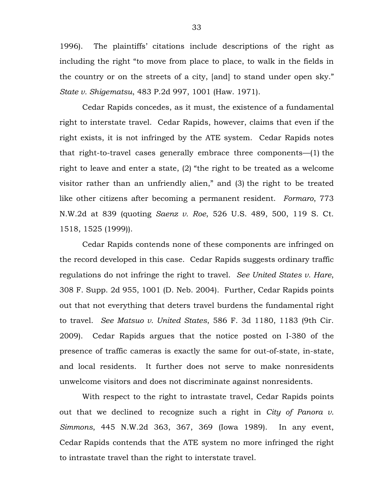1996). The plaintiffs' citations include descriptions of the right as including the right "to move from place to place, to walk in the fields in the country or on the streets of a city, [and] to stand under open sky." *State v. Shigematsu*, 483 P.2d 997, 1001 (Haw. 1971).

Cedar Rapids concedes, as it must, the existence of a fundamental right to interstate travel. Cedar Rapids, however, claims that even if the right exists, it is not infringed by the ATE system. Cedar Rapids notes that right-to-travel cases generally embrace three components—(1) the right to leave and enter a state, (2) "the right to be treated as a welcome visitor rather than an unfriendly alien," and (3) the right to be treated like other citizens after becoming a permanent resident. *Formaro*, 773 N.W.2d at 839 (quoting *Saenz v. Roe*, 526 U.S. 489, 500, 119 S. Ct. 1518, 1525 (1999)).

Cedar Rapids contends none of these components are infringed on the record developed in this case. Cedar Rapids suggests ordinary traffic regulations do not infringe the right to travel. *See United States v. Hare*, 308 F. Supp. 2d 955, 1001 (D. Neb. 2004). Further, Cedar Rapids points out that not everything that deters travel burdens the fundamental right to travel. *See Matsuo v. United States*, 586 F. 3d 1180, 1183 (9th Cir. 2009). Cedar Rapids argues that the notice posted on I-380 of the presence of traffic cameras is exactly the same for out-of-state, in-state, and local residents. It further does not serve to make nonresidents unwelcome visitors and does not discriminate against nonresidents.

With respect to the right to intrastate travel, Cedar Rapids points out that we declined to recognize such a right in *City of Panora v. Simmons*, 445 N.W.2d 363, 367, 369 (Iowa 1989). In any event, Cedar Rapids contends that the ATE system no more infringed the right to intrastate travel than the right to interstate travel.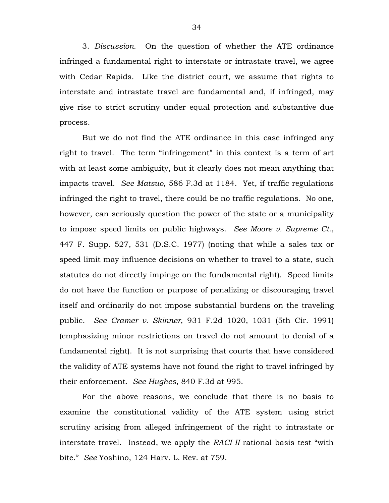3. *Discussion.* On the question of whether the ATE ordinance infringed a fundamental right to interstate or intrastate travel, we agree with Cedar Rapids. Like the district court, we assume that rights to interstate and intrastate travel are fundamental and, if infringed, may give rise to strict scrutiny under equal protection and substantive due process.

But we do not find the ATE ordinance in this case infringed any right to travel. The term "infringement" in this context is a term of art with at least some ambiguity, but it clearly does not mean anything that impacts travel. *See Matsuo*, 586 F.3d at 1184. Yet, if traffic regulations infringed the right to travel, there could be no traffic regulations. No one, however, can seriously question the power of the state or a municipality to impose speed limits on public highways. *See Moore v. Supreme Ct.*, 447 F. Supp. 527, 531 (D.S.C. 1977) (noting that while a sales tax or speed limit may influence decisions on whether to travel to a state, such statutes do not directly impinge on the fundamental right). Speed limits do not have the function or purpose of penalizing or discouraging travel itself and ordinarily do not impose substantial burdens on the traveling public. *See Cramer v. Skinner*, 931 F.2d 1020, 1031 (5th Cir. 1991) (emphasizing minor restrictions on travel do not amount to denial of a fundamental right). It is not surprising that courts that have considered the validity of ATE systems have not found the right to travel infringed by their enforcement. *See Hughes*, 840 F.3d at 995.

For the above reasons, we conclude that there is no basis to examine the constitutional validity of the ATE system using strict scrutiny arising from alleged infringement of the right to intrastate or interstate travel. Instead, we apply the *RACI II* rational basis test "with bite." *See* Yoshino, 124 Harv. L. Rev. at 759.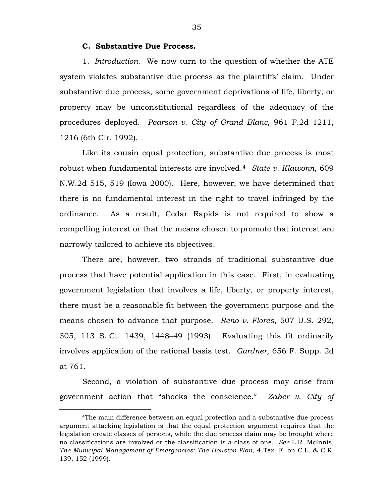## **C. Substantive Due Process.**

1. *Introduction.* We now turn to the question of whether the ATE system violates substantive due process as the plaintiffs' claim. Under substantive due process, some government deprivations of life, liberty, or property may be unconstitutional regardless of the adequacy of the procedures deployed. *Pearson v. City of Grand Blanc*, 961 F.2d 1211, 1216 (6th Cir. 1992).

Like its cousin equal protection, substantive due process is most robust when fundamental interests are involved.[4](#page-34-0) *State v. Klawonn*, 609 N.W.2d 515, 519 (Iowa 2000). Here, however, we have determined that there is no fundamental interest in the right to travel infringed by the ordinance. As a result, Cedar Rapids is not required to show a compelling interest or that the means chosen to promote that interest are narrowly tailored to achieve its objectives.

There are, however, two strands of traditional substantive due process that have potential application in this case. First, in evaluating government legislation that involves a life, liberty, or property interest, there must be a reasonable fit between the government purpose and the means chosen to advance that purpose. *Reno v. Flores*, 507 U.S. 292, 305, 113 S. Ct. 1439, 1448–49 (1993). Evaluating this fit ordinarily involves application of the rational basis test. *Gardner*, 656 F. Supp. 2d at 761.

Second, a violation of substantive due process may arise from government action that "shocks the conscience." *Zaber v. City of* 

<span id="page-34-0"></span> <sup>4</sup>The main difference between an equal protection and a substantive due process argument attacking legislation is that the equal protection argument requires that the legislation create classes of persons, while the due process claim may be brought where no classifications are involved or the classification is a class of one. *See* L.R. McInnis, *The Municipal Management of Emergencies: The Houston Plan*, 4 Tex. F. on C.L. & C.R. 139, 152 (1999).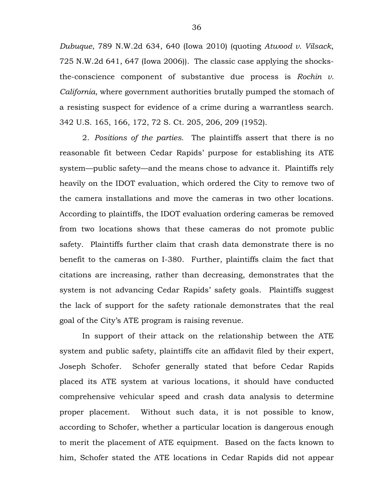*Dubuque*, 789 N.W.2d 634, 640 (Iowa 2010) (quoting *Atwood v. Vilsack*, 725 N.W.2d 641, 647 (Iowa 2006)). The classic case applying the shocksthe-conscience component of substantive due process is *Rochin v. California*, where government authorities brutally pumped the stomach of a resisting suspect for evidence of a crime during a warrantless search. 342 U.S. 165, 166, 172, 72 S. Ct. 205, 206, 209 (1952).

2. *Positions of the parties.* The plaintiffs assert that there is no reasonable fit between Cedar Rapids' purpose for establishing its ATE system—public safety—and the means chose to advance it. Plaintiffs rely heavily on the IDOT evaluation, which ordered the City to remove two of the camera installations and move the cameras in two other locations. According to plaintiffs, the IDOT evaluation ordering cameras be removed from two locations shows that these cameras do not promote public safety. Plaintiffs further claim that crash data demonstrate there is no benefit to the cameras on I-380. Further, plaintiffs claim the fact that citations are increasing, rather than decreasing, demonstrates that the system is not advancing Cedar Rapids' safety goals. Plaintiffs suggest the lack of support for the safety rationale demonstrates that the real goal of the City's ATE program is raising revenue.

In support of their attack on the relationship between the ATE system and public safety, plaintiffs cite an affidavit filed by their expert, Joseph Schofer. Schofer generally stated that before Cedar Rapids placed its ATE system at various locations, it should have conducted comprehensive vehicular speed and crash data analysis to determine proper placement. Without such data, it is not possible to know, according to Schofer, whether a particular location is dangerous enough to merit the placement of ATE equipment. Based on the facts known to him, Schofer stated the ATE locations in Cedar Rapids did not appear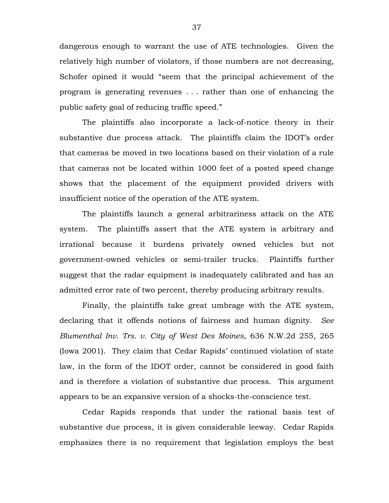dangerous enough to warrant the use of ATE technologies. Given the relatively high number of violators, if those numbers are not decreasing, Schofer opined it would "seem that the principal achievement of the program is generating revenues . . . rather than one of enhancing the public safety goal of reducing traffic speed."

The plaintiffs also incorporate a lack-of-notice theory in their substantive due process attack. The plaintiffs claim the IDOT's order that cameras be moved in two locations based on their violation of a rule that cameras not be located within 1000 feet of a posted speed change shows that the placement of the equipment provided drivers with insufficient notice of the operation of the ATE system.

The plaintiffs launch a general arbitrariness attack on the ATE system. The plaintiffs assert that the ATE system is arbitrary and irrational because it burdens privately owned vehicles but not government-owned vehicles or semi-trailer trucks. Plaintiffs further suggest that the radar equipment is inadequately calibrated and has an admitted error rate of two percent, thereby producing arbitrary results.

Finally, the plaintiffs take great umbrage with the ATE system, declaring that it offends notions of fairness and human dignity. *See Blumenthal Inv. Trs. v. City of West Des Moines*, 636 N.W.2d 255, 265 (Iowa 2001). They claim that Cedar Rapids' continued violation of state law, in the form of the IDOT order, cannot be considered in good faith and is therefore a violation of substantive due process. This argument appears to be an expansive version of a shocks-the-conscience test.

Cedar Rapids responds that under the rational basis test of substantive due process, it is given considerable leeway. Cedar Rapids emphasizes there is no requirement that legislation employs the best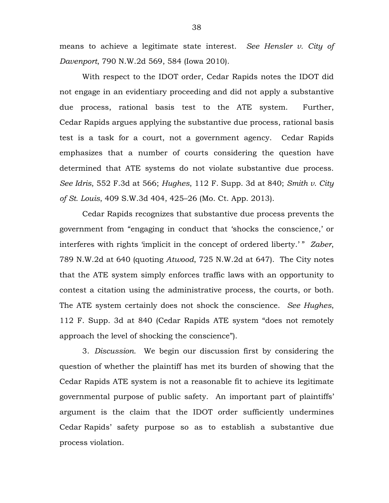means to achieve a legitimate state interest. *See Hensler v. City of Davenport*, 790 N.W.2d 569, 584 (Iowa 2010).

With respect to the IDOT order, Cedar Rapids notes the IDOT did not engage in an evidentiary proceeding and did not apply a substantive due process, rational basis test to the ATE system. Further, Cedar Rapids argues applying the substantive due process, rational basis test is a task for a court, not a government agency. Cedar Rapids emphasizes that a number of courts considering the question have determined that ATE systems do not violate substantive due process. *See Idris*, 552 F.3d at 566; *Hughes*, 112 F. Supp. 3d at 840; *Smith v. City of St. Louis*, 409 S.W.3d 404, 425–26 (Mo. Ct. App. 2013).

Cedar Rapids recognizes that substantive due process prevents the government from "engaging in conduct that 'shocks the conscience,' or interferes with rights 'implicit in the concept of ordered liberty.' " *Zaber*, 789 N.W.2d at 640 (quoting *Atwood*, 725 N.W.2d at 647). The City notes that the ATE system simply enforces traffic laws with an opportunity to contest a citation using the administrative process, the courts, or both. The ATE system certainly does not shock the conscience. *See Hughes*, 112 F. Supp. 3d at 840 (Cedar Rapids ATE system "does not remotely approach the level of shocking the conscience").

3. *Discussion.* We begin our discussion first by considering the question of whether the plaintiff has met its burden of showing that the Cedar Rapids ATE system is not a reasonable fit to achieve its legitimate governmental purpose of public safety. An important part of plaintiffs' argument is the claim that the IDOT order sufficiently undermines Cedar Rapids' safety purpose so as to establish a substantive due process violation.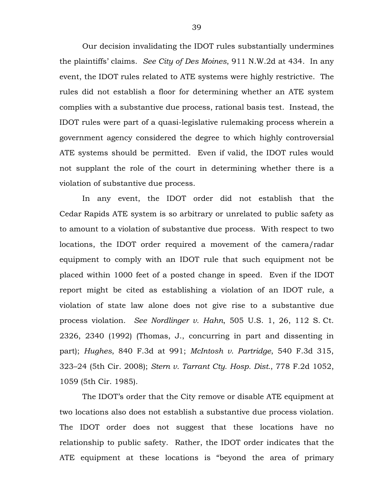Our decision invalidating the IDOT rules substantially undermines the plaintiffs' claims. *See City of Des Moines*, 911 N.W.2d at 434. In any event, the IDOT rules related to ATE systems were highly restrictive. The rules did not establish a floor for determining whether an ATE system complies with a substantive due process, rational basis test. Instead, the IDOT rules were part of a quasi-legislative rulemaking process wherein a government agency considered the degree to which highly controversial ATE systems should be permitted. Even if valid, the IDOT rules would not supplant the role of the court in determining whether there is a violation of substantive due process.

In any event, the IDOT order did not establish that the Cedar Rapids ATE system is so arbitrary or unrelated to public safety as to amount to a violation of substantive due process. With respect to two locations, the IDOT order required a movement of the camera/radar equipment to comply with an IDOT rule that such equipment not be placed within 1000 feet of a posted change in speed. Even if the IDOT report might be cited as establishing a violation of an IDOT rule, a violation of state law alone does not give rise to a substantive due process violation. *See Nordlinger v. Hahn*, 505 U.S. 1, 26, 112 S. Ct. 2326, 2340 (1992) (Thomas, J., concurring in part and dissenting in part); *Hughes*, 840 F.3d at 991; *McIntosh v. Partridge*, 540 F.3d 315, 323–24 (5th Cir. 2008); *Stern v. Tarrant Cty. Hosp. Dist.*, 778 F.2d 1052, 1059 (5th Cir. 1985).

The IDOT's order that the City remove or disable ATE equipment at two locations also does not establish a substantive due process violation. The IDOT order does not suggest that these locations have no relationship to public safety. Rather, the IDOT order indicates that the ATE equipment at these locations is "beyond the area of primary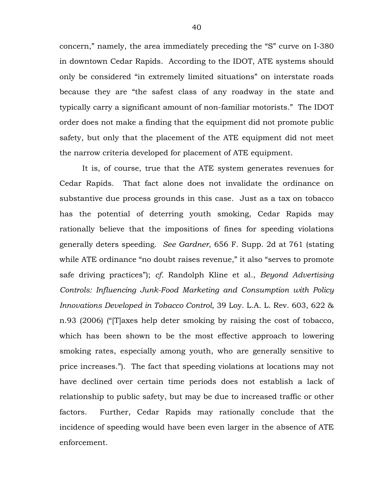concern," namely, the area immediately preceding the "S" curve on I-380 in downtown Cedar Rapids. According to the IDOT, ATE systems should only be considered "in extremely limited situations" on interstate roads because they are "the safest class of any roadway in the state and typically carry a significant amount of non-familiar motorists." The IDOT order does not make a finding that the equipment did not promote public safety, but only that the placement of the ATE equipment did not meet the narrow criteria developed for placement of ATE equipment.

It is, of course, true that the ATE system generates revenues for Cedar Rapids. That fact alone does not invalidate the ordinance on substantive due process grounds in this case. Just as a tax on tobacco has the potential of deterring youth smoking, Cedar Rapids may rationally believe that the impositions of fines for speeding violations generally deters speeding. *See Gardner*, 656 F. Supp. 2d at 761 (stating while ATE ordinance "no doubt raises revenue," it also "serves to promote safe driving practices"); *cf.* Randolph Kline et al., *Beyond Advertising Controls: Influencing Junk-Food Marketing and Consumption with Policy Innovations Developed in Tobacco Control*, 39 Loy. L.A. L. Rev. 603, 622 & n.93 (2006) ("[T]axes help deter smoking by raising the cost of tobacco, which has been shown to be the most effective approach to lowering smoking rates, especially among youth, who are generally sensitive to price increases."). The fact that speeding violations at locations may not have declined over certain time periods does not establish a lack of relationship to public safety, but may be due to increased traffic or other factors. Further, Cedar Rapids may rationally conclude that the incidence of speeding would have been even larger in the absence of ATE enforcement.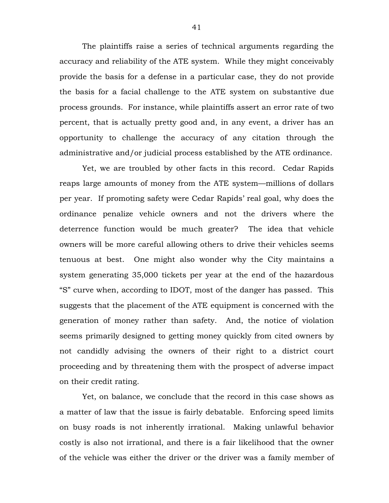The plaintiffs raise a series of technical arguments regarding the accuracy and reliability of the ATE system. While they might conceivably provide the basis for a defense in a particular case, they do not provide the basis for a facial challenge to the ATE system on substantive due process grounds. For instance, while plaintiffs assert an error rate of two percent, that is actually pretty good and, in any event, a driver has an opportunity to challenge the accuracy of any citation through the administrative and/or judicial process established by the ATE ordinance.

Yet, we are troubled by other facts in this record. Cedar Rapids reaps large amounts of money from the ATE system—millions of dollars per year. If promoting safety were Cedar Rapids' real goal, why does the ordinance penalize vehicle owners and not the drivers where the deterrence function would be much greater? The idea that vehicle owners will be more careful allowing others to drive their vehicles seems tenuous at best. One might also wonder why the City maintains a system generating 35,000 tickets per year at the end of the hazardous "S" curve when, according to IDOT, most of the danger has passed. This suggests that the placement of the ATE equipment is concerned with the generation of money rather than safety. And, the notice of violation seems primarily designed to getting money quickly from cited owners by not candidly advising the owners of their right to a district court proceeding and by threatening them with the prospect of adverse impact on their credit rating.

Yet, on balance, we conclude that the record in this case shows as a matter of law that the issue is fairly debatable. Enforcing speed limits on busy roads is not inherently irrational. Making unlawful behavior costly is also not irrational, and there is a fair likelihood that the owner of the vehicle was either the driver or the driver was a family member of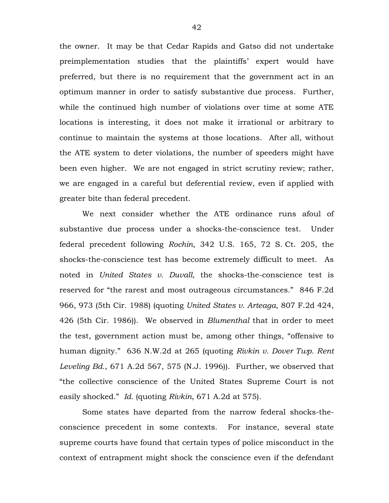the owner. It may be that Cedar Rapids and Gatso did not undertake preimplementation studies that the plaintiffs' expert would have preferred, but there is no requirement that the government act in an optimum manner in order to satisfy substantive due process. Further, while the continued high number of violations over time at some ATE locations is interesting, it does not make it irrational or arbitrary to continue to maintain the systems at those locations. After all, without the ATE system to deter violations, the number of speeders might have been even higher. We are not engaged in strict scrutiny review; rather, we are engaged in a careful but deferential review, even if applied with greater bite than federal precedent.

We next consider whether the ATE ordinance runs afoul of substantive due process under a shocks-the-conscience test. Under federal precedent following *Rochin*, 342 U.S. 165, 72 S. Ct. 205, the shocks-the-conscience test has become extremely difficult to meet. As noted in *United States v. Duvall*, the shocks-the-conscience test is reserved for "the rarest and most outrageous circumstances." 846 F.2d 966, 973 (5th Cir. 1988) (quoting *United States v. Arteaga*, 807 F.2d 424, 426 (5th Cir. 1986)). We observed in *Blumenthal* that in order to meet the test, government action must be, among other things, "offensive to human dignity." 636 N.W.2d at 265 (quoting *Rivkin v. Dover Twp. Rent Leveling Bd.*, 671 A.2d 567, 575 (N.J. 1996)). Further, we observed that "the collective conscience of the United States Supreme Court is not easily shocked." *Id.* (quoting *Rivkin*, 671 A.2d at 575).

Some states have departed from the narrow federal shocks-theconscience precedent in some contexts. For instance, several state supreme courts have found that certain types of police misconduct in the context of entrapment might shock the conscience even if the defendant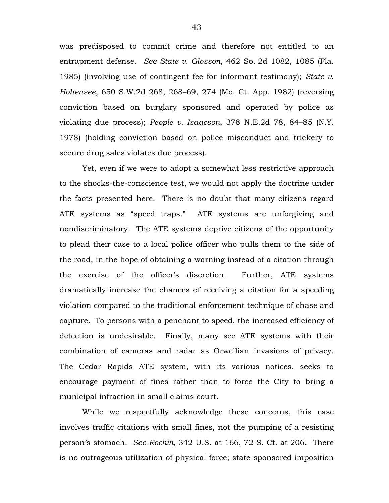was predisposed to commit crime and therefore not entitled to an entrapment defense. *See State v. Glosson*, 462 So. 2d 1082, 1085 (Fla. 1985) (involving use of contingent fee for informant testimony); *State v. Hohensee*, 650 S.W.2d 268, 268–69, 274 (Mo. Ct. App. 1982) (reversing conviction based on burglary sponsored and operated by police as violating due process); *People v. Isaacson*, 378 N.E.2d 78, 84–85 (N.Y. 1978) (holding conviction based on police misconduct and trickery to secure drug sales violates due process).

Yet, even if we were to adopt a somewhat less restrictive approach to the shocks-the-conscience test, we would not apply the doctrine under the facts presented here. There is no doubt that many citizens regard ATE systems as "speed traps." ATE systems are unforgiving and nondiscriminatory. The ATE systems deprive citizens of the opportunity to plead their case to a local police officer who pulls them to the side of the road, in the hope of obtaining a warning instead of a citation through the exercise of the officer's discretion. Further, ATE systems dramatically increase the chances of receiving a citation for a speeding violation compared to the traditional enforcement technique of chase and capture. To persons with a penchant to speed, the increased efficiency of detection is undesirable. Finally, many see ATE systems with their combination of cameras and radar as Orwellian invasions of privacy. The Cedar Rapids ATE system, with its various notices, seeks to encourage payment of fines rather than to force the City to bring a municipal infraction in small claims court.

While we respectfully acknowledge these concerns, this case involves traffic citations with small fines, not the pumping of a resisting person's stomach. *See Rochin*, 342 U.S. at 166, 72 S. Ct. at 206. There is no outrageous utilization of physical force; state-sponsored imposition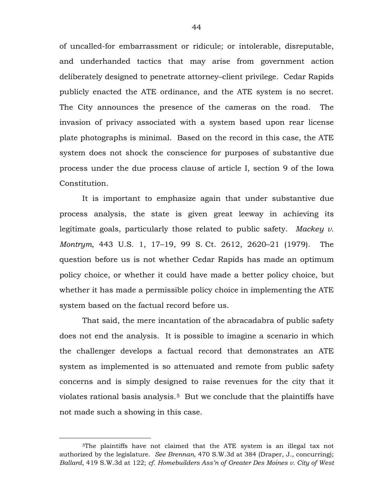of uncalled-for embarrassment or ridicule; or intolerable, disreputable, and underhanded tactics that may arise from government action deliberately designed to penetrate attorney–client privilege. Cedar Rapids publicly enacted the ATE ordinance, and the ATE system is no secret. The City announces the presence of the cameras on the road. The invasion of privacy associated with a system based upon rear license plate photographs is minimal. Based on the record in this case, the ATE system does not shock the conscience for purposes of substantive due process under the due process clause of article I, section 9 of the Iowa Constitution.

It is important to emphasize again that under substantive due process analysis, the state is given great leeway in achieving its legitimate goals, particularly those related to public safety. *Mackey v. Montrym*, 443 U.S. 1, 17–19, 99 S. Ct. 2612, 2620–21 (1979). The question before us is not whether Cedar Rapids has made an optimum policy choice, or whether it could have made a better policy choice, but whether it has made a permissible policy choice in implementing the ATE system based on the factual record before us.

That said, the mere incantation of the abracadabra of public safety does not end the analysis. It is possible to imagine a scenario in which the challenger develops a factual record that demonstrates an ATE system as implemented is so attenuated and remote from public safety concerns and is simply designed to raise revenues for the city that it violates rational basis analysis.<sup>5</sup> But we conclude that the plaintiffs have not made such a showing in this case.

<span id="page-43-0"></span> <sup>5</sup>The plaintiffs have not claimed that the ATE system is an illegal tax not authorized by the legislature. *See Brennan*, 470 S.W.3d at 384 (Draper, J., concurring); *Ballard*, 419 S.W.3d at 122; *cf. Homebuilders Ass'n of Greater Des Moines v. City of West*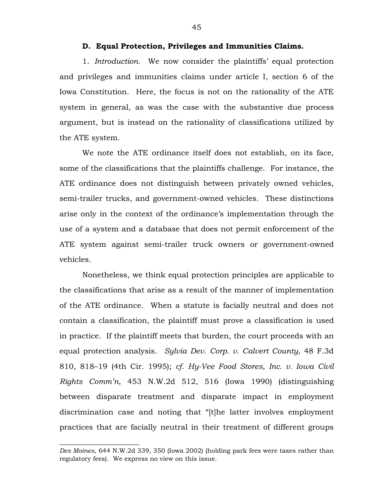## **D. Equal Protection, Privileges and Immunities Claims.**

1. *Introduction.* We now consider the plaintiffs' equal protection and privileges and immunities claims under article I, section 6 of the Iowa Constitution. Here, the focus is not on the rationality of the ATE system in general, as was the case with the substantive due process argument, but is instead on the rationality of classifications utilized by the ATE system.

We note the ATE ordinance itself does not establish, on its face, some of the classifications that the plaintiffs challenge. For instance, the ATE ordinance does not distinguish between privately owned vehicles, semi-trailer trucks, and government-owned vehicles. These distinctions arise only in the context of the ordinance's implementation through the use of a system and a database that does not permit enforcement of the ATE system against semi-trailer truck owners or government-owned vehicles.

Nonetheless, we think equal protection principles are applicable to the classifications that arise as a result of the manner of implementation of the ATE ordinance. When a statute is facially neutral and does not contain a classification, the plaintiff must prove a classification is used in practice. If the plaintiff meets that burden, the court proceeds with an equal protection analysis. *Sylvia Dev. Corp. v. Calvert County*, 48 F.3d 810, 818–19 (4th Cir. 1995); *cf. Hy-Vee Food Stores, Inc. v. Iowa Civil Rights Comm'n*, 453 N.W.2d 512, 516 (Iowa 1990) (distinguishing between disparate treatment and disparate impact in employment discrimination case and noting that "[t]he latter involves employment practices that are facially neutral in their treatment of different groups

 $\overline{\phantom{a}}$  , where  $\overline{\phantom{a}}$  , where  $\overline{\phantom{a}}$  , where  $\overline{\phantom{a}}$ 

*Des Moines*, 644 N.W.2d 339, 350 (Iowa 2002) (holding park fees were taxes rather than regulatory fees). We express no view on this issue.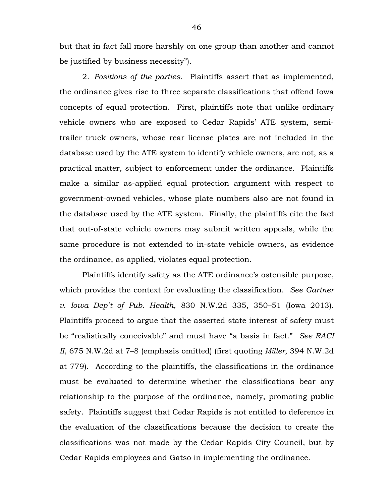but that in fact fall more harshly on one group than another and cannot be justified by business necessity").

2. *Positions of the parties.*Plaintiffs assert that as implemented, the ordinance gives rise to three separate classifications that offend Iowa concepts of equal protection. First, plaintiffs note that unlike ordinary vehicle owners who are exposed to Cedar Rapids' ATE system, semitrailer truck owners, whose rear license plates are not included in the database used by the ATE system to identify vehicle owners, are not, as a practical matter, subject to enforcement under the ordinance. Plaintiffs make a similar as-applied equal protection argument with respect to government-owned vehicles, whose plate numbers also are not found in the database used by the ATE system. Finally, the plaintiffs cite the fact that out-of-state vehicle owners may submit written appeals, while the same procedure is not extended to in-state vehicle owners, as evidence the ordinance, as applied, violates equal protection.

Plaintiffs identify safety as the ATE ordinance's ostensible purpose, which provides the context for evaluating the classification. *See Gartner v. Iowa Dep't of Pub. Health*, 830 N.W.2d 335, 350–51 (Iowa 2013). Plaintiffs proceed to argue that the asserted state interest of safety must be "realistically conceivable" and must have "a basis in fact." *See RACI II*, 675 N.W.2d at 7–8 (emphasis omitted) (first quoting *Miller*, 394 N.W.2d at 779). According to the plaintiffs, the classifications in the ordinance must be evaluated to determine whether the classifications bear any relationship to the purpose of the ordinance, namely, promoting public safety. Plaintiffs suggest that Cedar Rapids is not entitled to deference in the evaluation of the classifications because the decision to create the classifications was not made by the Cedar Rapids City Council, but by Cedar Rapids employees and Gatso in implementing the ordinance.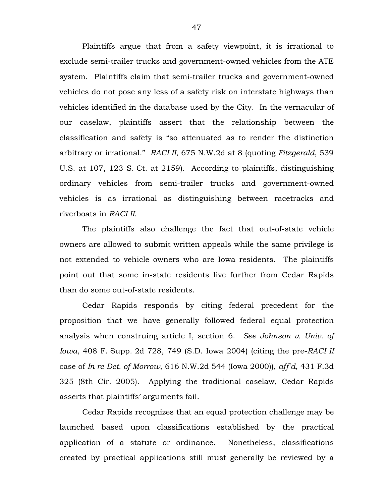Plaintiffs argue that from a safety viewpoint, it is irrational to exclude semi-trailer trucks and government-owned vehicles from the ATE system. Plaintiffs claim that semi-trailer trucks and government-owned vehicles do not pose any less of a safety risk on interstate highways than vehicles identified in the database used by the City. In the vernacular of our caselaw, plaintiffs assert that the relationship between the classification and safety is "so attenuated as to render the distinction arbitrary or irrational." *RACI II*, 675 N.W.2d at 8 (quoting *Fitzgerald*, 539 U.S. at 107, 123 S. Ct. at 2159). According to plaintiffs, distinguishing ordinary vehicles from semi-trailer trucks and government-owned vehicles is as irrational as distinguishing between racetracks and riverboats in *RACI II*.

The plaintiffs also challenge the fact that out-of-state vehicle owners are allowed to submit written appeals while the same privilege is not extended to vehicle owners who are Iowa residents. The plaintiffs point out that some in-state residents live further from Cedar Rapids than do some out-of-state residents.

Cedar Rapids responds by citing federal precedent for the proposition that we have generally followed federal equal protection analysis when construing article I, section 6. *See Johnson v. Univ. of Iowa*, 408 F. Supp. 2d 728, 749 (S.D. Iowa 2004) (citing the pre-*RACI II* case of *In re Det. of Morrow*, 616 N.W.2d 544 (Iowa 2000)), *aff'd*, 431 F.3d 325 (8th Cir. 2005). Applying the traditional caselaw, Cedar Rapids asserts that plaintiffs' arguments fail.

Cedar Rapids recognizes that an equal protection challenge may be launched based upon classifications established by the practical application of a statute or ordinance. Nonetheless, classifications created by practical applications still must generally be reviewed by a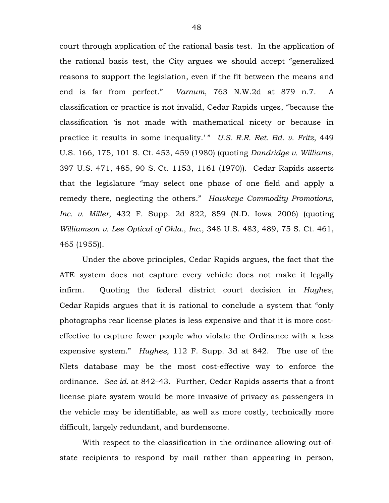court through application of the rational basis test. In the application of the rational basis test, the City argues we should accept "generalized reasons to support the legislation, even if the fit between the means and end is far from perfect." *Varnum*, 763 N.W.2d at 879 n.7. A classification or practice is not invalid, Cedar Rapids urges, "because the classification 'is not made with mathematical nicety or because in practice it results in some inequality.' " *U.S. R.R. Ret. Bd. v. Fritz*, 449 U.S. 166, 175, 101 S. Ct. 453, 459 (1980) (quoting *Dandridge v. Williams*, 397 U.S. 471, 485, 90 S. Ct. 1153, 1161 (1970)). Cedar Rapids asserts that the legislature "may select one phase of one field and apply a remedy there, neglecting the others." *Hawkeye Commodity Promotions, Inc. v. Miller*, 432 F. Supp. 2d 822, 859 (N.D. Iowa 2006) (quoting *Williamson v. Lee Optical of Okla., Inc.*, 348 U.S. 483, 489, 75 S. Ct. 461, 465 (1955)).

Under the above principles, Cedar Rapids argues, the fact that the ATE system does not capture every vehicle does not make it legally infirm. Quoting the federal district court decision in *Hughes*, Cedar Rapids argues that it is rational to conclude a system that "only photographs rear license plates is less expensive and that it is more costeffective to capture fewer people who violate the Ordinance with a less expensive system." *Hughes*, 112 F. Supp. 3d at 842. The use of the Nlets database may be the most cost-effective way to enforce the ordinance. *See id.* at 842–43. Further, Cedar Rapids asserts that a front license plate system would be more invasive of privacy as passengers in the vehicle may be identifiable, as well as more costly, technically more difficult, largely redundant, and burdensome.

With respect to the classification in the ordinance allowing out-ofstate recipients to respond by mail rather than appearing in person,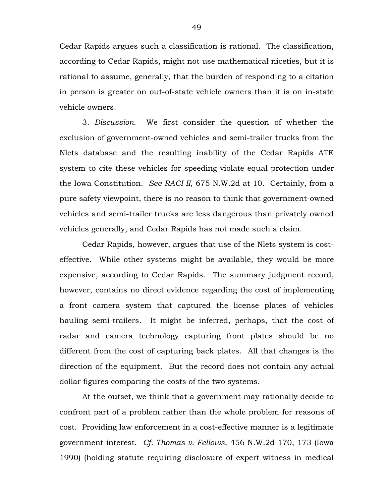Cedar Rapids argues such a classification is rational. The classification, according to Cedar Rapids, might not use mathematical niceties, but it is rational to assume, generally, that the burden of responding to a citation in person is greater on out-of-state vehicle owners than it is on in-state vehicle owners.

3. *Discussion.* We first consider the question of whether the exclusion of government-owned vehicles and semi-trailer trucks from the Nlets database and the resulting inability of the Cedar Rapids ATE system to cite these vehicles for speeding violate equal protection under the Iowa Constitution. *See RACI II*, 675 N.W.2d at 10. Certainly, from a pure safety viewpoint, there is no reason to think that government-owned vehicles and semi-trailer trucks are less dangerous than privately owned vehicles generally, and Cedar Rapids has not made such a claim.

Cedar Rapids, however, argues that use of the Nlets system is costeffective. While other systems might be available, they would be more expensive, according to Cedar Rapids. The summary judgment record, however, contains no direct evidence regarding the cost of implementing a front camera system that captured the license plates of vehicles hauling semi-trailers. It might be inferred, perhaps, that the cost of radar and camera technology capturing front plates should be no different from the cost of capturing back plates. All that changes is the direction of the equipment. But the record does not contain any actual dollar figures comparing the costs of the two systems.

At the outset, we think that a government may rationally decide to confront part of a problem rather than the whole problem for reasons of cost. Providing law enforcement in a cost-effective manner is a legitimate government interest. *Cf. Thomas v. Fellows*, 456 N.W.2d 170, 173 (Iowa 1990) (holding statute requiring disclosure of expert witness in medical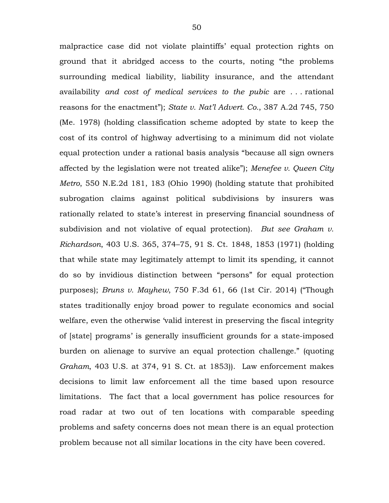malpractice case did not violate plaintiffs' equal protection rights on ground that it abridged access to the courts, noting "the problems surrounding medical liability, liability insurance, and the attendant availability *and cost of medical services to the pubic* are . . . rational reasons for the enactment"); *State v. Nat'l Advert. Co.*, 387 A.2d 745, 750 (Me. 1978) (holding classification scheme adopted by state to keep the cost of its control of highway advertising to a minimum did not violate equal protection under a rational basis analysis "because all sign owners affected by the legislation were not treated alike"); *Menefee v. Queen City Metro*, 550 N.E.2d 181, 183 (Ohio 1990) (holding statute that prohibited subrogation claims against political subdivisions by insurers was rationally related to state's interest in preserving financial soundness of subdivision and not violative of equal protection). *But see Graham v. Richardson*, 403 U.S. 365, 374–75, 91 S. Ct. 1848, 1853 (1971) (holding that while state may legitimately attempt to limit its spending, it cannot do so by invidious distinction between "persons" for equal protection purposes); *Bruns v. Mayhew*, 750 F.3d 61, 66 (1st Cir. 2014) ("Though states traditionally enjoy broad power to regulate economics and social welfare, even the otherwise 'valid interest in preserving the fiscal integrity of [state] programs' is generally insufficient grounds for a state-imposed burden on alienage to survive an equal protection challenge." (quoting *Graham*, 403 U.S. at 374, 91 S. Ct. at 1853)). Law enforcement makes decisions to limit law enforcement all the time based upon resource limitations. The fact that a local government has police resources for road radar at two out of ten locations with comparable speeding problems and safety concerns does not mean there is an equal protection problem because not all similar locations in the city have been covered.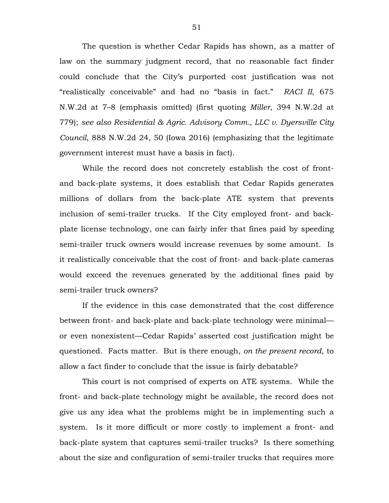The question is whether Cedar Rapids has shown, as a matter of law on the summary judgment record, that no reasonable fact finder could conclude that the City's purported cost justification was not "realistically conceivable" and had no "basis in fact." *RACI II*, 675 N.W.2d at 7–8 (emphasis omitted) (first quoting *Miller*, 394 N.W.2d at 779); *see also Residential & Agric. Advisory Comm., LLC v. Dyersville City Council*, 888 N.W.2d 24, 50 (Iowa 2016) (emphasizing that the legitimate government interest must have a basis in fact).

While the record does not concretely establish the cost of frontand back-plate systems, it does establish that Cedar Rapids generates millions of dollars from the back-plate ATE system that prevents inclusion of semi-trailer trucks. If the City employed front- and backplate license technology, one can fairly infer that fines paid by speeding semi-trailer truck owners would increase revenues by some amount. Is it realistically conceivable that the cost of front- and back-plate cameras would exceed the revenues generated by the additional fines paid by semi-trailer truck owners?

If the evidence in this case demonstrated that the cost difference between front- and back-plate and back-plate technology were minimal or even nonexistent—Cedar Rapids' asserted cost justification might be questioned. Facts matter. But is there enough, *on the present record*, to allow a fact finder to conclude that the issue is fairly debatable?

This court is not comprised of experts on ATE systems. While the front- and back-plate technology might be available, the record does not give us any idea what the problems might be in implementing such a system. Is it more difficult or more costly to implement a front- and back-plate system that captures semi-trailer trucks? Is there something about the size and configuration of semi-trailer trucks that requires more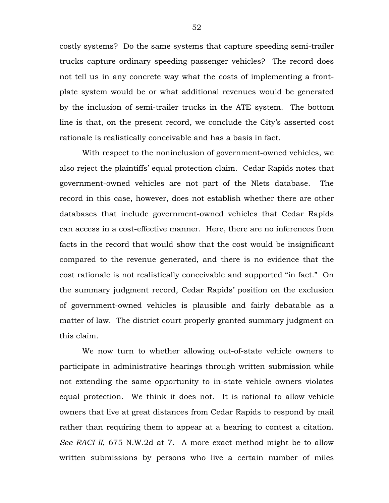costly systems? Do the same systems that capture speeding semi-trailer trucks capture ordinary speeding passenger vehicles? The record does not tell us in any concrete way what the costs of implementing a frontplate system would be or what additional revenues would be generated by the inclusion of semi-trailer trucks in the ATE system. The bottom line is that, on the present record, we conclude the City's asserted cost rationale is realistically conceivable and has a basis in fact.

With respect to the noninclusion of government-owned vehicles, we also reject the plaintiffs' equal protection claim. Cedar Rapids notes that government-owned vehicles are not part of the Nlets database. The record in this case, however, does not establish whether there are other databases that include government-owned vehicles that Cedar Rapids can access in a cost-effective manner. Here, there are no inferences from facts in the record that would show that the cost would be insignificant compared to the revenue generated, and there is no evidence that the cost rationale is not realistically conceivable and supported "in fact." On the summary judgment record, Cedar Rapids' position on the exclusion of government-owned vehicles is plausible and fairly debatable as a matter of law. The district court properly granted summary judgment on this claim.

We now turn to whether allowing out-of-state vehicle owners to participate in administrative hearings through written submission while not extending the same opportunity to in-state vehicle owners violates equal protection. We think it does not. It is rational to allow vehicle owners that live at great distances from Cedar Rapids to respond by mail rather than requiring them to appear at a hearing to contest a citation. *See RACI II*, 675 N.W.2d at 7. A more exact method might be to allow written submissions by persons who live a certain number of miles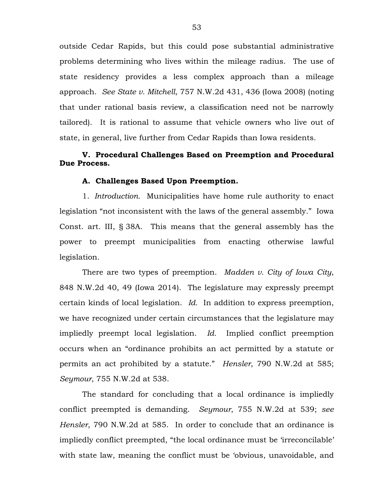outside Cedar Rapids, but this could pose substantial administrative problems determining who lives within the mileage radius. The use of state residency provides a less complex approach than a mileage approach. *See State v. Mitchell*, 757 N.W.2d 431, 436 (Iowa 2008) (noting that under rational basis review, a classification need not be narrowly tailored). It is rational to assume that vehicle owners who live out of state, in general, live further from Cedar Rapids than Iowa residents.

# **V. Procedural Challenges Based on Preemption and Procedural Due Process.**

#### **A. Challenges Based Upon Preemption.**

1. *Introduction.* Municipalities have home rule authority to enact legislation "not inconsistent with the laws of the general assembly." Iowa Const. art. III, § 38A. This means that the general assembly has the power to preempt municipalities from enacting otherwise lawful legislation.

There are two types of preemption. *Madden v. City of Iowa City*, 848 N.W.2d 40, 49 (Iowa 2014). The legislature may expressly preempt certain kinds of local legislation. *Id.* In addition to express preemption, we have recognized under certain circumstances that the legislature may impliedly preempt local legislation. *Id.* Implied conflict preemption occurs when an "ordinance prohibits an act permitted by a statute or permits an act prohibited by a statute." *Hensler*, 790 N.W.2d at 585; *Seymour*, 755 N.W.2d at 538.

The standard for concluding that a local ordinance is impliedly conflict preempted is demanding. *Seymour*, 755 N.W.2d at 539; *see Hensler*, 790 N.W.2d at 585. In order to conclude that an ordinance is impliedly conflict preempted, "the local ordinance must be 'irreconcilable' with state law, meaning the conflict must be 'obvious, unavoidable, and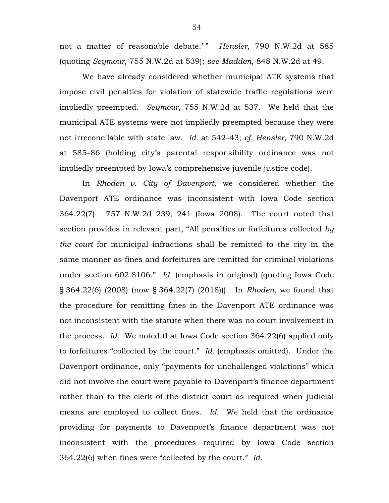not a matter of reasonable debate.' " *Hensler*, 790 N.W.2d at 585 (quoting *Seymour*, 755 N.W.2d at 539); *see Madden*, 848 N.W.2d at 49.

We have already considered whether municipal ATE systems that impose civil penalties for violation of statewide traffic regulations were impliedly preempted. *Seymour*, 755 N.W.2d at 537. We held that the municipal ATE systems were not impliedly preempted because they were not irreconcilable with state law. *Id.* at 542–43; *cf. Hensler*, 790 N.W.2d at 585–86 (holding city's parental responsibility ordinance was not impliedly preempted by Iowa's comprehensive juvenile justice code).

In *Rhoden v. City of Davenport*, we considered whether the Davenport ATE ordinance was inconsistent with Iowa Code section 364.22(7). 757 N.W.2d 239, 241 (Iowa 2008). The court noted that section provides in relevant part, "All penalties or forfeitures collected *by the court* for municipal infractions shall be remitted to the city in the same manner as fines and forfeitures are remitted for criminal violations under section 602.8106." *Id.* (emphasis in original) (quoting Iowa Code § 364.22(6) (2008) (now § 364.22(7) (2018))). In *Rhoden*, we found that the procedure for remitting fines in the Davenport ATE ordinance was not inconsistent with the statute when there was no court involvement in the process. *Id.* We noted that Iowa Code section 364.22(6) applied only to forfeitures "collected by the court." *Id.* (emphasis omitted). Under the Davenport ordinance, only "payments for unchallenged violations" which did not involve the court were payable to Davenport's finance department rather than to the clerk of the district court as required when judicial means are employed to collect fines. *Id.* We held that the ordinance providing for payments to Davenport's finance department was not inconsistent with the procedures required by Iowa Code section 364.22(6) when fines were "collected by the court." *Id.*

54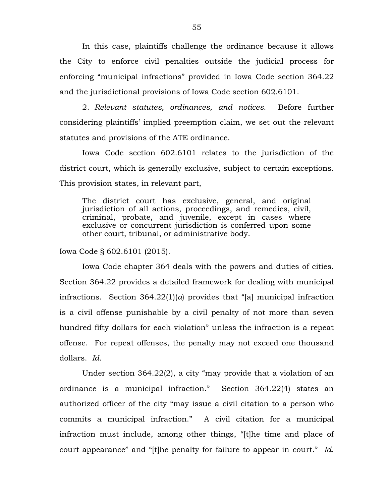In this case, plaintiffs challenge the ordinance because it allows the City to enforce civil penalties outside the judicial process for enforcing "municipal infractions" provided in Iowa Code section 364.22 and the jurisdictional provisions of Iowa Code section 602.6101.

2. *Relevant statutes, ordinances, and notices.* Before further considering plaintiffs' implied preemption claim, we set out the relevant statutes and provisions of the ATE ordinance.

Iowa Code section 602.6101 relates to the jurisdiction of the district court, which is generally exclusive, subject to certain exceptions. This provision states, in relevant part,

The district court has exclusive, general, and original jurisdiction of all actions, proceedings, and remedies, civil, criminal, probate, and juvenile, except in cases where exclusive or concurrent jurisdiction is conferred upon some other court, tribunal, or administrative body.

Iowa Code § 602.6101 (2015).

Iowa Code chapter 364 deals with the powers and duties of cities. Section 364.22 provides a detailed framework for dealing with municipal infractions. Section 364.22(1)(*a*) provides that "[a] municipal infraction is a civil offense punishable by a civil penalty of not more than seven hundred fifty dollars for each violation" unless the infraction is a repeat offense. For repeat offenses, the penalty may not exceed one thousand dollars. *Id.*

Under section 364.22(2), a city "may provide that a violation of an ordinance is a municipal infraction." Section 364.22(4) states an authorized officer of the city "may issue a civil citation to a person who commits a municipal infraction." A civil citation for a municipal infraction must include, among other things, "[t]he time and place of court appearance" and "[t]he penalty for failure to appear in court." *Id.*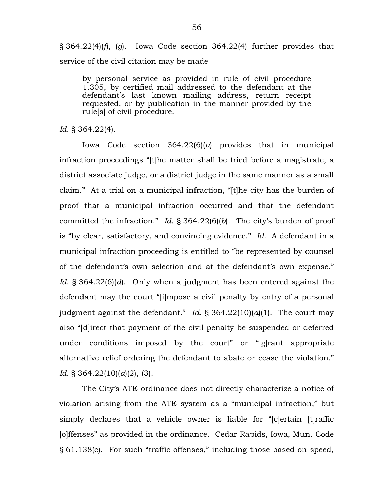§ 364.22(4)(*f*), (*g*). Iowa Code section 364.22(4) further provides that service of the civil citation may be made

by personal service as provided in rule of civil procedure 1.305, by certified mail addressed to the defendant at the defendant's last known mailing address, return receipt requested, or by publication in the manner provided by the rule[s] of civil procedure.

*Id*. § 364.22(4).

Iowa Code section 364.22(6)(*a*) provides that in municipal infraction proceedings "[t]he matter shall be tried before a magistrate, a district associate judge, or a district judge in the same manner as a small claim." At a trial on a municipal infraction, "[t]he city has the burden of proof that a municipal infraction occurred and that the defendant committed the infraction." *Id*. § 364.22(6)(*b*). The city's burden of proof is "by clear, satisfactory, and convincing evidence." *Id.* A defendant in a municipal infraction proceeding is entitled to "be represented by counsel of the defendant's own selection and at the defendant's own expense." *Id*. § 364.22(6)(*d*). Only when a judgment has been entered against the defendant may the court "[i]mpose a civil penalty by entry of a personal judgment against the defendant." *Id.*  $\S 364.22(10)(a)(1)$ . The court may also "[d]irect that payment of the civil penalty be suspended or deferred under conditions imposed by the court" or "[g]rant appropriate alternative relief ordering the defendant to abate or cease the violation." *Id.* § 364.22(10)(*a*)(2), (3).

The City's ATE ordinance does not directly characterize a notice of violation arising from the ATE system as a "municipal infraction," but simply declares that a vehicle owner is liable for "[c]ertain [t]raffic [o]ffenses" as provided in the ordinance. Cedar Rapids, Iowa, Mun. Code § 61.138(c). For such "traffic offenses," including those based on speed,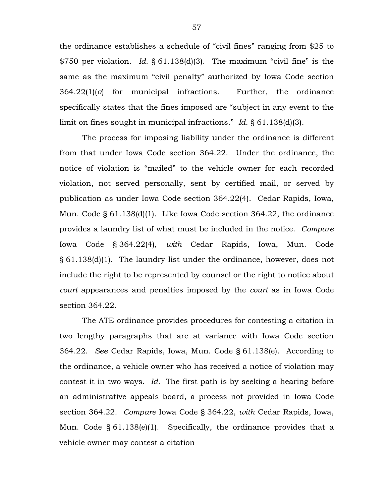the ordinance establishes a schedule of "civil fines" ranging from \$25 to \$750 per violation. *Id.* § 61.138(d)(3). The maximum "civil fine" is the same as the maximum "civil penalty" authorized by Iowa Code section 364.22(1)(*a*) for municipal infractions. Further, the ordinance specifically states that the fines imposed are "subject in any event to the limit on fines sought in municipal infractions." *Id*. § 61.138(d)(3).

The process for imposing liability under the ordinance is different from that under Iowa Code section 364.22. Under the ordinance, the notice of violation is "mailed" to the vehicle owner for each recorded violation, not served personally, sent by certified mail, or served by publication as under Iowa Code section 364.22(4). Cedar Rapids, Iowa, Mun. Code § 61.138(d)(1). Like Iowa Code section 364.22, the ordinance provides a laundry list of what must be included in the notice. *Compare* Iowa Code § 364.22(4), *with* Cedar Rapids, Iowa, Mun. Code § 61.138(d)(1). The laundry list under the ordinance, however, does not include the right to be represented by counsel or the right to notice about *court* appearances and penalties imposed by the *court* as in Iowa Code section 364.22.

The ATE ordinance provides procedures for contesting a citation in two lengthy paragraphs that are at variance with Iowa Code section 364.22. *See* Cedar Rapids, Iowa, Mun. Code § 61.138(e). According to the ordinance, a vehicle owner who has received a notice of violation may contest it in two ways. *Id.* The first path is by seeking a hearing before an administrative appeals board, a process not provided in Iowa Code section 364.22. *Compare* Iowa Code § 364.22, *with* Cedar Rapids, Iowa, Mun. Code § 61.138(e)(1). Specifically, the ordinance provides that a vehicle owner may contest a citation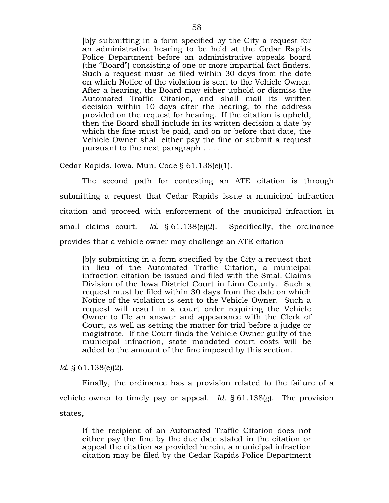[b]y submitting in a form specified by the City a request for an administrative hearing to be held at the Cedar Rapids Police Department before an administrative appeals board (the "Board") consisting of one or more impartial fact finders. Such a request must be filed within 30 days from the date on which Notice of the violation is sent to the Vehicle Owner. After a hearing, the Board may either uphold or dismiss the Automated Traffic Citation, and shall mail its written decision within 10 days after the hearing, to the address provided on the request for hearing. If the citation is upheld, then the Board shall include in its written decision a date by which the fine must be paid, and on or before that date, the Vehicle Owner shall either pay the fine or submit a request pursuant to the next paragraph . . . .

Cedar Rapids, Iowa, Mun. Code § 61.138(e)(1).

The second path for contesting an ATE citation is through submitting a request that Cedar Rapids issue a municipal infraction citation and proceed with enforcement of the municipal infraction in small claims court. *Id.* § 61.138(e)(2). Specifically, the ordinance provides that a vehicle owner may challenge an ATE citation

[b]y submitting in a form specified by the City a request that in lieu of the Automated Traffic Citation, a municipal infraction citation be issued and filed with the Small Claims Division of the Iowa District Court in Linn County. Such a request must be filed within 30 days from the date on which Notice of the violation is sent to the Vehicle Owner. Such a request will result in a court order requiring the Vehicle Owner to file an answer and appearance with the Clerk of Court, as well as setting the matter for trial before a judge or magistrate. If the Court finds the Vehicle Owner guilty of the municipal infraction, state mandated court costs will be added to the amount of the fine imposed by this section.

*Id.* § 61.138(e)(2).

Finally, the ordinance has a provision related to the failure of a vehicle owner to timely pay or appeal. *Id.* § 61.138(g). The provision states,

If the recipient of an Automated Traffic Citation does not either pay the fine by the due date stated in the citation or appeal the citation as provided herein, a municipal infraction citation may be filed by the Cedar Rapids Police Department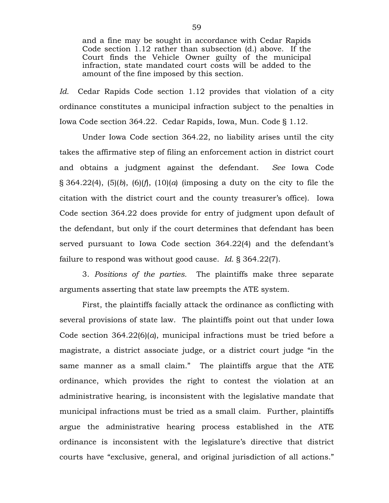and a fine may be sought in accordance with Cedar Rapids Code section 1.12 rather than subsection (d.) above. If the Court finds the Vehicle Owner guilty of the municipal infraction, state mandated court costs will be added to the amount of the fine imposed by this section.

*Id.* Cedar Rapids Code section 1.12 provides that violation of a city ordinance constitutes a municipal infraction subject to the penalties in Iowa Code section 364.22. Cedar Rapids, Iowa, Mun. Code § 1.12.

Under Iowa Code section 364.22, no liability arises until the city takes the affirmative step of filing an enforcement action in district court and obtains a judgment against the defendant. *See* Iowa Code § 364.22(4), (5)(*b*), (6)(*f*), (10)(*a*) (imposing a duty on the city to file the citation with the district court and the county treasurer's office). Iowa Code section 364.22 does provide for entry of judgment upon default of the defendant, but only if the court determines that defendant has been served pursuant to Iowa Code section 364.22(4) and the defendant's failure to respond was without good cause. *Id*. § 364.22(7).

3. *Positions of the parties.* The plaintiffs make three separate arguments asserting that state law preempts the ATE system.

First, the plaintiffs facially attack the ordinance as conflicting with several provisions of state law. The plaintiffs point out that under Iowa Code section 364.22(6)(*a*), municipal infractions must be tried before a magistrate, a district associate judge, or a district court judge "in the same manner as a small claim." The plaintiffs argue that the ATE ordinance, which provides the right to contest the violation at an administrative hearing, is inconsistent with the legislative mandate that municipal infractions must be tried as a small claim. Further, plaintiffs argue the administrative hearing process established in the ATE ordinance is inconsistent with the legislature's directive that district courts have "exclusive, general, and original jurisdiction of all actions."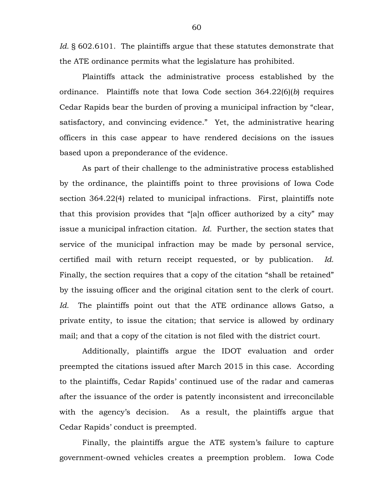Id. § 602.6101. The plaintiffs argue that these statutes demonstrate that the ATE ordinance permits what the legislature has prohibited.

Plaintiffs attack the administrative process established by the ordinance. Plaintiffs note that Iowa Code section 364.22(6)(*b*) requires Cedar Rapids bear the burden of proving a municipal infraction by "clear, satisfactory, and convincing evidence." Yet, the administrative hearing officers in this case appear to have rendered decisions on the issues based upon a preponderance of the evidence.

As part of their challenge to the administrative process established by the ordinance, the plaintiffs point to three provisions of Iowa Code section 364.22(4) related to municipal infractions. First, plaintiffs note that this provision provides that "[a]n officer authorized by a city" may issue a municipal infraction citation. *Id.* Further, the section states that service of the municipal infraction may be made by personal service, certified mail with return receipt requested, or by publication. *Id.*  Finally, the section requires that a copy of the citation "shall be retained" by the issuing officer and the original citation sent to the clerk of court. *Id.* The plaintiffs point out that the ATE ordinance allows Gatso, a private entity, to issue the citation; that service is allowed by ordinary mail; and that a copy of the citation is not filed with the district court.

Additionally, plaintiffs argue the IDOT evaluation and order preempted the citations issued after March 2015 in this case. According to the plaintiffs, Cedar Rapids' continued use of the radar and cameras after the issuance of the order is patently inconsistent and irreconcilable with the agency's decision. As a result, the plaintiffs argue that Cedar Rapids' conduct is preempted.

Finally, the plaintiffs argue the ATE system's failure to capture government-owned vehicles creates a preemption problem. Iowa Code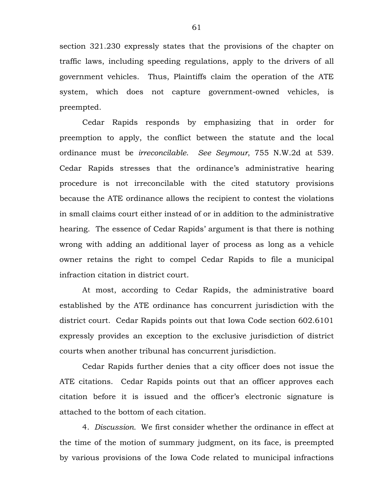section 321.230 expressly states that the provisions of the chapter on traffic laws, including speeding regulations, apply to the drivers of all government vehicles. Thus, Plaintiffs claim the operation of the ATE system, which does not capture government-owned vehicles, is preempted.

Cedar Rapids responds by emphasizing that in order for preemption to apply, the conflict between the statute and the local ordinance must be *irreconcilable*. *See Seymour*, 755 N.W.2d at 539. Cedar Rapids stresses that the ordinance's administrative hearing procedure is not irreconcilable with the cited statutory provisions because the ATE ordinance allows the recipient to contest the violations in small claims court either instead of or in addition to the administrative hearing. The essence of Cedar Rapids' argument is that there is nothing wrong with adding an additional layer of process as long as a vehicle owner retains the right to compel Cedar Rapids to file a municipal infraction citation in district court.

At most, according to Cedar Rapids, the administrative board established by the ATE ordinance has concurrent jurisdiction with the district court. Cedar Rapids points out that Iowa Code section 602.6101 expressly provides an exception to the exclusive jurisdiction of district courts when another tribunal has concurrent jurisdiction.

Cedar Rapids further denies that a city officer does not issue the ATE citations. Cedar Rapids points out that an officer approves each citation before it is issued and the officer's electronic signature is attached to the bottom of each citation.

4. *Discussion.* We first consider whether the ordinance in effect at the time of the motion of summary judgment, on its face, is preempted by various provisions of the Iowa Code related to municipal infractions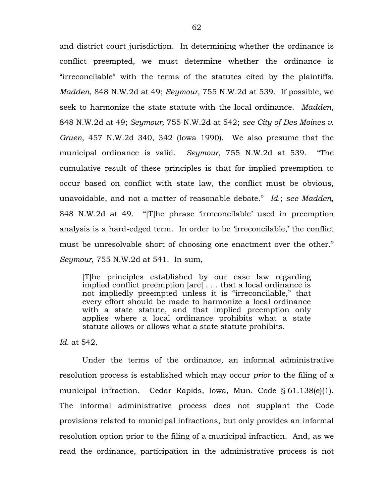and district court jurisdiction. In determining whether the ordinance is conflict preempted, we must determine whether the ordinance is "irreconcilable" with the terms of the statutes cited by the plaintiffs. *Madden*, 848 N.W.2d at 49; *Seymour,* 755 N.W.2d at 539. If possible, we seek to harmonize the state statute with the local ordinance. *Madden*, 848 N.W.2d at 49; *Seymour,* 755 N.W.2d at 542; *see City of Des Moines v. Gruen*, 457 N.W.2d 340, 342 (Iowa 1990). We also presume that the municipal ordinance is valid. *Seymour*, 755 N.W.2d at 539. "The cumulative result of these principles is that for implied preemption to occur based on conflict with state law, the conflict must be obvious, unavoidable, and not a matter of reasonable debate." *Id.*; *see Madden*, 848 N.W.2d at 49. "[T]he phrase 'irreconcilable' used in preemption analysis is a hard-edged term. In order to be 'irreconcilable,' the conflict must be unresolvable short of choosing one enactment over the other." *Seymour*, 755 N.W.2d at 541. In sum,

[T]he principles established by our case law regarding implied conflict preemption [are] . . . that a local ordinance is not impliedly preempted unless it is "irreconcilable," that every effort should be made to harmonize a local ordinance with a state statute, and that implied preemption only applies where a local ordinance prohibits what a state statute allows or allows what a state statute prohibits.

*Id.* at 542.

Under the terms of the ordinance, an informal administrative resolution process is established which may occur *prior* to the filing of a municipal infraction. Cedar Rapids, Iowa, Mun. Code § 61.138(e)(1). The informal administrative process does not supplant the Code provisions related to municipal infractions, but only provides an informal resolution option prior to the filing of a municipal infraction. And, as we read the ordinance, participation in the administrative process is not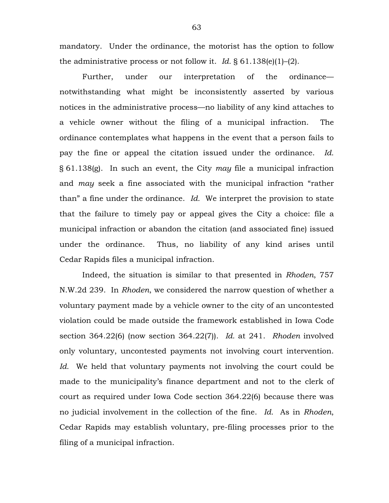mandatory. Under the ordinance, the motorist has the option to follow the administrative process or not follow it. *Id.* § 61.138(e)(1)–(2).

Further, under our interpretation of the ordinance notwithstanding what might be inconsistently asserted by various notices in the administrative process—no liability of any kind attaches to a vehicle owner without the filing of a municipal infraction. The ordinance contemplates what happens in the event that a person fails to pay the fine or appeal the citation issued under the ordinance. *Id.* § 61.138(g). In such an event, the City *may* file a municipal infraction and *may* seek a fine associated with the municipal infraction "rather than" a fine under the ordinance. *Id.* We interpret the provision to state that the failure to timely pay or appeal gives the City a choice: file a municipal infraction or abandon the citation (and associated fine) issued under the ordinance. Thus, no liability of any kind arises until Cedar Rapids files a municipal infraction.

Indeed, the situation is similar to that presented in *Rhoden*, 757 N.W.2d 239. In *Rhoden*, we considered the narrow question of whether a voluntary payment made by a vehicle owner to the city of an uncontested violation could be made outside the framework established in Iowa Code section 364.22(6) (now section 364.22(7)). *Id.* at 241. *Rhoden* involved only voluntary, uncontested payments not involving court intervention. *Id.* We held that voluntary payments not involving the court could be made to the municipality's finance department and not to the clerk of court as required under Iowa Code section 364.22(6) because there was no judicial involvement in the collection of the fine. *Id.* As in *Rhoden*, Cedar Rapids may establish voluntary, pre-filing processes prior to the filing of a municipal infraction.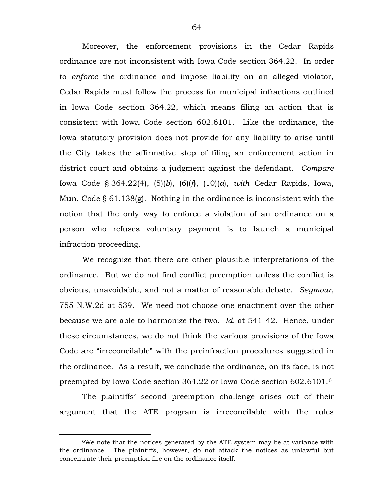Moreover, the enforcement provisions in the Cedar Rapids ordinance are not inconsistent with Iowa Code section 364.22. In order to *enforce* the ordinance and impose liability on an alleged violator, Cedar Rapids must follow the process for municipal infractions outlined in Iowa Code section 364.22, which means filing an action that is consistent with Iowa Code section 602.6101. Like the ordinance, the Iowa statutory provision does not provide for any liability to arise until the City takes the affirmative step of filing an enforcement action in district court and obtains a judgment against the defendant. *Compare* Iowa Code § 364.22(4), (5)(*b*), (6)(*f*), (10)(*a*), *with* Cedar Rapids, Iowa, Mun. Code § 61.138(g). Nothing in the ordinance is inconsistent with the notion that the only way to enforce a violation of an ordinance on a person who refuses voluntary payment is to launch a municipal infraction proceeding.

We recognize that there are other plausible interpretations of the ordinance. But we do not find conflict preemption unless the conflict is obvious, unavoidable, and not a matter of reasonable debate. *Seymour*, 755 N.W.2d at 539. We need not choose one enactment over the other because we are able to harmonize the two. *Id.* at 541–42. Hence, under these circumstances, we do not think the various provisions of the Iowa Code are "irreconcilable" with the preinfraction procedures suggested in the ordinance. As a result, we conclude the ordinance, on its face, is not preempted by Iowa Code section 364.22 or Iowa Code section 602.6101.[6](#page-63-0)

The plaintiffs' second preemption challenge arises out of their argument that the ATE program is irreconcilable with the rules

<span id="page-63-0"></span> <sup>6</sup>We note that the notices generated by the ATE system may be at variance with the ordinance. The plaintiffs, however, do not attack the notices as unlawful but concentrate their preemption fire on the ordinance itself.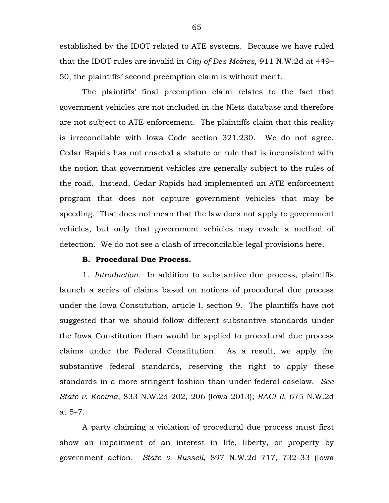established by the IDOT related to ATE systems. Because we have ruled that the IDOT rules are invalid in *City of Des Moines*, 911 N.W.2d at 449– 50, the plaintiffs' second preemption claim is without merit.

The plaintiffs' final preemption claim relates to the fact that government vehicles are not included in the Nlets database and therefore are not subject to ATE enforcement. The plaintiffs claim that this reality is irreconcilable with Iowa Code section 321.230. We do not agree. Cedar Rapids has not enacted a statute or rule that is inconsistent with the notion that government vehicles are generally subject to the rules of the road. Instead, Cedar Rapids had implemented an ATE enforcement program that does not capture government vehicles that may be speeding. That does not mean that the law does not apply to government vehicles, but only that government vehicles may evade a method of detection. We do not see a clash of irreconcilable legal provisions here.

## **B. Procedural Due Process.**

1. *Introduction.* In addition to substantive due process, plaintiffs launch a series of claims based on notions of procedural due process under the Iowa Constitution, article I, section 9. The plaintiffs have not suggested that we should follow different substantive standards under the Iowa Constitution than would be applied to procedural due process claims under the Federal Constitution. As a result, we apply the substantive federal standards, reserving the right to apply these standards in a more stringent fashion than under federal caselaw. *See State v. Kooima*, 833 N.W.2d 202, 206 (Iowa 2013); *RACI II*, 675 N.W.2d at 5–7.

A party claiming a violation of procedural due process must first show an impairment of an interest in life, liberty, or property by government action. *State v. Russell*, 897 N.W.2d 717, 732–33 (Iowa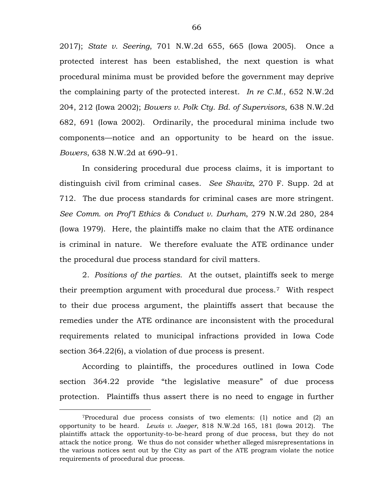2017); *State v. Seering*, 701 N.W.2d 655, 665 (Iowa 2005). Once a protected interest has been established, the next question is what procedural minima must be provided before the government may deprive the complaining party of the protected interest. *In re C.M.*, 652 N.W.2d 204, 212 (Iowa 2002); *Bowers v. Polk Cty. Bd. of Supervisors*, 638 N.W.2d 682, 691 (Iowa 2002). Ordinarily, the procedural minima include two components—notice and an opportunity to be heard on the issue. *Bowers*, 638 N.W.2d at 690–91.

In considering procedural due process claims, it is important to distinguish civil from criminal cases. *See Shavitz*, 270 F. Supp. 2d at 712. The due process standards for criminal cases are more stringent. *See Comm. on Prof'l Ethics & Conduct v. Durham*, 279 N.W.2d 280, 284 (Iowa 1979). Here, the plaintiffs make no claim that the ATE ordinance is criminal in nature. We therefore evaluate the ATE ordinance under the procedural due process standard for civil matters.

2. *Positions of the parties.* At the outset, plaintiffs seek to merge their preemption argument with procedural due process.[7](#page-65-0) With respect to their due process argument, the plaintiffs assert that because the remedies under the ATE ordinance are inconsistent with the procedural requirements related to municipal infractions provided in Iowa Code section 364.22(6), a violation of due process is present.

According to plaintiffs, the procedures outlined in Iowa Code section 364.22 provide "the legislative measure" of due process protection. Plaintiffs thus assert there is no need to engage in further

<span id="page-65-0"></span> <sup>7</sup>Procedural due process consists of two elements: (1) notice and (2) an opportunity to be heard. *Lewis v. Jaeger*, 818 N.W.2d 165, 181 (Iowa 2012). The plaintiffs attack the opportunity-to-be-heard prong of due process, but they do not attack the notice prong. We thus do not consider whether alleged misrepresentations in the various notices sent out by the City as part of the ATE program violate the notice requirements of procedural due process.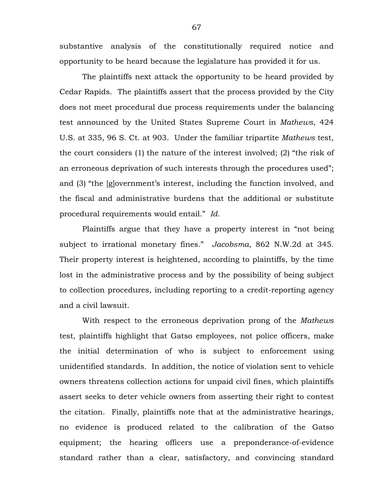substantive analysis of the constitutionally required notice and opportunity to be heard because the legislature has provided it for us.

The plaintiffs next attack the opportunity to be heard provided by Cedar Rapids. The plaintiffs assert that the process provided by the City does not meet procedural due process requirements under the balancing test announced by the United States Supreme Court in *Mathews*, 424 U.S. at 335, 96 S. Ct. at 903. Under the familiar tripartite *Mathews* test, the court considers (1) the nature of the interest involved; (2) "the risk of an erroneous deprivation of such interests through the procedures used"; and (3) "the [g]overnment's interest, including the function involved, and the fiscal and administrative burdens that the additional or substitute procedural requirements would entail." *Id.*

Plaintiffs argue that they have a property interest in "not being subject to irrational monetary fines." *Jacobsma*, 862 N.W.2d at 345. Their property interest is heightened, according to plaintiffs, by the time lost in the administrative process and by the possibility of being subject to collection procedures, including reporting to a credit-reporting agency and a civil lawsuit.

With respect to the erroneous deprivation prong of the *Mathews*  test, plaintiffs highlight that Gatso employees, not police officers, make the initial determination of who is subject to enforcement using unidentified standards. In addition, the notice of violation sent to vehicle owners threatens collection actions for unpaid civil fines, which plaintiffs assert seeks to deter vehicle owners from asserting their right to contest the citation. Finally, plaintiffs note that at the administrative hearings, no evidence is produced related to the calibration of the Gatso equipment; the hearing officers use a preponderance-of-evidence standard rather than a clear, satisfactory, and convincing standard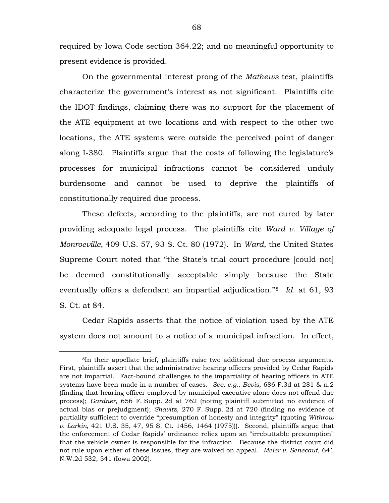required by Iowa Code section 364.22; and no meaningful opportunity to present evidence is provided.

On the governmental interest prong of the *Mathews* test, plaintiffs characterize the government's interest as not significant. Plaintiffs cite the IDOT findings, claiming there was no support for the placement of the ATE equipment at two locations and with respect to the other two locations, the ATE systems were outside the perceived point of danger along I-380. Plaintiffs argue that the costs of following the legislature's processes for municipal infractions cannot be considered unduly burdensome and cannot be used to deprive the plaintiffs of constitutionally required due process.

These defects, according to the plaintiffs, are not cured by later providing adequate legal process. The plaintiffs cite *Ward v. Village of Monroeville*, 409 U.S. 57, 93 S. Ct. 80 (1972). In *Ward*, the United States Supreme Court noted that "the State's trial court procedure [could not] be deemed constitutionally acceptable simply because the State eventually offers a defendant an impartial adjudication."[8](#page-67-0) *Id.* at 61, 93 S. Ct. at 84.

Cedar Rapids asserts that the notice of violation used by the ATE system does not amount to a notice of a municipal infraction. In effect,

<span id="page-67-0"></span> <sup>8</sup>In their appellate brief, plaintiffs raise two additional due process arguments. First, plaintiffs assert that the administrative hearing officers provided by Cedar Rapids are not impartial. Fact-bound challenges to the impartiality of hearing officers in ATE systems have been made in a number of cases. *See, e.g.*, *Bevis*, 686 F.3d at 281 & n.2 (finding that hearing officer employed by municipal executive alone does not offend due process); *Gardner*, 656 F. Supp. 2d at 762 (noting plaintiff submitted no evidence of actual bias or prejudgment); *Shavitz*, 270 F. Supp. 2d at 720 (finding no evidence of partiality sufficient to override "presumption of honesty and integrity" (quoting *Withrow v. Larkin*, 421 U.S. 35, 47, 95 S. Ct. 1456, 1464 (1975))). Second, plaintiffs argue that the enforcement of Cedar Rapids' ordinance relies upon an "irrebuttable presumption" that the vehicle owner is responsible for the infraction. Because the district court did not rule upon either of these issues, they are waived on appeal. *Meier v. Senecaut*, 641 N.W.2d 532, 541 (Iowa 2002).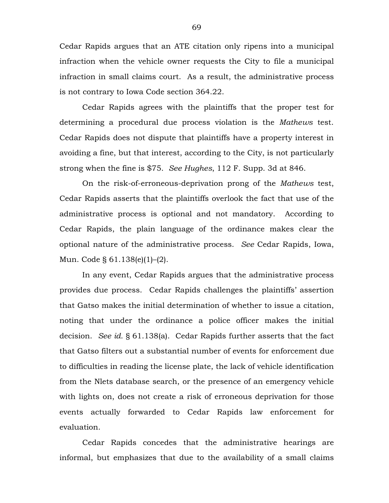Cedar Rapids argues that an ATE citation only ripens into a municipal infraction when the vehicle owner requests the City to file a municipal infraction in small claims court. As a result, the administrative process is not contrary to Iowa Code section 364.22.

Cedar Rapids agrees with the plaintiffs that the proper test for determining a procedural due process violation is the *Mathews* test. Cedar Rapids does not dispute that plaintiffs have a property interest in avoiding a fine, but that interest, according to the City, is not particularly strong when the fine is \$75. *See Hughes*, 112 F. Supp. 3d at 846.

On the risk-of-erroneous-deprivation prong of the *Mathews* test, Cedar Rapids asserts that the plaintiffs overlook the fact that use of the administrative process is optional and not mandatory. According to Cedar Rapids, the plain language of the ordinance makes clear the optional nature of the administrative process. *See* Cedar Rapids, Iowa, Mun. Code § 61.138(e)(1)–(2).

In any event, Cedar Rapids argues that the administrative process provides due process. Cedar Rapids challenges the plaintiffs' assertion that Gatso makes the initial determination of whether to issue a citation, noting that under the ordinance a police officer makes the initial decision. *See id.* § 61.138(a). Cedar Rapids further asserts that the fact that Gatso filters out a substantial number of events for enforcement due to difficulties in reading the license plate, the lack of vehicle identification from the Nlets database search, or the presence of an emergency vehicle with lights on, does not create a risk of erroneous deprivation for those events actually forwarded to Cedar Rapids law enforcement for evaluation.

Cedar Rapids concedes that the administrative hearings are informal, but emphasizes that due to the availability of a small claims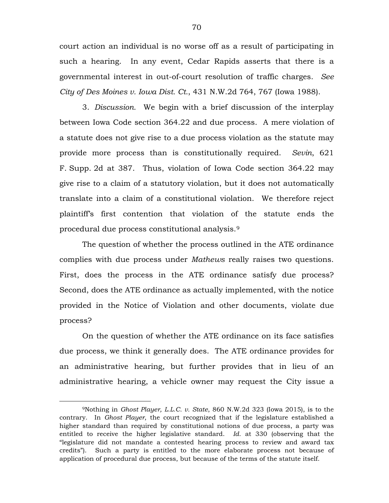court action an individual is no worse off as a result of participating in such a hearing. In any event, Cedar Rapids asserts that there is a governmental interest in out-of-court resolution of traffic charges. *See City of Des Moines v. Iowa Dist. Ct.*, 431 N.W.2d 764, 767 (Iowa 1988).

3. *Discussion.* We begin with a brief discussion of the interplay between Iowa Code section 364.22 and due process. A mere violation of a statute does not give rise to a due process violation as the statute may provide more process than is constitutionally required. *Sevin*, 621 F. Supp. 2d at 387. Thus, violation of Iowa Code section 364.22 may give rise to a claim of a statutory violation, but it does not automatically translate into a claim of a constitutional violation. We therefore reject plaintiff's first contention that violation of the statute ends the procedural due process constitutional analysis.[9](#page-69-0)

The question of whether the process outlined in the ATE ordinance complies with due process under *Mathews* really raises two questions. First, does the process in the ATE ordinance satisfy due process? Second, does the ATE ordinance as actually implemented, with the notice provided in the Notice of Violation and other documents, violate due process?

On the question of whether the ATE ordinance on its face satisfies due process, we think it generally does. The ATE ordinance provides for an administrative hearing, but further provides that in lieu of an administrative hearing, a vehicle owner may request the City issue a

<span id="page-69-0"></span> <sup>9</sup>Nothing in *Ghost Player, L.L.C. v. State*, 860 N.W.2d 323 (Iowa 2015), is to the contrary. In *Ghost Player*, the court recognized that if the legislature established a higher standard than required by constitutional notions of due process, a party was entitled to receive the higher legislative standard. *Id.* at 330 (observing that the "legislature did not mandate a contested hearing process to review and award tax credits"). Such a party is entitled to the more elaborate process not because of application of procedural due process, but because of the terms of the statute itself.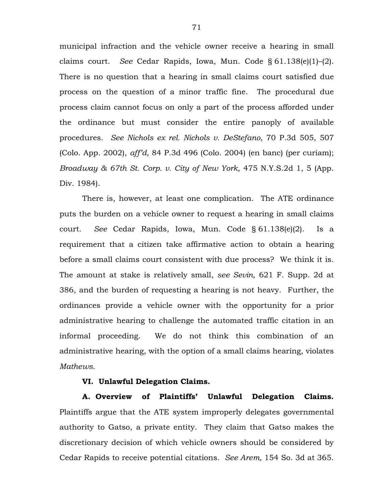municipal infraction and the vehicle owner receive a hearing in small claims court. *See* Cedar Rapids, Iowa, Mun. Code § 61.138(e)(1)–(2). There is no question that a hearing in small claims court satisfied due process on the question of a minor traffic fine. The procedural due process claim cannot focus on only a part of the process afforded under the ordinance but must consider the entire panoply of available procedures. *See Nichols ex rel. Nichols v. DeStefano*, 70 P.3d 505, 507 (Colo. App. 2002), *aff'd*, 84 P.3d 496 (Colo. 2004) (en banc) (per curiam); *Broadway & 67th St. Corp. v. City of New York*, 475 N.Y.S.2d 1, 5 (App. Div. 1984).

There is, however, at least one complication. The ATE ordinance puts the burden on a vehicle owner to request a hearing in small claims court. *See* Cedar Rapids, Iowa, Mun. Code § 61.138(e)(2). Is a requirement that a citizen take affirmative action to obtain a hearing before a small claims court consistent with due process? We think it is. The amount at stake is relatively small, *see Sevin*, 621 F. Supp. 2d at 386, and the burden of requesting a hearing is not heavy. Further, the ordinances provide a vehicle owner with the opportunity for a prior administrative hearing to challenge the automated traffic citation in an informal proceeding. We do not think this combination of an administrative hearing, with the option of a small claims hearing, violates *Mathews*.

## **VI. Unlawful Delegation Claims.**

**A. Overview of Plaintiffs' Unlawful Delegation Claims.** Plaintiffs argue that the ATE system improperly delegates governmental authority to Gatso, a private entity. They claim that Gatso makes the discretionary decision of which vehicle owners should be considered by Cedar Rapids to receive potential citations. *See Arem*, 154 So. 3d at 365.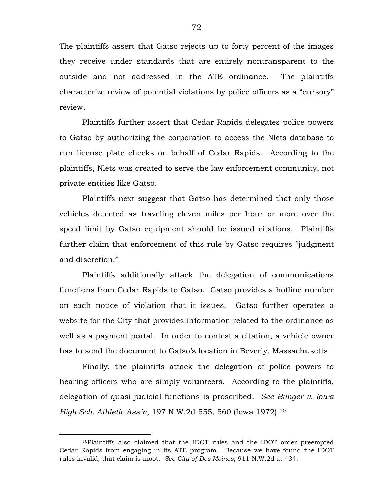The plaintiffs assert that Gatso rejects up to forty percent of the images they receive under standards that are entirely nontransparent to the outside and not addressed in the ATE ordinance. The plaintiffs characterize review of potential violations by police officers as a "cursory" review.

Plaintiffs further assert that Cedar Rapids delegates police powers to Gatso by authorizing the corporation to access the Nlets database to run license plate checks on behalf of Cedar Rapids. According to the plaintiffs, Nlets was created to serve the law enforcement community, not private entities like Gatso.

Plaintiffs next suggest that Gatso has determined that only those vehicles detected as traveling eleven miles per hour or more over the speed limit by Gatso equipment should be issued citations. Plaintiffs further claim that enforcement of this rule by Gatso requires "judgment and discretion."

Plaintiffs additionally attack the delegation of communications functions from Cedar Rapids to Gatso. Gatso provides a hotline number on each notice of violation that it issues. Gatso further operates a website for the City that provides information related to the ordinance as well as a payment portal. In order to contest a citation, a vehicle owner has to send the document to Gatso's location in Beverly, Massachusetts.

Finally, the plaintiffs attack the delegation of police powers to hearing officers who are simply volunteers. According to the plaintiffs, delegation of quasi-judicial functions is proscribed. *See Bunger v. Iowa High Sch. Athletic Ass'n*, 197 N.W.2d 555, 560 (Iowa 1972).[10](#page-71-0)

<span id="page-71-0"></span> <sup>10</sup>Plaintiffs also claimed that the IDOT rules and the IDOT order preempted Cedar Rapids from engaging in its ATE program. Because we have found the IDOT rules invalid, that claim is moot. *See City of Des Moines*, 911 N.W.2d at 434.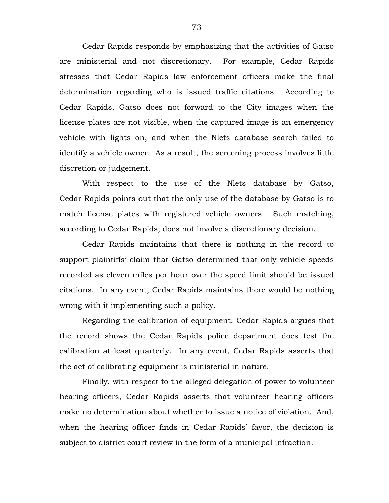Cedar Rapids responds by emphasizing that the activities of Gatso are ministerial and not discretionary. For example, Cedar Rapids stresses that Cedar Rapids law enforcement officers make the final determination regarding who is issued traffic citations. According to Cedar Rapids, Gatso does not forward to the City images when the license plates are not visible, when the captured image is an emergency vehicle with lights on, and when the Nlets database search failed to identify a vehicle owner. As a result, the screening process involves little discretion or judgement.

With respect to the use of the Nlets database by Gatso, Cedar Rapids points out that the only use of the database by Gatso is to match license plates with registered vehicle owners. Such matching, according to Cedar Rapids, does not involve a discretionary decision.

Cedar Rapids maintains that there is nothing in the record to support plaintiffs' claim that Gatso determined that only vehicle speeds recorded as eleven miles per hour over the speed limit should be issued citations. In any event, Cedar Rapids maintains there would be nothing wrong with it implementing such a policy.

Regarding the calibration of equipment, Cedar Rapids argues that the record shows the Cedar Rapids police department does test the calibration at least quarterly. In any event, Cedar Rapids asserts that the act of calibrating equipment is ministerial in nature.

Finally, with respect to the alleged delegation of power to volunteer hearing officers, Cedar Rapids asserts that volunteer hearing officers make no determination about whether to issue a notice of violation. And, when the hearing officer finds in Cedar Rapids' favor, the decision is subject to district court review in the form of a municipal infraction.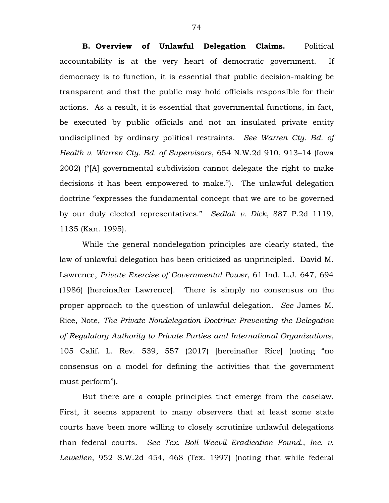**B. Overview of Unlawful Delegation Claims.** Political accountability is at the very heart of democratic government. If democracy is to function, it is essential that public decision-making be transparent and that the public may hold officials responsible for their actions. As a result, it is essential that governmental functions, in fact, be executed by public officials and not an insulated private entity undisciplined by ordinary political restraints. *See Warren Cty. Bd. of Health v. Warren Cty. Bd. of Supervisors*, 654 N.W.2d 910, 913–14 (Iowa 2002) ("[A] governmental subdivision cannot delegate the right to make decisions it has been empowered to make."). The unlawful delegation doctrine "expresses the fundamental concept that we are to be governed by our duly elected representatives." *Sedlak v. Dick*, 887 P.2d 1119, 1135 (Kan. 1995).

While the general nondelegation principles are clearly stated, the law of unlawful delegation has been criticized as unprincipled. David M. Lawrence, *Private Exercise of Governmental Power*, 61 Ind. L.J. 647, 694 (1986) [hereinafter Lawrence]. There is simply no consensus on the proper approach to the question of unlawful delegation. *See* James M. Rice, Note, *The Private Nondelegation Doctrine: Preventing the Delegation of Regulatory Authority to Private Parties and International Organizations*, 105 Calif. L. Rev. 539, 557 (2017) [hereinafter Rice] (noting "no consensus on a model for defining the activities that the government must perform").

But there are a couple principles that emerge from the caselaw. First, it seems apparent to many observers that at least some state courts have been more willing to closely scrutinize unlawful delegations than federal courts. *See Tex. Boll Weevil Eradication Found., Inc. v. Lewellen*, 952 S.W.2d 454, 468 (Tex. 1997) (noting that while federal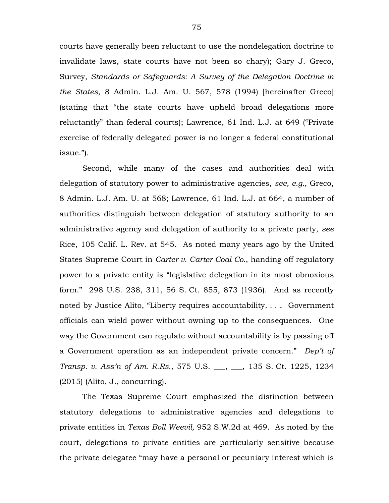courts have generally been reluctant to use the nondelegation doctrine to invalidate laws, state courts have not been so chary); Gary J. Greco, Survey, *Standards or Safeguards: A Survey of the Delegation Doctrine in the States*, 8 Admin. L.J. Am. U. 567, 578 (1994) [hereinafter Greco] (stating that "the state courts have upheld broad delegations more reluctantly" than federal courts); Lawrence, 61 Ind. L.J. at 649 ("Private exercise of federally delegated power is no longer a federal constitutional issue.").

Second, while many of the cases and authorities deal with delegation of statutory power to administrative agencies, *see, e.g.*, Greco, 8 Admin. L.J. Am. U. at 568; Lawrence, 61 Ind. L.J. at 664, a number of authorities distinguish between delegation of statutory authority to an administrative agency and delegation of authority to a private party, *see*  Rice, 105 Calif. L. Rev. at 545. As noted many years ago by the United States Supreme Court in *Carter v. Carter Coal Co.*, handing off regulatory power to a private entity is "legislative delegation in its most obnoxious form." 298 U.S. 238, 311, 56 S. Ct. 855, 873 (1936). And as recently noted by Justice Alito, "Liberty requires accountability. . . . Government officials can wield power without owning up to the consequences. One way the Government can regulate without accountability is by passing off a Government operation as an independent private concern." *Dep't of Transp. v. Ass'n of Am. R.Rs.*, 575 U.S. \_\_\_, \_\_\_, 135 S. Ct. 1225, 1234 (2015) (Alito, J., concurring).

The Texas Supreme Court emphasized the distinction between statutory delegations to administrative agencies and delegations to private entities in *Texas Boll Weevil,* 952 S.W.2d at 469. As noted by the court, delegations to private entities are particularly sensitive because the private delegatee "may have a personal or pecuniary interest which is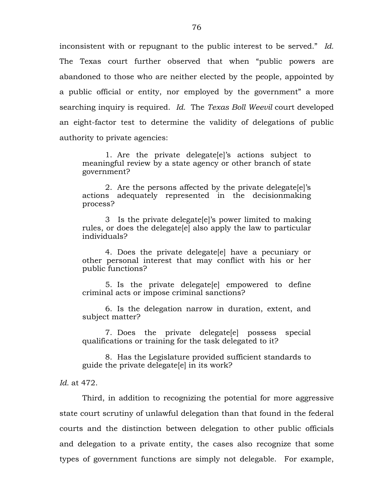inconsistent with or repugnant to the public interest to be served." *Id.* The Texas court further observed that when "public powers are abandoned to those who are neither elected by the people, appointed by a public official or entity, nor employed by the government" a more searching inquiry is required. *Id.* The *Texas Boll Weevil* court developed an eight-factor test to determine the validity of delegations of public authority to private agencies:

1. Are the private delegate[e]'s actions subject to meaningful review by a state agency or other branch of state government?

2. Are the persons affected by the private delegate[e]'s actions adequately represented in the decisionmaking process?

3 Is the private delegate[e]'s power limited to making rules, or does the delegate[e] also apply the law to particular individuals?

4. Does the private delegate[e] have a pecuniary or other personal interest that may conflict with his or her public functions?

5. Is the private delegate[e] empowered to define criminal acts or impose criminal sanctions?

6. Is the delegation narrow in duration, extent, and subject matter?

7. Does the private delegate[e] possess special qualifications or training for the task delegated to it?

8. Has the Legislature provided sufficient standards to guide the private delegate[e] in its work?

*Id.* at 472.

Third, in addition to recognizing the potential for more aggressive state court scrutiny of unlawful delegation than that found in the federal courts and the distinction between delegation to other public officials and delegation to a private entity, the cases also recognize that some types of government functions are simply not delegable. For example,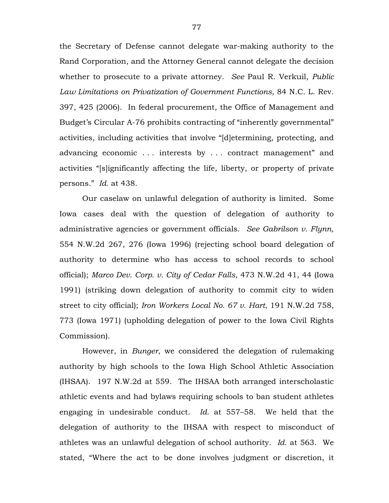the Secretary of Defense cannot delegate war-making authority to the Rand Corporation, and the Attorney General cannot delegate the decision whether to prosecute to a private attorney. *See* Paul R. Verkuil, *Public Law Limitations on Privatization of Government Functions*, 84 N.C. L. Rev. 397, 425 (2006). In federal procurement, the Office of Management and Budget's Circular A-76 prohibits contracting of "inherently governmental" activities, including activities that involve "[d]etermining, protecting, and advancing economic . . . interests by . . . contract management" and activities "[s]ignificantly affecting the life, liberty, or property of private persons." *Id.* at 438.

Our caselaw on unlawful delegation of authority is limited. Some Iowa cases deal with the question of delegation of authority to administrative agencies or government officials. *See Gabrilson v. Flynn*, 554 N.W.2d 267, 276 (Iowa 1996) (rejecting school board delegation of authority to determine who has access to school records to school official); *Marco Dev. Corp. v. City of Cedar Falls*, 473 N.W.2d 41, 44 (Iowa 1991) (striking down delegation of authority to commit city to widen street to city official); *Iron Workers Local No. 67 v. Hart*, 191 N.W.2d 758, 773 (Iowa 1971) (upholding delegation of power to the Iowa Civil Rights Commission).

However, in *Bunger*, we considered the delegation of rulemaking authority by high schools to the Iowa High School Athletic Association (IHSAA). 197 N.W.2d at 559. The IHSAA both arranged interscholastic athletic events and had bylaws requiring schools to ban student athletes engaging in undesirable conduct. *Id.* at 557–58. We held that the delegation of authority to the IHSAA with respect to misconduct of athletes was an unlawful delegation of school authority. *Id.* at 563. We stated, "Where the act to be done involves judgment or discretion, it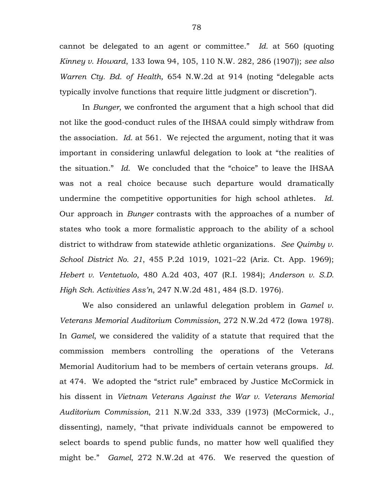cannot be delegated to an agent or committee." *Id.* at 560 (quoting *Kinney v. Howard*, 133 Iowa 94, 105, 110 N.W. 282, 286 (1907)); *see also Warren Cty. Bd. of Health,* 654 N.W.2d at 914 (noting "delegable acts typically involve functions that require little judgment or discretion").

In *Bunger*, we confronted the argument that a high school that did not like the good-conduct rules of the IHSAA could simply withdraw from the association. *Id.* at 561. We rejected the argument, noting that it was important in considering unlawful delegation to look at "the realities of the situation." *Id*. We concluded that the "choice" to leave the IHSAA was not a real choice because such departure would dramatically undermine the competitive opportunities for high school athletes. *Id.* Our approach in *Bunger* contrasts with the approaches of a number of states who took a more formalistic approach to the ability of a school district to withdraw from statewide athletic organizations. *See Quimby v. School District No. 21*, 455 P.2d 1019, 1021–22 (Ariz. Ct. App. 1969); *Hebert v. Ventetuolo*, 480 A.2d 403, 407 (R.I. 1984); *Anderson v. S.D. High Sch. Activities Ass'n*, 247 N.W.2d 481, 484 (S.D. 1976).

We also considered an unlawful delegation problem in *Gamel v. Veterans Memorial Auditorium Commission*, 272 N.W.2d 472 (Iowa 1978). In *Gamel*, we considered the validity of a statute that required that the commission members controlling the operations of the Veterans Memorial Auditorium had to be members of certain veterans groups. *Id.* at 474. We adopted the "strict rule" embraced by Justice McCormick in his dissent in *Vietnam Veterans Against the War v. Veterans Memorial Auditorium Commission*, 211 N.W.2d 333, 339 (1973) (McCormick, J., dissenting), namely, "that private individuals cannot be empowered to select boards to spend public funds, no matter how well qualified they might be." *Gamel*, 272 N.W.2d at 476. We reserved the question of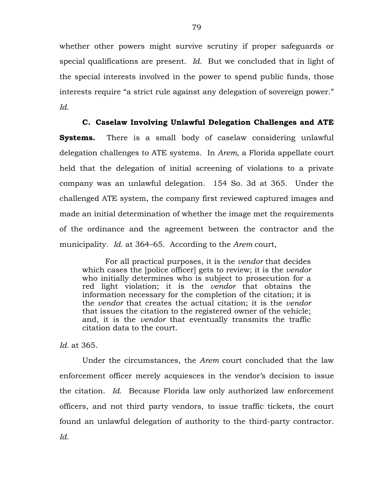whether other powers might survive scrutiny if proper safeguards or special qualifications are present. *Id.* But we concluded that in light of the special interests involved in the power to spend public funds, those interests require "a strict rule against any delegation of sovereign power." *Id.*

### **C. Caselaw Involving Unlawful Delegation Challenges and ATE**

**Systems.** There is a small body of caselaw considering unlawful delegation challenges to ATE systems. In *Arem*, a Florida appellate court held that the delegation of initial screening of violations to a private company was an unlawful delegation. 154 So. 3d at 365. Under the challenged ATE system, the company first reviewed captured images and made an initial determination of whether the image met the requirements of the ordinance and the agreement between the contractor and the municipality. *Id.* at 364–65. According to the *Arem* court,

For all practical purposes, it is the *vendor* that decides which cases the [police officer] gets to review; it is the *vendor* who initially determines who is subject to prosecution for a red light violation; it is the *vendor* that obtains the information necessary for the completion of the citation; it is the *vendor* that creates the actual citation; it is the *vendor* that issues the citation to the registered owner of the vehicle; and, it is the *vendor* that eventually transmits the traffic citation data to the court.

*Id.* at 365.

Under the circumstances, the *Arem* court concluded that the law enforcement officer merely acquiesces in the vendor's decision to issue the citation. *Id.* Because Florida law only authorized law enforcement officers, and not third party vendors, to issue traffic tickets, the court found an unlawful delegation of authority to the third-party contractor*. Id.*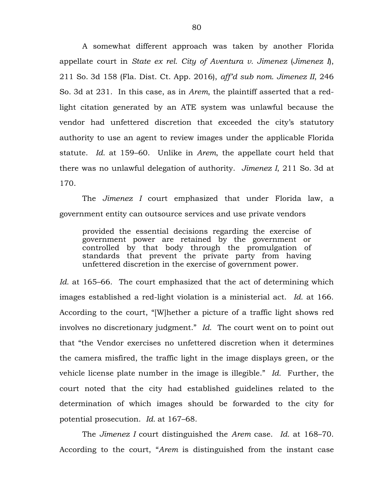A somewhat different approach was taken by another Florida appellate court in *State ex rel. City of Aventura v. Jimenez* (*Jimenez I*), 211 So. 3d 158 (Fla. Dist. Ct. App. 2016), *aff'd sub nom. Jimenez II*, 246 So. 3d at 231. In this case, as in *Arem*, the plaintiff asserted that a redlight citation generated by an ATE system was unlawful because the vendor had unfettered discretion that exceeded the city's statutory authority to use an agent to review images under the applicable Florida statute. *Id.* at 159–60. Unlike in *Arem*, the appellate court held that there was no unlawful delegation of authority. *Jimenez I*, 211 So. 3d at 170.

The *Jimenez I* court emphasized that under Florida law, a government entity can outsource services and use private vendors

provided the essential decisions regarding the exercise of government power are retained by the government or controlled by that body through the promulgation of standards that prevent the private party from having unfettered discretion in the exercise of government power.

*Id.* at 165–66. The court emphasized that the act of determining which images established a red-light violation is a ministerial act. *Id.* at 166. According to the court, "[W]hether a picture of a traffic light shows red involves no discretionary judgment." *Id.* The court went on to point out that "the Vendor exercises no unfettered discretion when it determines the camera misfired, the traffic light in the image displays green, or the vehicle license plate number in the image is illegible." *Id.* Further, the court noted that the city had established guidelines related to the determination of which images should be forwarded to the city for potential prosecution. *Id.* at 167–68.

The *Jimenez I* court distinguished the *Arem* case. *Id.* at 168–70. According to the court, "*Arem* is distinguished from the instant case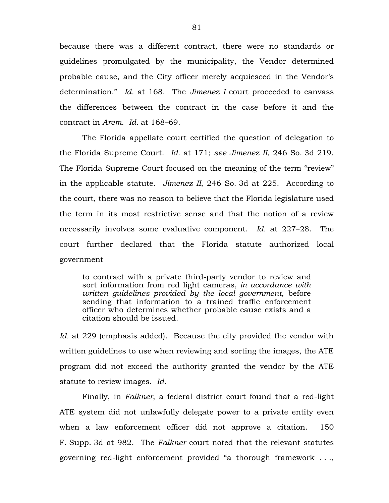because there was a different contract, there were no standards or guidelines promulgated by the municipality, the Vendor determined probable cause, and the City officer merely acquiesced in the Vendor's determination." *Id.* at 168. The *Jimenez I* court proceeded to canvass the differences between the contract in the case before it and the contract in *Arem*. *Id.* at 168–69.

The Florida appellate court certified the question of delegation to the Florida Supreme Court. *Id.* at 171; *see Jimenez II*, 246 So. 3d 219. The Florida Supreme Court focused on the meaning of the term "review" in the applicable statute. *Jimenez II*, 246 So. 3d at 225. According to the court, there was no reason to believe that the Florida legislature used the term in its most restrictive sense and that the notion of a review necessarily involves some evaluative component. *Id.* at 227–28. The court further declared that the Florida statute authorized local government

to contract with a private third-party vendor to review and sort information from red light cameras, *in accordance with written guidelines provided by the local government*, before sending that information to a trained traffic enforcement officer who determines whether probable cause exists and a citation should be issued.

*Id.* at 229 (emphasis added). Because the city provided the vendor with written guidelines to use when reviewing and sorting the images, the ATE program did not exceed the authority granted the vendor by the ATE statute to review images. *Id.*

Finally, in *Falkner*, a federal district court found that a red-light ATE system did not unlawfully delegate power to a private entity even when a law enforcement officer did not approve a citation. 150 F. Supp. 3d at 982. The *Falkner* court noted that the relevant statutes governing red-light enforcement provided "a thorough framework . . .,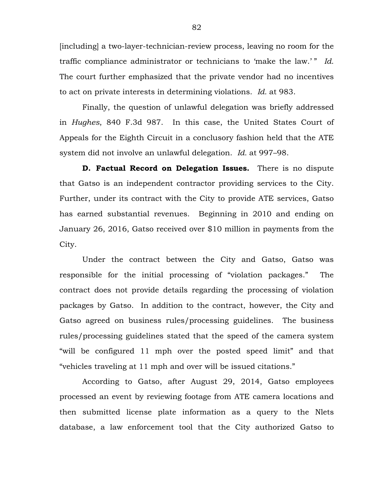[including] a two-layer-technician-review process, leaving no room for the traffic compliance administrator or technicians to 'make the law.' " *Id.* The court further emphasized that the private vendor had no incentives to act on private interests in determining violations. *Id.* at 983.

Finally, the question of unlawful delegation was briefly addressed in *Hughes*, 840 F.3d 987. In this case, the United States Court of Appeals for the Eighth Circuit in a conclusory fashion held that the ATE system did not involve an unlawful delegation. *Id.* at 997–98.

**D. Factual Record on Delegation Issues.** There is no dispute that Gatso is an independent contractor providing services to the City. Further, under its contract with the City to provide ATE services, Gatso has earned substantial revenues. Beginning in 2010 and ending on January 26, 2016, Gatso received over \$10 million in payments from the City.

Under the contract between the City and Gatso, Gatso was responsible for the initial processing of "violation packages." The contract does not provide details regarding the processing of violation packages by Gatso. In addition to the contract, however, the City and Gatso agreed on business rules/processing guidelines. The business rules/processing guidelines stated that the speed of the camera system "will be configured 11 mph over the posted speed limit" and that "vehicles traveling at 11 mph and over will be issued citations."

According to Gatso, after August 29, 2014, Gatso employees processed an event by reviewing footage from ATE camera locations and then submitted license plate information as a query to the Nlets database, a law enforcement tool that the City authorized Gatso to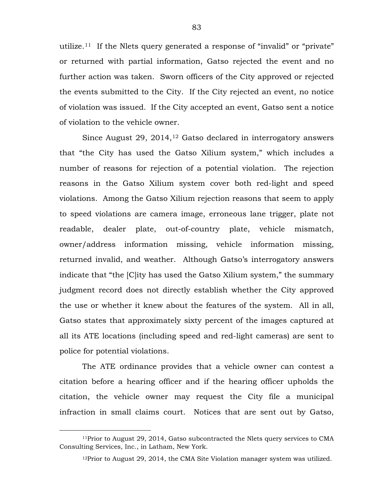utilize.<sup>11</sup> If the Nlets query generated a response of "invalid" or "private" or returned with partial information, Gatso rejected the event and no further action was taken. Sworn officers of the City approved or rejected the events submitted to the City. If the City rejected an event, no notice of violation was issued. If the City accepted an event, Gatso sent a notice of violation to the vehicle owner.

Since August 29, 2014,<sup>[12](#page-82-1)</sup> Gatso declared in interrogatory answers that "the City has used the Gatso Xilium system," which includes a number of reasons for rejection of a potential violation. The rejection reasons in the Gatso Xilium system cover both red-light and speed violations. Among the Gatso Xilium rejection reasons that seem to apply to speed violations are camera image, erroneous lane trigger, plate not readable, dealer plate, out-of-country plate, vehicle mismatch, owner/address information missing, vehicle information missing, returned invalid, and weather. Although Gatso's interrogatory answers indicate that "the [C]ity has used the Gatso Xilium system," the summary judgment record does not directly establish whether the City approved the use or whether it knew about the features of the system. All in all, Gatso states that approximately sixty percent of the images captured at all its ATE locations (including speed and red-light cameras) are sent to police for potential violations.

The ATE ordinance provides that a vehicle owner can contest a citation before a hearing officer and if the hearing officer upholds the citation, the vehicle owner may request the City file a municipal infraction in small claims court. Notices that are sent out by Gatso,

<span id="page-82-1"></span><span id="page-82-0"></span> <sup>11</sup>Prior to August 29, 2014, Gatso subcontracted the Nlets query services to CMA Consulting Services, Inc., in Latham, New York.

 $12$ Prior to August 29, 2014, the CMA Site Violation manager system was utilized.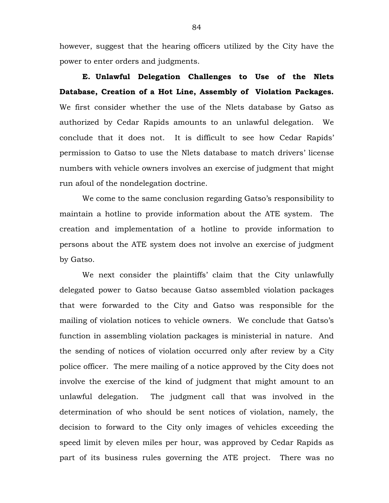however, suggest that the hearing officers utilized by the City have the power to enter orders and judgments.

**E. Unlawful Delegation Challenges to Use of the Nlets Database, Creation of a Hot Line, Assembly of Violation Packages.**  We first consider whether the use of the Nlets database by Gatso as authorized by Cedar Rapids amounts to an unlawful delegation. We conclude that it does not. It is difficult to see how Cedar Rapids' permission to Gatso to use the Nlets database to match drivers' license numbers with vehicle owners involves an exercise of judgment that might run afoul of the nondelegation doctrine.

We come to the same conclusion regarding Gatso's responsibility to maintain a hotline to provide information about the ATE system. The creation and implementation of a hotline to provide information to persons about the ATE system does not involve an exercise of judgment by Gatso.

We next consider the plaintiffs' claim that the City unlawfully delegated power to Gatso because Gatso assembled violation packages that were forwarded to the City and Gatso was responsible for the mailing of violation notices to vehicle owners. We conclude that Gatso's function in assembling violation packages is ministerial in nature. And the sending of notices of violation occurred only after review by a City police officer. The mere mailing of a notice approved by the City does not involve the exercise of the kind of judgment that might amount to an unlawful delegation. The judgment call that was involved in the determination of who should be sent notices of violation, namely, the decision to forward to the City only images of vehicles exceeding the speed limit by eleven miles per hour, was approved by Cedar Rapids as part of its business rules governing the ATE project. There was no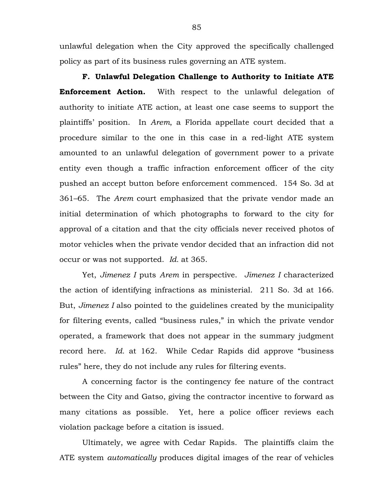unlawful delegation when the City approved the specifically challenged policy as part of its business rules governing an ATE system.

**F. Unlawful Delegation Challenge to Authority to Initiate ATE Enforcement Action.** With respect to the unlawful delegation of authority to initiate ATE action, at least one case seems to support the plaintiffs' position. In *Arem*, a Florida appellate court decided that a procedure similar to the one in this case in a red-light ATE system amounted to an unlawful delegation of government power to a private entity even though a traffic infraction enforcement officer of the city pushed an accept button before enforcement commenced. 154 So. 3d at 361–65. The *Arem* court emphasized that the private vendor made an initial determination of which photographs to forward to the city for approval of a citation and that the city officials never received photos of motor vehicles when the private vendor decided that an infraction did not occur or was not supported. *Id.* at 365.

Yet, *Jimenez I* puts *Arem* in perspective. *Jimenez I* characterized the action of identifying infractions as ministerial. 211 So. 3d at 166. But, *Jimenez I* also pointed to the guidelines created by the municipality for filtering events, called "business rules," in which the private vendor operated, a framework that does not appear in the summary judgment record here. *Id.* at 162. While Cedar Rapids did approve "business rules" here, they do not include any rules for filtering events.

A concerning factor is the contingency fee nature of the contract between the City and Gatso, giving the contractor incentive to forward as many citations as possible. Yet, here a police officer reviews each violation package before a citation is issued.

Ultimately, we agree with Cedar Rapids. The plaintiffs claim the ATE system *automatically* produces digital images of the rear of vehicles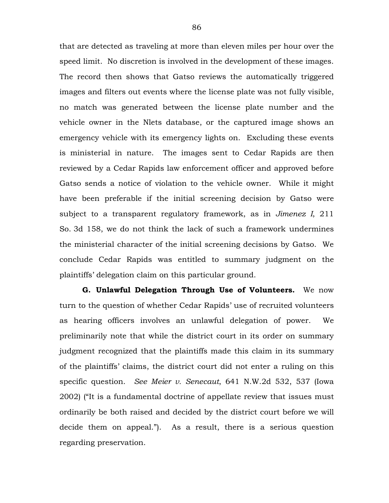that are detected as traveling at more than eleven miles per hour over the speed limit. No discretion is involved in the development of these images. The record then shows that Gatso reviews the automatically triggered images and filters out events where the license plate was not fully visible, no match was generated between the license plate number and the vehicle owner in the Nlets database, or the captured image shows an emergency vehicle with its emergency lights on. Excluding these events is ministerial in nature. The images sent to Cedar Rapids are then reviewed by a Cedar Rapids law enforcement officer and approved before Gatso sends a notice of violation to the vehicle owner. While it might have been preferable if the initial screening decision by Gatso were subject to a transparent regulatory framework, as in *Jimenez I*, 211 So. 3d 158, we do not think the lack of such a framework undermines the ministerial character of the initial screening decisions by Gatso. We conclude Cedar Rapids was entitled to summary judgment on the plaintiffs' delegation claim on this particular ground.

**G. Unlawful Delegation Through Use of Volunteers.** We now turn to the question of whether Cedar Rapids' use of recruited volunteers as hearing officers involves an unlawful delegation of power. We preliminarily note that while the district court in its order on summary judgment recognized that the plaintiffs made this claim in its summary of the plaintiffs' claims, the district court did not enter a ruling on this specific question. *See Meier v. Senecaut*, 641 N.W.2d 532, 537 (Iowa 2002) ("It is a fundamental doctrine of appellate review that issues must ordinarily be both raised and decided by the district court before we will decide them on appeal."). As a result, there is a serious question regarding preservation.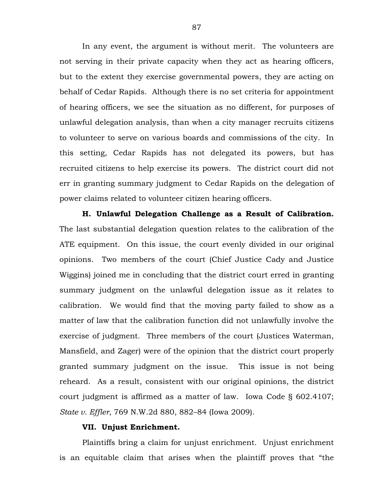In any event, the argument is without merit. The volunteers are not serving in their private capacity when they act as hearing officers, but to the extent they exercise governmental powers, they are acting on behalf of Cedar Rapids. Although there is no set criteria for appointment of hearing officers, we see the situation as no different, for purposes of unlawful delegation analysis, than when a city manager recruits citizens to volunteer to serve on various boards and commissions of the city. In this setting, Cedar Rapids has not delegated its powers, but has recruited citizens to help exercise its powers. The district court did not err in granting summary judgment to Cedar Rapids on the delegation of power claims related to volunteer citizen hearing officers.

**H. Unlawful Delegation Challenge as a Result of Calibration.** The last substantial delegation question relates to the calibration of the ATE equipment. On this issue, the court evenly divided in our original opinions. Two members of the court (Chief Justice Cady and Justice Wiggins) joined me in concluding that the district court erred in granting summary judgment on the unlawful delegation issue as it relates to calibration. We would find that the moving party failed to show as a matter of law that the calibration function did not unlawfully involve the exercise of judgment. Three members of the court (Justices Waterman, Mansfield, and Zager) were of the opinion that the district court properly granted summary judgment on the issue. This issue is not being reheard. As a result, consistent with our original opinions, the district court judgment is affirmed as a matter of law. Iowa Code § 602.4107; *State v. Effler*, 769 N.W.2d 880, 882–84 (Iowa 2009).

#### **VII. Unjust Enrichment.**

Plaintiffs bring a claim for unjust enrichment. Unjust enrichment is an equitable claim that arises when the plaintiff proves that "the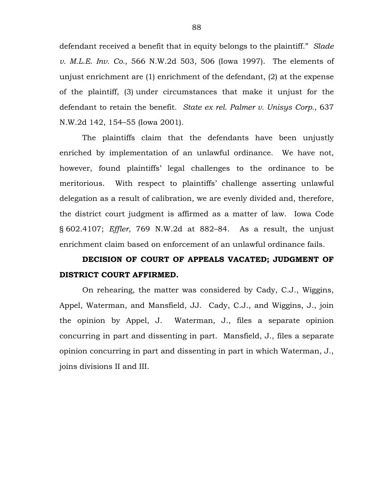defendant received a benefit that in equity belongs to the plaintiff." *Slade v. M.L.E. Inv. Co.*, 566 N.W.2d 503, 506 (Iowa 1997). The elements of unjust enrichment are (1) enrichment of the defendant, (2) at the expense of the plaintiff, (3) under circumstances that make it unjust for the defendant to retain the benefit. *State ex rel. Palmer v. Unisys Corp.*, 637 N.W.2d 142, 154–55 (Iowa 2001).

The plaintiffs claim that the defendants have been unjustly enriched by implementation of an unlawful ordinance. We have not, however, found plaintiffs' legal challenges to the ordinance to be meritorious. With respect to plaintiffs' challenge asserting unlawful delegation as a result of calibration, we are evenly divided and, therefore, the district court judgment is affirmed as a matter of law. Iowa Code § 602.4107; *Effler*, 769 N.W.2d at 882–84. As a result, the unjust enrichment claim based on enforcement of an unlawful ordinance fails.

# **DECISION OF COURT OF APPEALS VACATED; JUDGMENT OF DISTRICT COURT AFFIRMED.**

On rehearing, the matter was considered by Cady, C.J., Wiggins, Appel, Waterman, and Mansfield, JJ. Cady, C.J., and Wiggins, J., join the opinion by Appel, J. Waterman, J., files a separate opinion concurring in part and dissenting in part. Mansfield, J., files a separate opinion concurring in part and dissenting in part in which Waterman, J., joins divisions II and III.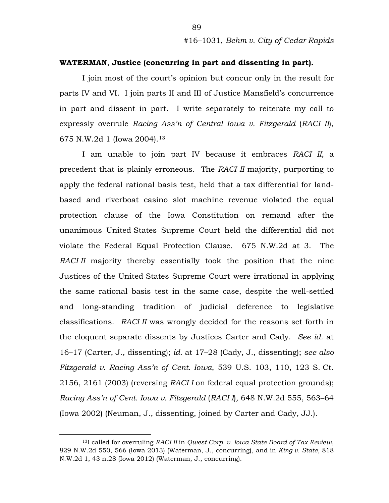### **WATERMAN**, **Justice (concurring in part and dissenting in part).**

I join most of the court's opinion but concur only in the result for parts IV and VI. I join parts II and III of Justice Mansfield's concurrence in part and dissent in part. I write separately to reiterate my call to expressly overrule *Racing Ass'n of Central Iowa v. Fitzgerald* (*RACI II*), 675 N.W.2d 1 (Iowa 2004).[13](#page-88-0)

I am unable to join part IV because it embraces *RACI II*, a precedent that is plainly erroneous. The *RACI II* majority, purporting to apply the federal rational basis test, held that a tax differential for landbased and riverboat casino slot machine revenue violated the equal protection clause of the Iowa Constitution on remand after the unanimous United States Supreme Court held the differential did not violate the Federal Equal Protection Clause. 675 N.W.2d at 3. The *RACI II* majority thereby essentially took the position that the nine Justices of the United States Supreme Court were irrational in applying the same rational basis test in the same case, despite the well-settled and long-standing tradition of judicial deference to legislative classifications. *RACI II* was wrongly decided for the reasons set forth in the eloquent separate dissents by Justices Carter and Cady. *See id.* at 16–17 (Carter, J., dissenting); *id.* at 17–28 (Cady, J., dissenting); *see also Fitzgerald v. Racing Ass'n of Cent. Iowa*, 539 U.S. 103, 110, 123 S. Ct. 2156, 2161 (2003) (reversing *RACI I* on federal equal protection grounds); *Racing Ass'n of Cent. Iowa v. Fitzgerald* (*RACI I*)*,* 648 N.W.2d 555, 563–64 (Iowa 2002) (Neuman, J., dissenting, joined by Carter and Cady, JJ.).

<span id="page-88-0"></span> <sup>13</sup>I called for overruling *RACI II* in *Qwest Corp. v. Iowa State Board of Tax Review*, 829 N.W.2d 550, 566 (Iowa 2013) (Waterman, J., concurring), and in *King v. State*, 818 N.W.2d 1, 43 n.28 (Iowa 2012) (Waterman, J., concurring).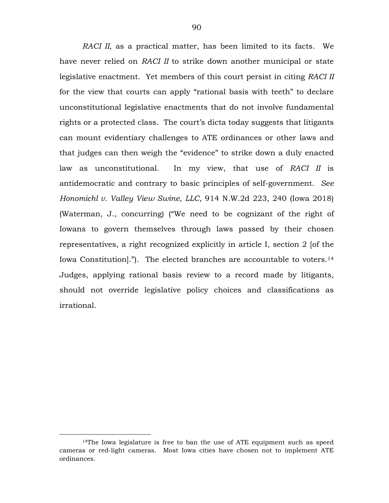*RACI II*, as a practical matter, has been limited to its facts. We have never relied on *RACI II* to strike down another municipal or state legislative enactment. Yet members of this court persist in citing *RACI II* for the view that courts can apply "rational basis with teeth" to declare unconstitutional legislative enactments that do not involve fundamental rights or a protected class. The court's dicta today suggests that litigants can mount evidentiary challenges to ATE ordinances or other laws and that judges can then weigh the "evidence" to strike down a duly enacted law as unconstitutional. In my view, that use of *RACI II* is antidemocratic and contrary to basic principles of self-government. *See Honomichl v. Valley View Swine, LLC*, 914 N.W.2d 223, 240 (Iowa 2018) (Waterman, J., concurring) ("We need to be cognizant of the right of Iowans to govern themselves through laws passed by their chosen representatives, a right recognized explicitly in article I, section 2 [of the Iowa Constitution."). The elected branches are accountable to voters.<sup>14</sup> Judges, applying rational basis review to a record made by litigants, should not override legislative policy choices and classifications as irrational.

<span id="page-89-0"></span> $14$ The Iowa legislature is free to ban the use of ATE equipment such as speed cameras or red-light cameras. Most Iowa cities have chosen not to implement ATE ordinances.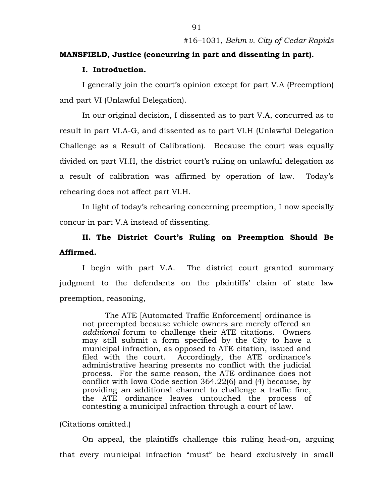#### **MANSFIELD, Justice (concurring in part and dissenting in part).**

#### **I. Introduction.**

I generally join the court's opinion except for part V.A (Preemption) and part VI (Unlawful Delegation).

In our original decision, I dissented as to part V.A, concurred as to result in part VI.A-G, and dissented as to part VI.H (Unlawful Delegation Challenge as a Result of Calibration). Because the court was equally divided on part VI.H, the district court's ruling on unlawful delegation as a result of calibration was affirmed by operation of law. Today's rehearing does not affect part VI.H.

In light of today's rehearing concerning preemption, I now specially concur in part V.A instead of dissenting.

## **II. The District Court's Ruling on Preemption Should Be Affirmed.**

I begin with part V.A. The district court granted summary judgment to the defendants on the plaintiffs' claim of state law preemption, reasoning,

The ATE [Automated Traffic Enforcement] ordinance is not preempted because vehicle owners are merely offered an *additional* forum to challenge their ATE citations. Owners may still submit a form specified by the City to have a municipal infraction, as opposed to ATE citation, issued and filed with the court. Accordingly, the ATE ordinance's administrative hearing presents no conflict with the judicial process. For the same reason, the ATE ordinance does not conflict with Iowa Code section 364.22(6) and (4) because, by providing an additional channel to challenge a traffic fine, the ATE ordinance leaves untouched the process of contesting a municipal infraction through a court of law.

#### (Citations omitted.)

On appeal, the plaintiffs challenge this ruling head-on, arguing that every municipal infraction "must" be heard exclusively in small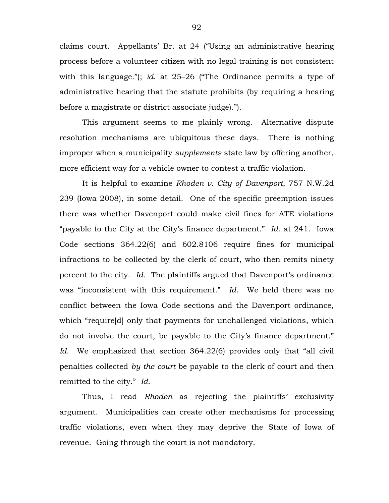claims court. Appellants' Br. at 24 ("Using an administrative hearing process before a volunteer citizen with no legal training is not consistent with this language."); *id*. at 25–26 ("The Ordinance permits a type of administrative hearing that the statute prohibits (by requiring a hearing before a magistrate or district associate judge).").

This argument seems to me plainly wrong. Alternative dispute resolution mechanisms are ubiquitous these days. There is nothing improper when a municipality *supplements* state law by offering another, more efficient way for a vehicle owner to contest a traffic violation.

It is helpful to examine *Rhoden v. City of Davenport*, 757 N.W.2d 239 (Iowa 2008), in some detail. One of the specific preemption issues there was whether Davenport could make civil fines for ATE violations "payable to the City at the City's finance department." *Id*. at 241. Iowa Code sections 364.22(6) and 602.8106 require fines for municipal infractions to be collected by the clerk of court, who then remits ninety percent to the city. *Id.* The plaintiffs argued that Davenport's ordinance was "inconsistent with this requirement." *Id*. We held there was no conflict between the Iowa Code sections and the Davenport ordinance, which "require[d] only that payments for unchallenged violations, which do not involve the court, be payable to the City's finance department." *Id.* We emphasized that section 364.22(6) provides only that "all civil penalties collected *by the court* be payable to the clerk of court and then remitted to the city." *Id*.

Thus, I read *Rhoden* as rejecting the plaintiffs' exclusivity argument. Municipalities can create other mechanisms for processing traffic violations, even when they may deprive the State of Iowa of revenue. Going through the court is not mandatory.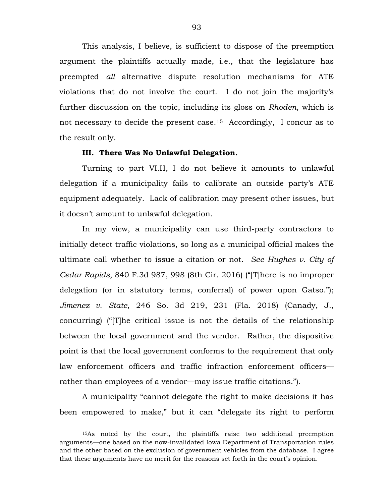This analysis, I believe, is sufficient to dispose of the preemption argument the plaintiffs actually made, i.e., that the legislature has preempted *all* alternative dispute resolution mechanisms for ATE violations that do not involve the court. I do not join the majority's further discussion on the topic, including its gloss on *Rhoden*, which is not necessary to decide the present case.[15](#page-92-0) Accordingly, I concur as to the result only.

#### **III. There Was No Unlawful Delegation.**

Turning to part VI.H, I do not believe it amounts to unlawful delegation if a municipality fails to calibrate an outside party's ATE equipment adequately. Lack of calibration may present other issues, but it doesn't amount to unlawful delegation.

In my view, a municipality can use third-party contractors to initially detect traffic violations, so long as a municipal official makes the ultimate call whether to issue a citation or not. *See Hughes v. City of Cedar Rapids*, 840 F.3d 987, 998 (8th Cir. 2016) ("[T]here is no improper delegation (or in statutory terms, conferral) of power upon Gatso."); *Jimenez v. State*, 246 So. 3d 219, 231 (Fla. 2018) (Canady, J., concurring) ("[T]he critical issue is not the details of the relationship between the local government and the vendor. Rather, the dispositive point is that the local government conforms to the requirement that only law enforcement officers and traffic infraction enforcement officers rather than employees of a vendor—may issue traffic citations.").

A municipality "cannot delegate the right to make decisions it has been empowered to make," but it can "delegate its right to perform

<span id="page-92-0"></span> <sup>15</sup>As noted by the court, the plaintiffs raise two additional preemption arguments—one based on the now-invalidated Iowa Department of Transportation rules and the other based on the exclusion of government vehicles from the database. I agree that these arguments have no merit for the reasons set forth in the court's opinion.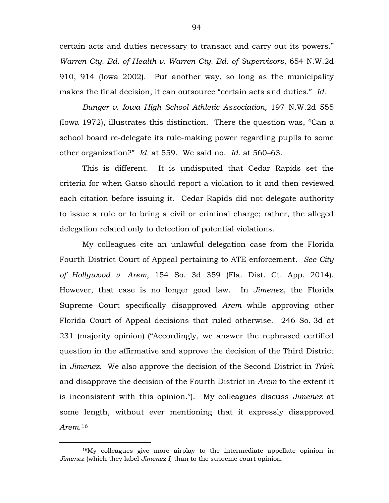certain acts and duties necessary to transact and carry out its powers." *Warren Cty. Bd. of Health v. Warren Cty. Bd. of Supervisors*, 654 N.W.2d 910, 914 (Iowa 2002). Put another way, so long as the municipality makes the final decision, it can outsource "certain acts and duties." *Id.*

*Bunger v. Iowa High School Athletic Association,* 197 N.W.2d 555 (Iowa 1972), illustrates this distinction. There the question was, "Can a school board re-delegate its rule-making power regarding pupils to some other organization?" *Id.* at 559. We said no. *Id*. at 560–63.

This is different. It is undisputed that Cedar Rapids set the criteria for when Gatso should report a violation to it and then reviewed each citation before issuing it. Cedar Rapids did not delegate authority to issue a rule or to bring a civil or criminal charge; rather, the alleged delegation related only to detection of potential violations.

My colleagues cite an unlawful delegation case from the Florida Fourth District Court of Appeal pertaining to ATE enforcement. *See City of Hollywood v. Arem*, 154 So. 3d 359 (Fla. Dist. Ct. App. 2014). However, that case is no longer good law. In *Jimenez*, the Florida Supreme Court specifically disapproved *Arem* while approving other Florida Court of Appeal decisions that ruled otherwise. 246 So. 3d at 231 (majority opinion) ("Accordingly, we answer the rephrased certified question in the affirmative and approve the decision of the Third District in *[Jimenez](https://1.next.westlaw.com/Link/Document/FullText?findType=Y&serNum=2039453924&pubNum=0003926&originatingDoc=I3a1dcff04ef011e8ab5389d3771bc525&refType=RP&originationContext=document&transitionType=DocumentItem&contextData=(sc.UserEnteredCitation))*. We also approve the decision of the Second District in *[Trinh](https://1.next.westlaw.com/Link/Document/FullText?findType=Y&serNum=2040193187&pubNum=0003926&originatingDoc=I3a1dcff04ef011e8ab5389d3771bc525&refType=RP&originationContext=document&transitionType=DocumentItem&contextData=(sc.UserEnteredCitation))* and disapprove the decision of the Fourth District in *[Arem](https://1.next.westlaw.com/Link/Document/FullText?findType=Y&serNum=2034609024&pubNum=0003926&originatingDoc=I3a1dcff04ef011e8ab5389d3771bc525&refType=RP&originationContext=document&transitionType=DocumentItem&contextData=(sc.UserEnteredCitation))* to the extent it is inconsistent with this opinion."). My colleagues discuss *Jimenez* at some length, without ever mentioning that it expressly disapproved *Arem*.[16](#page-93-0)

<span id="page-93-0"></span> <sup>16</sup>My colleagues give more airplay to the intermediate appellate opinion in *Jimenez* (which they label *Jimenez I*) than to the supreme court opinion.